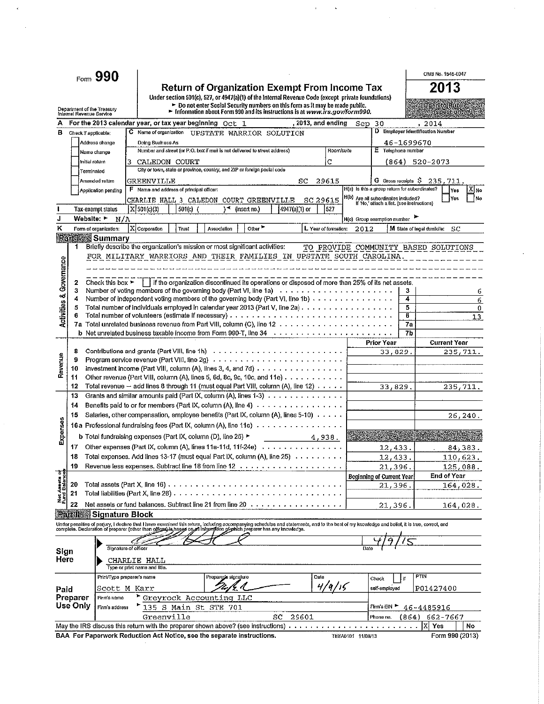|                                |                                                              | Form 990                             |   |                                                                                          |                                                                                                                                                                                                                                   |                    |                      |                   |                                                                                   |    | OMB No. 1545-0047                    |            |               |
|--------------------------------|--------------------------------------------------------------|--------------------------------------|---|------------------------------------------------------------------------------------------|-----------------------------------------------------------------------------------------------------------------------------------------------------------------------------------------------------------------------------------|--------------------|----------------------|-------------------|-----------------------------------------------------------------------------------|----|--------------------------------------|------------|---------------|
|                                |                                                              |                                      |   |                                                                                          | <b>Return of Organization Exempt From Income Tax</b>                                                                                                                                                                              |                    |                      |                   |                                                                                   |    | 2013                                 |            |               |
|                                |                                                              |                                      |   |                                                                                          | Under section 501(c), 527, or 4947(a)(1) of the Internal Revenue Code (except private foundations)                                                                                                                                |                    |                      |                   |                                                                                   |    |                                      |            |               |
|                                | Department of the Treasury<br>Internal Revenue Service       |                                      |   |                                                                                          | ► Do not enter Social Security numbers on this form as it may be made public.<br>$\blacktriangleright$ Information about Form 990 and its instructions is at www.irs.gov/form990.                                                 |                    |                      |                   |                                                                                   |    |                                      |            |               |
|                                |                                                              |                                      |   | For the 2013 calendar year, or tax year beginning Oct 1                                  |                                                                                                                                                                                                                                   | , 2013, and ending |                      | Sep               | 30                                                                                |    | 2014                                 |            |               |
| в                              | Check if applicable:                                         |                                      |   | C Name of organization                                                                   | UPSTATE WARRIOR SOLUTION                                                                                                                                                                                                          |                    |                      |                   |                                                                                   |    | D Employer Identification Number     |            |               |
|                                |                                                              | Address change                       |   | Doing Business As                                                                        |                                                                                                                                                                                                                                   |                    |                      |                   |                                                                                   |    | 46-1699670                           |            |               |
|                                |                                                              | Name change                          |   |                                                                                          | Number and street (or P.O. box if mail is not delivered to street address)                                                                                                                                                        |                    | Room/suite           |                   | E Telephone number                                                                |    |                                      |            |               |
|                                | Initial return                                               |                                      | 3 | CALEDON COURT                                                                            |                                                                                                                                                                                                                                   |                    | C                    |                   | (864)                                                                             |    | 520-2073                             |            |               |
|                                | Terminated                                                   |                                      |   |                                                                                          | City or town, state or province, country, and ZtP or foreign postal code                                                                                                                                                          |                    |                      |                   |                                                                                   |    |                                      |            |               |
|                                |                                                              | Amended return                       |   | GREENVILLE                                                                               |                                                                                                                                                                                                                                   | SC                 | 29615                |                   | G Gross receipts S<br>H(a) Is this a group return for subordinates?               |    | 235.711                              |            |               |
|                                |                                                              | Application pending                  |   | F Name and address of principal officer:                                                 |                                                                                                                                                                                                                                   |                    |                      |                   |                                                                                   |    |                                      | Yes<br>Yes | N۱×iX)<br>İNo |
|                                |                                                              | <b>Tax-exempt status</b>             |   | X 501(c)(3)<br>$501(c)$ (                                                                | CHARLIE HALL 3 CALEDON COURT GREENVILLE<br>\⊀.<br>(insert no.)                                                                                                                                                                    | $4947(a)(1)$ or    | SC 29615<br>1527     |                   | H(b) Are all subordinates included?<br>If 'No,' attach a fist, (see instructions) |    |                                      |            |               |
| J                              | Website: ►                                                   | N/A                                  |   |                                                                                          |                                                                                                                                                                                                                                   |                    |                      |                   | H(c) Group exemption number                                                       |    |                                      |            |               |
| к                              |                                                              | Form of organization:                |   | X Corporation<br>Trust                                                                   | Other <sup>&gt;</sup><br>Association                                                                                                                                                                                              |                    | L Year of formation: | 2012              |                                                                                   |    | M State of legal domicile:           | SC         |               |
|                                |                                                              | <b>Partition</b> Summary             |   |                                                                                          |                                                                                                                                                                                                                                   |                    |                      |                   |                                                                                   |    |                                      |            |               |
|                                | 1                                                            |                                      |   |                                                                                          | Briefly describe the organization's mission or most significant activities:                                                                                                                                                       |                    |                      |                   |                                                                                   |    | TO PROVIDE COMMUNITY BASED SOLUTIONS |            |               |
|                                |                                                              |                                      |   |                                                                                          | FOR MILITARY WARRIORS AND THEIR FAMILIES IN UPSTATE SOUTH CAROLINA.                                                                                                                                                               |                    |                      |                   |                                                                                   |    |                                      |            |               |
|                                |                                                              |                                      |   |                                                                                          |                                                                                                                                                                                                                                   |                    |                      |                   |                                                                                   |    |                                      |            |               |
| Activities & Governance        |                                                              |                                      |   |                                                                                          |                                                                                                                                                                                                                                   |                    |                      |                   |                                                                                   |    |                                      |            |               |
|                                | 2<br>3                                                       | Check this box $\blacktriangleright$ |   |                                                                                          | if the organization discontinued its operations or disposed of more than 25% of its net assets.<br>Number of voting members of the governing body (Part VI, line 1a) $\ldots \ldots \ldots \ldots \ldots \ldots \ldots$           |                    |                      |                   |                                                                                   | 3  |                                      |            | 6             |
|                                | 4                                                            |                                      |   |                                                                                          | Number of independent voting members of the governing body (Part VI, line 1b) $\ldots$ , , , , , , , , , , , , , , ,                                                                                                              |                    |                      |                   |                                                                                   | 4  |                                      |            | 6             |
|                                | 5                                                            |                                      |   |                                                                                          | Total number of individuals employed in calendar year 2013 (Part V, line 2a)                                                                                                                                                      |                    |                      |                   |                                                                                   | 5  |                                      |            | 0             |
|                                |                                                              |                                      |   |                                                                                          |                                                                                                                                                                                                                                   |                    |                      |                   |                                                                                   | 6  |                                      |            | 13            |
|                                |                                                              |                                      |   |                                                                                          |                                                                                                                                                                                                                                   |                    |                      |                   |                                                                                   | 7a |                                      |            |               |
|                                |                                                              |                                      |   |                                                                                          | <b>b</b> Net unrelated business taxable income from Form 990-T, line $34 \ldots \ldots \ldots \ldots \ldots \ldots \ldots \ldots \ldots$                                                                                          |                    |                      |                   | <b>Prior Year</b>                                                                 | 7b |                                      |            |               |
|                                | 8                                                            |                                      |   |                                                                                          | Contributions and grants (Part VIII, line 1h) $\ldots \ldots \ldots \ldots \ldots \ldots \ldots \ldots \ldots$                                                                                                                    |                    |                      |                   | 33.829.                                                                           |    | <b>Current Year</b>                  | 235,711.   |               |
| Revenue                        | Program service revenue (Part VIII, line 2g) $\ldots$ ,<br>9 |                                      |   |                                                                                          |                                                                                                                                                                                                                                   |                    |                      |                   |                                                                                   |    |                                      |            |               |
|                                | 10                                                           |                                      |   |                                                                                          | Investment income (Part VIII, column (A), lines 3, 4, and 7d) $\ldots$                                                                                                                                                            |                    |                      |                   |                                                                                   |    |                                      |            |               |
|                                | 11                                                           |                                      |   |                                                                                          | Other revenue (Part VIII, column (A), lines 5, 6d, 8c, 9c, 10c, and 11e) $\ldots \ldots \ldots$                                                                                                                                   |                    |                      |                   |                                                                                   |    |                                      |            |               |
|                                | 12                                                           |                                      |   |                                                                                          | Total revenue $-$ add lines 8 through 11 (must equal Part VIII, column (A), line 12) $\ldots \ldots$                                                                                                                              |                    |                      |                   | 33,829.                                                                           |    |                                      | 235,711.   |               |
|                                | 13                                                           |                                      |   |                                                                                          | Grants and similar amounts paid (Part IX, column (A), lines 1-3)                                                                                                                                                                  |                    |                      |                   |                                                                                   |    |                                      |            |               |
|                                | 14                                                           |                                      |   |                                                                                          | Benefits paid to or for members (Part IX, column $(A)$ , line 4) $\cdots$                                                                                                                                                         |                    |                      |                   |                                                                                   |    |                                      |            |               |
|                                | 15                                                           |                                      |   |                                                                                          | Salaries, other compensation, employee benefits (Part IX, column (A), lines 5-10) $\ldots \ldots$                                                                                                                                 |                    |                      |                   |                                                                                   |    |                                      | 26, 240.   |               |
| Expenses                       |                                                              |                                      |   |                                                                                          | 16a Professional fundraising fees (Part IX, column (A), line 11e)                                                                                                                                                                 |                    |                      |                   |                                                                                   |    |                                      |            |               |
|                                |                                                              |                                      |   | <b>b</b> Total fundraising expenses (Part IX, column (D), line 25) $\blacktriangleright$ |                                                                                                                                                                                                                                   | 4,938              |                      |                   |                                                                                   |    |                                      |            |               |
|                                | 17                                                           |                                      |   |                                                                                          | Other expenses (Part IX, column (A), lines 11a-11d, 11f-24e) $\ldots \ldots \ldots \ldots$                                                                                                                                        |                    |                      |                   | 12,433.                                                                           |    |                                      | 84,383.    |               |
|                                | 18                                                           |                                      |   |                                                                                          | Total expenses. Add lines 13-17 (must equal Part IX, column (A), line 25)                                                                                                                                                         |                    |                      |                   | 12.433.                                                                           |    |                                      | 110,623.   |               |
|                                | 19                                                           |                                      |   |                                                                                          |                                                                                                                                                                                                                                   |                    |                      |                   | 21,396.                                                                           |    |                                      | 125,088.   |               |
| Net Assets of<br>Fund Balances | 20                                                           |                                      |   | Total assets (Part X, line 16) $\ldots \ldots \ldots \ldots$                             |                                                                                                                                                                                                                                   |                    |                      |                   | <b>Beginning of Current Year</b><br>21,396                                        |    | <b>End of Year</b>                   | 164,028.   |               |
|                                | 21                                                           |                                      |   | Total liabilities (Part X, line 26) $\ldots$                                             |                                                                                                                                                                                                                                   |                    |                      |                   |                                                                                   |    |                                      |            |               |
|                                | 22                                                           |                                      |   |                                                                                          | Net assets or fund balances. Subtract line 21 from line 20 $\cdots$                                                                                                                                                               |                    |                      |                   | 21,396.                                                                           |    |                                      | 164,028.   |               |
|                                |                                                              | <b>Partill Signature Block</b>       |   |                                                                                          |                                                                                                                                                                                                                                   |                    |                      |                   |                                                                                   |    |                                      |            |               |
|                                |                                                              |                                      |   |                                                                                          | Under penalties of perjury, I declare that I have examined this return, including accompanying schedules and statements, and to the best of my knowledge and belief, it is true, correct, and<br>complete. Declaration of prepare |                    |                      |                   |                                                                                   |    |                                      |            |               |
|                                |                                                              |                                      |   |                                                                                          |                                                                                                                                                                                                                                   |                    |                      |                   |                                                                                   |    |                                      |            |               |
|                                |                                                              |                                      |   |                                                                                          |                                                                                                                                                                                                                                   |                    |                      |                   |                                                                                   |    |                                      |            |               |
| Sign                           |                                                              | Signature of officer                 |   |                                                                                          |                                                                                                                                                                                                                                   |                    |                      |                   |                                                                                   |    |                                      |            |               |
| Here                           |                                                              |                                      |   | <b>CHARLIE HALL</b><br>Type or print name and title.                                     |                                                                                                                                                                                                                                   |                    |                      |                   |                                                                                   |    |                                      |            |               |
|                                |                                                              | Print/Type preparer's name           |   |                                                                                          | Prepareris signature                                                                                                                                                                                                              | Date               |                      |                   |                                                                                   | if | PTIN                                 |            |               |
|                                |                                                              | Scott M Karr                         |   |                                                                                          |                                                                                                                                                                                                                                   |                    | 4/9/16               |                   | Check<br>self-employed                                                            |    | P01427400                            |            |               |
| Paid                           | Preparer                                                     | Firm's name                          |   | Greyrock Accounting LLC                                                                  |                                                                                                                                                                                                                                   |                    |                      |                   |                                                                                   |    |                                      |            |               |
|                                | Use Only                                                     | Firm's address                       |   | 135 S Main St STE 701                                                                    |                                                                                                                                                                                                                                   |                    |                      |                   | Firm's EIN ▶                                                                      |    | 46-4485916                           |            |               |
|                                |                                                              |                                      |   | Greenville                                                                               |                                                                                                                                                                                                                                   | SC<br>29601        |                      |                   | Phone no.                                                                         |    | (864) 662-7667                       |            |               |
|                                |                                                              |                                      |   |                                                                                          | May the IRS discuss this return with the preparer shown above? (see instructions)                                                                                                                                                 |                    |                      |                   |                                                                                   |    | I٨<br>Yes                            |            | No            |
|                                |                                                              |                                      |   |                                                                                          | BAA For Paperwork Reduction Act Notice, see the separate instructions.                                                                                                                                                            |                    |                      | TEEA0101 11/08/13 |                                                                                   |    | Form 990 (2013)                      |            |               |

 $\label{eq:2.1} \begin{split} \mathbf{A}^{(1)} &= \mathbf{A}^{(1)} \mathbf{1}_{\mathcal{M}_{\mathcal{M}_{\mathcal{M}_{\mathcal{M}_{\mathcal{M}_{\mathcal{M}_{\mathcal{M}_{\mathcal{M}_{\mathcal{M}_{\mathcal{M}_{\mathcal{M}_{\mathcal{M}_{\mathcal{M}_{\mathcal{M}_{\mathcal{M}_{\mathcal{M}_{\mathcal{M}_{\mathcal{M}_{\mathcal{M}_{\mathcal{M}_{\mathcal{M}_{\mathcal{M}_{\mathcal{M}_{\mathcal{M}_{\mathcal{M}_{\mathcal{M}_{\mathcal{M}_{\mathcal{M}_{\mathcal{M}_{\mathcal{M$ 

 $\ddot{\phantom{0}}$ 

 $\mathbf{r}_\mathrm{a}$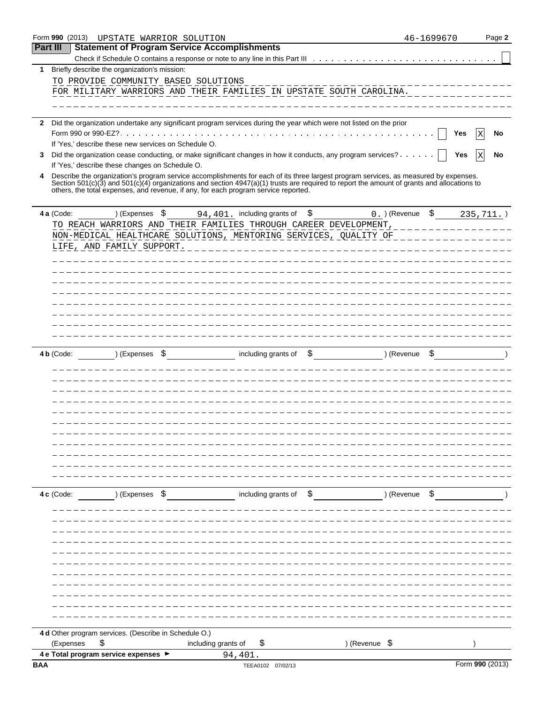|                 |              | Form 990 (2013)                                                                                                                                                                                                                                                                                                                                                           | UPSTATE WARRIOR SOLUTION |                     |         |                              |                                      |                  | 46-1699670            |     |                 | Page 2 |
|-----------------|--------------|---------------------------------------------------------------------------------------------------------------------------------------------------------------------------------------------------------------------------------------------------------------------------------------------------------------------------------------------------------------------------|--------------------------|---------------------|---------|------------------------------|--------------------------------------|------------------|-----------------------|-----|-----------------|--------|
| <b>Part III</b> |              | <b>Statement of Program Service Accomplishments</b>                                                                                                                                                                                                                                                                                                                       |                          |                     |         |                              |                                      |                  |                       |     |                 |        |
|                 |              |                                                                                                                                                                                                                                                                                                                                                                           |                          |                     |         |                              |                                      |                  |                       |     |                 |        |
| 1               |              | Briefly describe the organization's mission:                                                                                                                                                                                                                                                                                                                              |                          |                     |         |                              |                                      |                  |                       |     |                 |        |
|                 |              | TO PROVIDE COMMUNITY BASED SOLUTIONS                                                                                                                                                                                                                                                                                                                                      |                          |                     |         |                              |                                      |                  |                       |     |                 |        |
|                 |              | FOR MILITARY WARRIORS AND THEIR FAMILIES IN UPSTATE SOUTH CAROLINA.                                                                                                                                                                                                                                                                                                       |                          |                     |         |                              |                                      |                  |                       |     |                 |        |
|                 |              |                                                                                                                                                                                                                                                                                                                                                                           |                          |                     |         |                              |                                      |                  |                       |     |                 |        |
|                 |              |                                                                                                                                                                                                                                                                                                                                                                           |                          |                     |         |                              |                                      |                  |                       |     |                 |        |
| 2               |              | Did the organization undertake any significant program services during the year which were not listed on the prior                                                                                                                                                                                                                                                        |                          |                     |         |                              |                                      |                  |                       |     |                 |        |
|                 |              |                                                                                                                                                                                                                                                                                                                                                                           |                          |                     |         |                              |                                      |                  |                       | Yes | Х               | No     |
|                 |              | If 'Yes,' describe these new services on Schedule O.                                                                                                                                                                                                                                                                                                                      |                          |                     |         |                              |                                      |                  |                       |     |                 |        |
| 3               |              | Did the organization cease conducting, or make significant changes in how it conducts, any program services?                                                                                                                                                                                                                                                              |                          |                     |         |                              |                                      |                  |                       | Yes | $\mathbf x$     | No     |
|                 |              | If 'Yes,' describe these changes on Schedule O.                                                                                                                                                                                                                                                                                                                           |                          |                     |         |                              |                                      |                  |                       |     |                 |        |
|                 |              | Describe the organization's program service accomplishments for each of its three largest program services, as measured by expenses.<br>Section 501(c)(3) and 501(c)(4) organizations and section 4947(a)(1) trusts are required to report the amount of grants and allocations to<br>others, the total expenses, and revenue, if any, for each program service reported. |                          |                     |         |                              |                                      |                  |                       |     |                 |        |
|                 | 4 a (Code:   |                                                                                                                                                                                                                                                                                                                                                                           | ) (Expenses \$           |                     |         | 94, 401. including grants of | \$                                   | 0. ) (Revenue \$ |                       |     | $235, 711.$ )   |        |
|                 |              | TO REACH WARRIORS AND THEIR FAMILIES THROUGH CAREER DEVELOPMENT,<br>NON-MEDICAL HEALTHCARE SOLUTIONS, MENTORING SERVICES, QUALITY OF _____________<br>LIFE, AND FAMILY SUPPORT.                                                                                                                                                                                           |                          |                     |         |                              | ____________________________________ |                  | <u> 2222222222222</u> |     |                 |        |
|                 |              |                                                                                                                                                                                                                                                                                                                                                                           |                          |                     |         |                              |                                      |                  |                       |     |                 |        |
|                 |              |                                                                                                                                                                                                                                                                                                                                                                           |                          |                     |         |                              |                                      |                  |                       |     |                 |        |
|                 |              |                                                                                                                                                                                                                                                                                                                                                                           |                          |                     |         |                              |                                      |                  |                       |     |                 |        |
|                 |              |                                                                                                                                                                                                                                                                                                                                                                           |                          |                     |         |                              |                                      |                  |                       |     |                 |        |
|                 |              |                                                                                                                                                                                                                                                                                                                                                                           |                          |                     |         |                              |                                      |                  |                       |     |                 |        |
|                 |              |                                                                                                                                                                                                                                                                                                                                                                           |                          |                     |         |                              |                                      |                  |                       |     |                 |        |
|                 |              |                                                                                                                                                                                                                                                                                                                                                                           |                          |                     |         |                              |                                      |                  |                       |     |                 |        |
|                 |              |                                                                                                                                                                                                                                                                                                                                                                           |                          |                     |         |                              |                                      |                  |                       |     |                 |        |
|                 | 4 $b$ (Code: |                                                                                                                                                                                                                                                                                                                                                                           | ) (Expenses \$           |                     |         | including grants of          | \$                                   | ) (Revenue       |                       |     |                 |        |
|                 |              |                                                                                                                                                                                                                                                                                                                                                                           |                          |                     |         |                              |                                      |                  |                       |     |                 |        |
|                 |              |                                                                                                                                                                                                                                                                                                                                                                           |                          |                     |         |                              |                                      |                  |                       |     |                 |        |
|                 |              |                                                                                                                                                                                                                                                                                                                                                                           |                          |                     |         |                              |                                      |                  |                       |     |                 |        |
|                 |              |                                                                                                                                                                                                                                                                                                                                                                           |                          |                     |         |                              |                                      |                  |                       |     |                 |        |
|                 |              |                                                                                                                                                                                                                                                                                                                                                                           |                          |                     |         |                              |                                      |                  |                       |     |                 |        |
|                 |              |                                                                                                                                                                                                                                                                                                                                                                           |                          |                     |         |                              |                                      |                  |                       |     |                 |        |
|                 |              |                                                                                                                                                                                                                                                                                                                                                                           |                          |                     |         |                              |                                      |                  |                       |     |                 |        |
|                 |              |                                                                                                                                                                                                                                                                                                                                                                           |                          |                     |         |                              |                                      |                  |                       |     |                 |        |
|                 |              |                                                                                                                                                                                                                                                                                                                                                                           |                          |                     |         |                              |                                      |                  |                       |     |                 |        |
|                 |              |                                                                                                                                                                                                                                                                                                                                                                           |                          |                     |         |                              |                                      |                  |                       |     |                 |        |
|                 |              |                                                                                                                                                                                                                                                                                                                                                                           |                          |                     |         |                              |                                      |                  |                       |     |                 |        |
|                 |              |                                                                                                                                                                                                                                                                                                                                                                           |                          |                     |         |                              |                                      |                  |                       |     |                 |        |
|                 | 4 c (Code:   |                                                                                                                                                                                                                                                                                                                                                                           | ) (Expenses \$           |                     |         | including grants of          | \$                                   | ) (Revenue \$    |                       |     |                 |        |
|                 |              |                                                                                                                                                                                                                                                                                                                                                                           |                          |                     |         |                              |                                      |                  |                       |     |                 |        |
|                 |              |                                                                                                                                                                                                                                                                                                                                                                           |                          |                     |         |                              |                                      |                  |                       |     |                 |        |
|                 |              |                                                                                                                                                                                                                                                                                                                                                                           |                          |                     |         |                              |                                      |                  |                       |     |                 |        |
|                 |              |                                                                                                                                                                                                                                                                                                                                                                           |                          |                     |         |                              |                                      |                  |                       |     |                 |        |
|                 |              |                                                                                                                                                                                                                                                                                                                                                                           |                          |                     |         |                              |                                      |                  |                       |     |                 |        |
|                 |              |                                                                                                                                                                                                                                                                                                                                                                           |                          |                     |         |                              |                                      |                  |                       |     |                 |        |
|                 |              |                                                                                                                                                                                                                                                                                                                                                                           |                          |                     |         |                              |                                      |                  |                       |     |                 |        |
|                 |              |                                                                                                                                                                                                                                                                                                                                                                           |                          |                     |         |                              |                                      |                  |                       |     |                 |        |
|                 |              |                                                                                                                                                                                                                                                                                                                                                                           |                          |                     |         |                              |                                      |                  |                       |     |                 |        |
|                 |              |                                                                                                                                                                                                                                                                                                                                                                           |                          |                     |         |                              |                                      |                  |                       |     |                 |        |
|                 |              |                                                                                                                                                                                                                                                                                                                                                                           |                          |                     |         |                              |                                      |                  |                       |     |                 |        |
|                 |              |                                                                                                                                                                                                                                                                                                                                                                           |                          |                     |         |                              |                                      |                  |                       |     |                 |        |
|                 |              | 4 d Other program services. (Describe in Schedule O.)                                                                                                                                                                                                                                                                                                                     |                          |                     |         |                              |                                      |                  |                       |     |                 |        |
|                 |              | (Expenses<br>\$                                                                                                                                                                                                                                                                                                                                                           |                          | including grants of |         | \$.                          | ) (Revenue \$                        |                  |                       |     |                 |        |
|                 |              | 4 e Total program service expenses >                                                                                                                                                                                                                                                                                                                                      |                          |                     | 94,401. |                              |                                      |                  |                       |     |                 |        |
| <b>BAA</b>      |              |                                                                                                                                                                                                                                                                                                                                                                           |                          |                     |         | TEEA0102 07/02/13            |                                      |                  |                       |     | Form 990 (2013) |        |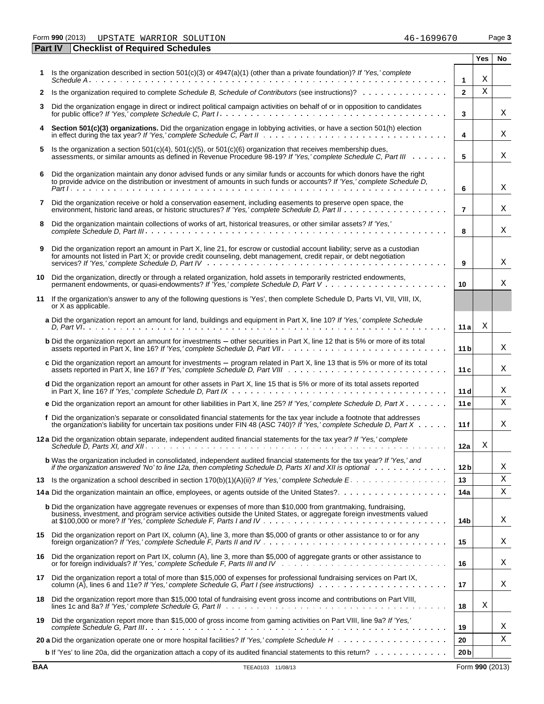Form **990** (2013) Page **3** UPSTATE WARRIOR SOLUTION 46-1699670

|    | <b>Checklist of Required Schedules</b><br><b>Part IV</b>                                                                                                                                                                                                |                 |     |    |
|----|---------------------------------------------------------------------------------------------------------------------------------------------------------------------------------------------------------------------------------------------------------|-----------------|-----|----|
|    |                                                                                                                                                                                                                                                         |                 | Yes | No |
| 1. | Is the organization described in section $501(c)(3)$ or $4947(a)(1)$ (other than a private foundation)? If 'Yes,' complete<br>Schedule A                                                                                                                | $\mathbf{1}$    | Χ   |    |
| 2  |                                                                                                                                                                                                                                                         | $\overline{2}$  | Χ   |    |
| 3  | Did the organization engage in direct or indirect political campaign activities on behalf of or in opposition to candidates                                                                                                                             | 3               |     | Χ  |
| 4  | Section 501(c)(3) organizations. Did the organization engage in lobbying activities, or have a section 501(h) election                                                                                                                                  | 4               |     | Χ  |
| 5  | Is the organization a section 501(c)(4), 501(c)(5), or 501(c)(6) organization that receives membership dues,<br>assessments, or similar amounts as defined in Revenue Procedure 98-19? If 'Yes,' complete Schedule C, Part III                          | 5               |     | Χ  |
|    |                                                                                                                                                                                                                                                         |                 |     |    |
| 6  | Did the organization maintain any donor advised funds or any similar funds or accounts for which donors have the right<br>to provide advice on the distribution or investment of amounts in such funds or accounts? If 'Yes,' complete Schedule D,      | 6               |     | Χ  |
| 7  | Did the organization receive or hold a conservation easement, including easements to preserve open space, the                                                                                                                                           | $\overline{7}$  |     | Χ  |
| 8  | Did the organization maintain collections of works of art, historical treasures, or other similar assets? If 'Yes,'                                                                                                                                     | 8               |     | X  |
| 9  | Did the organization report an amount in Part X, line 21, for escrow or custodial account liability; serve as a custodian<br>for amounts not listed in Part X; or provide credit counseling, debt management, credit repair, or debt negotiation        | 9               |     | Χ  |
| 10 | Did the organization, directly or through a related organization, hold assets in temporarily restricted endowments,                                                                                                                                     | 10              |     | X  |
|    | 11 If the organization's answer to any of the following questions is 'Yes', then complete Schedule D, Parts VI, VII, VIII, IX,<br>or X as applicable.                                                                                                   |                 |     |    |
|    | a Did the organization report an amount for land, buildings and equipment in Part X, line 10? If 'Yes,' complete Schedule                                                                                                                               | 11 al           | Χ   |    |
|    | <b>b</b> Did the organization report an amount for investments - other securities in Part X, line 12 that is 5% or more of its total                                                                                                                    | 11 <sub>b</sub> |     | X  |
|    | c Did the organization report an amount for investments - program related in Part X, line 13 that is 5% or more of its total                                                                                                                            | 11c             |     | Χ  |
|    | d Did the organization report an amount for other assets in Part X, line 15 that is 5% or more of its total assets reported                                                                                                                             | 11d             |     | Χ  |
|    | e Did the organization report an amount for other liabilities in Part X, line 25? If 'Yes,' complete Schedule D, Part $X \cdot \cdot \cdot \cdot$                                                                                                       | 11e             |     | X  |
|    | f Did the organization's separate or consolidated financial statements for the tax year include a footnote that addresses<br>the organization's liability for uncertain tax positions under FIN 48 (ASC 740)? If 'Yes,' complete Schedule D, Part X     | 11f             |     | X  |
|    |                                                                                                                                                                                                                                                         | 12a             | Χ   |    |
|    | <b>b</b> Was the organization included in consolidated, independent audited financial statements for the tax year? If 'Yes,' and<br>if the organization answered 'No' to line 12a, then completing Schedule D, Parts XI and XII is optional weaks weaks | 12 <sub>b</sub> |     | Χ  |
| 13 |                                                                                                                                                                                                                                                         | 13              |     | Χ  |
|    | 14a Did the organization maintain an office, employees, or agents outside of the United States?                                                                                                                                                         | 14a             |     | Χ  |
|    | <b>b</b> Did the organization have aggregate revenues or expenses of more than \$10,000 from grantmaking, fundraising,<br>business, investment, and program service activities outside the United States, or aggregate foreign investments valued       | 14b             |     | Χ  |
|    | 15 Did the organization report on Part IX, column (A), line 3, more than \$5,000 of grants or other assistance to or for any                                                                                                                            | 15              |     | Χ  |
| 16 | Did the organization report on Part IX, column (A), line 3, more than \$5,000 of aggregate grants or other assistance to                                                                                                                                | 16              |     | Χ  |
| 17 | Did the organization report a total of more than \$15,000 of expenses for professional fundraising services on Part IX,                                                                                                                                 | 17              |     | Χ  |
| 18 | Did the organization report more than \$15,000 total of fundraising event gross income and contributions on Part VIII,                                                                                                                                  | 18              | Χ   |    |
| 19 | Did the organization report more than \$15,000 of gross income from gaming activities on Part VIII, line 9a? If 'Yes,'                                                                                                                                  | 19              |     | Χ  |
|    |                                                                                                                                                                                                                                                         | 20              |     | Χ  |
|    | <b>b</b> If 'Yes' to line 20a, did the organization attach a copy of its audited financial statements to this return?                                                                                                                                   | 20 <sub>b</sub> |     |    |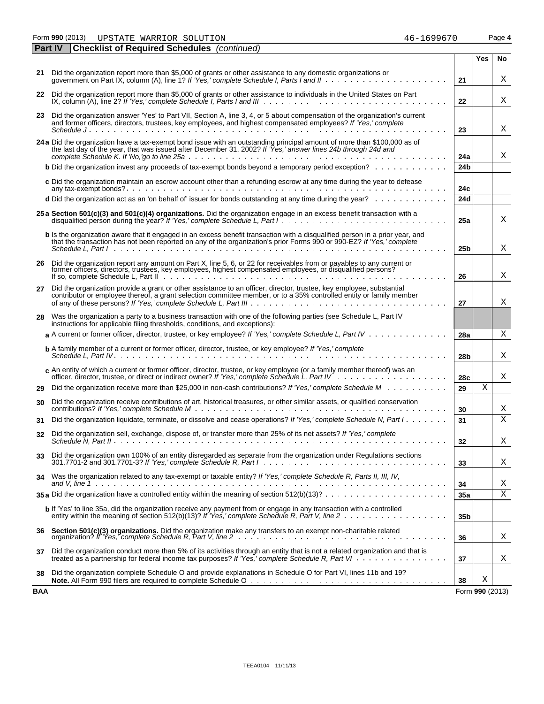Form **990** (2013) UPSTATE WARRIOR SOLUTION **16-1699670** Page 4

|     | Part IV<br><b>Checklist of Required Schedules</b> (continued)                                                                                                                                                                                                               |                 |                 |    |
|-----|-----------------------------------------------------------------------------------------------------------------------------------------------------------------------------------------------------------------------------------------------------------------------------|-----------------|-----------------|----|
|     |                                                                                                                                                                                                                                                                             |                 | Yes             | No |
|     | 21 Did the organization report more than \$5,000 of grants or other assistance to any domestic organizations or                                                                                                                                                             | 21              |                 | Χ  |
|     | 22 Did the organization report more than \$5,000 of grants or other assistance to individuals in the United States on Part IX, column (A), line 2? If 'Yes,' complete Schedule I, Parts I and III                                                                           | 22              |                 | Χ  |
|     | 23 Did the organization answer 'Yes' to Part VII, Section A, line 3, 4, or 5 about compensation of the organization's current<br>and former officers, directors, trustees, key employees, and highest compensated employees? If 'Yes,' complete                             |                 |                 |    |
|     |                                                                                                                                                                                                                                                                             | 23              |                 | Χ  |
|     | 24 a Did the organization have a tax-exempt bond issue with an outstanding principal amount of more than \$100,000 as of<br>the last day of the year, that was issued after December 31, 2002? If 'Yes,' answer lines 24b through 24d and                                   | 24a             |                 | Χ  |
|     | <b>b</b> Did the organization invest any proceeds of tax-exempt bonds beyond a temporary period exception?                                                                                                                                                                  | 24 <sub>b</sub> |                 |    |
|     | c Did the organization maintain an escrow account other than a refunding escrow at any time during the year to defease                                                                                                                                                      | 24c             |                 |    |
|     | d Did the organization act as an 'on behalf of' issuer for bonds outstanding at any time during the year?                                                                                                                                                                   | 24d             |                 |    |
|     | 25 a Section 501(c)(3) and 501(c)(4) organizations. Did the organization engage in an excess benefit transaction with a                                                                                                                                                     | 25a             |                 | Χ  |
|     | b Is the organization aware that it engaged in an excess benefit transaction with a disqualified person in a prior year, and<br>that the transaction has not been reported on any of the organization's prior Forms 990 or 990-EZ? If 'Yes,' complete                       | 25 <sub>b</sub> |                 | X  |
|     |                                                                                                                                                                                                                                                                             |                 |                 |    |
|     | 26 Did the organization report any amount on Part X, line 5, 6, or 22 for receivables from or payables to any current or former officers, directors, trustees, key employees, highest compensated employees, or disqualified p                                              | 26              |                 | Χ  |
| 27  | Did the organization provide a grant or other assistance to an officer, director, trustee, key employee, substantial<br>contributor or employee thereof, a grant selection committee member, or to a 35% controlled entity or family member                                 | 27              |                 | Χ  |
| 28  | Was the organization a party to a business transaction with one of the following parties (see Schedule L, Part IV<br>instructions for applicable filing thresholds, conditions, and exceptions):                                                                            |                 |                 |    |
|     | a A current or former officer, director, trustee, or key employee? If 'Yes,' complete Schedule L, Part IV                                                                                                                                                                   | 28a             |                 | Χ  |
|     | b A family member of a current or former officer, director, trustee, or key employee? If 'Yes,' complete                                                                                                                                                                    | 28b             |                 | Χ  |
|     | c An entity of which a current or former officer, director, trustee, or key employee (or a family member thereof) was an                                                                                                                                                    | 28c             |                 | Χ  |
| 29  | Did the organization receive more than \$25,000 in non-cash contributions? If 'Yes,' complete Schedule M                                                                                                                                                                    | 29              | Χ               |    |
| 30  | Did the organization receive contributions of art, historical treasures, or other similar assets, or qualified conservation                                                                                                                                                 | 30              |                 | Χ  |
| 31  | Did the organization liquidate, terminate, or dissolve and cease operations? If 'Yes,' complete Schedule N, Part I                                                                                                                                                          | 31              |                 | Х  |
| 32  | Did the organization sell, exchange, dispose of, or transfer more than 25% of its net assets? If 'Yes,' complete                                                                                                                                                            | 32              |                 | Χ  |
| 33  | Did the organization own 100% of an entity disregarded as separate from the organization under Regulations sections<br>$301.7701-2$ and $301.7701-3$ ? If 'Yes,' complete Schedule R, Part $1 \ldots \ldots \ldots \ldots \ldots \ldots \ldots \ldots \ldots \ldots \ldots$ | 33              |                 | Χ  |
| 34  | Was the organization related to any tax-exempt or taxable entity? If 'Yes,' complete Schedule R, Parts II, III, IV,                                                                                                                                                         | 34              |                 | Χ  |
|     | 35 a Did the organization have a controlled entity within the meaning of section $512(b)(13)? \ldots \ldots \ldots \ldots \ldots \ldots$                                                                                                                                    | 35a             |                 | Χ  |
|     | b If 'Yes' to line 35a, did the organization receive any payment from or engage in any transaction with a controlled                                                                                                                                                        | 35 <sub>b</sub> |                 |    |
| 36  | Section 501(c)(3) organizations. Did the organization make any transfers to an exempt non-charitable related<br>organization? If 'Yes,' complete Schedule R. Part V. line 2 ………………………………………………………                                                                           | 36              |                 | Χ  |
| 37  | Did the organization conduct more than 5% of its activities through an entity that is not a related organization and that is<br>treated as a partnership for federal income tax purposes? If 'Yes,' complete Schedule R, Part VI                                            | 37              |                 | X  |
| 38  | Did the organization complete Schedule O and provide explanations in Schedule O for Part VI, lines 11b and 19?                                                                                                                                                              | 38              | Χ               |    |
| BAA |                                                                                                                                                                                                                                                                             |                 | Form 990 (2013) |    |

| 16–1699670 |  |  |  |  |
|------------|--|--|--|--|
|            |  |  |  |  |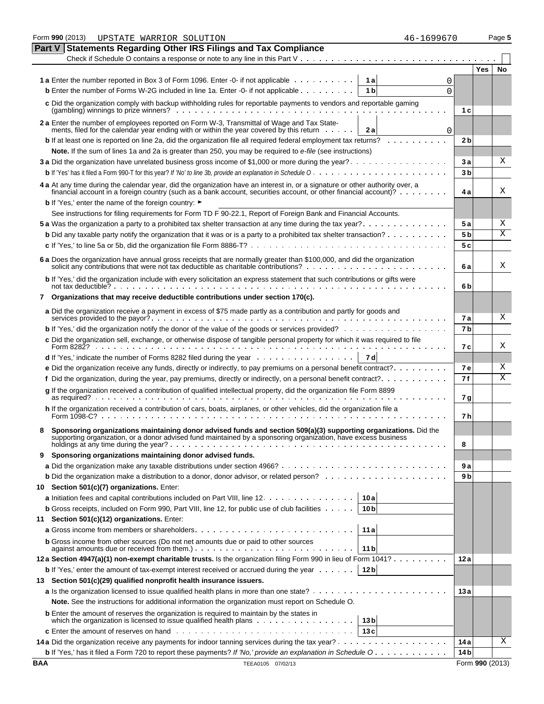|            | Form 990 (2013)<br>46-1699670<br>UPSTATE WARRIOR SOLUTION                                                                                                                                                                                         |                 |                 | Page 5    |
|------------|---------------------------------------------------------------------------------------------------------------------------------------------------------------------------------------------------------------------------------------------------|-----------------|-----------------|-----------|
| Part V     | <b>Statements Regarding Other IRS Filings and Tax Compliance</b>                                                                                                                                                                                  |                 |                 |           |
|            |                                                                                                                                                                                                                                                   |                 |                 |           |
|            |                                                                                                                                                                                                                                                   |                 | Yes             | <b>No</b> |
|            | <b>1a</b> Enter the number reported in Box 3 of Form 1096. Enter -0- if not applicable<br>1al<br>0                                                                                                                                                |                 |                 |           |
|            | <b>b</b> Enter the number of Forms W-2G included in line 1a. Enter -0- if not applicable<br>1 <sub>b</sub><br>$\Omega$                                                                                                                            |                 |                 |           |
|            | c Did the organization comply with backup withholding rules for reportable payments to vendors and reportable gaming                                                                                                                              |                 |                 |           |
|            |                                                                                                                                                                                                                                                   | 1 c             |                 |           |
|            | 2 a Enter the number of employees reported on Form W-3, Transmittal of Wage and Tax State-<br>ments, filed for the calendar year ending with or within the year covered by this return<br>2a<br>$\mathbf 0$                                       |                 |                 |           |
|            | <b>b</b> If at least one is reported on line 2a, did the organization file all required federal employment tax returns?                                                                                                                           | 2 <sub>b</sub>  |                 |           |
|            | Note. If the sum of lines 1a and 2a is greater than 250, you may be required to e-file (see instructions)                                                                                                                                         |                 |                 |           |
|            | 3 a Did the organization have unrelated business gross income of \$1,000 or more during the year?                                                                                                                                                 | 3a              |                 | Χ         |
|            |                                                                                                                                                                                                                                                   | 3 <sub>b</sub>  |                 |           |
|            | 4 a At any time during the calendar year, did the organization have an interest in, or a signature or other authority over, a<br>financial account in a foreign country (such as a bank account, securities account, or other financial account)? | 4 a             |                 | Χ         |
|            | <b>b</b> If 'Yes,' enter the name of the foreign country: ►                                                                                                                                                                                       |                 |                 |           |
|            | See instructions for filing requirements for Form TD F 90-22.1, Report of Foreign Bank and Financial Accounts.                                                                                                                                    |                 |                 |           |
|            |                                                                                                                                                                                                                                                   | 5 a             |                 | Χ         |
|            | <b>b</b> Did any taxable party notify the organization that it was or is a party to a prohibited tax shelter transaction?                                                                                                                         | 5 <sub>b</sub>  |                 | Χ         |
|            |                                                                                                                                                                                                                                                   | 5c              |                 |           |
|            | 6 a Does the organization have annual gross receipts that are normally greater than \$100,000, and did the organization solicit any contributions that were not tax deductible as charitable contributions?<br>                                   | 6а              |                 | Χ         |
|            | b If 'Yes,' did the organization include with every solicitation an express statement that such contributions or gifts were                                                                                                                       | 6b              |                 |           |
| 7          | Organizations that may receive deductible contributions under section 170(c).                                                                                                                                                                     |                 |                 |           |
|            | a Did the organization receive a payment in excess of \$75 made partly as a contribution and partly for goods and                                                                                                                                 | 7 a             |                 | X         |
|            | <b>b</b> If 'Yes,' did the organization notify the donor of the value of the goods or services provided?                                                                                                                                          | 7 <sub>b</sub>  |                 |           |
|            | c Did the organization sell, exchange, or otherwise dispose of tangible personal property for which it was required to file<br>Form $8282$ ? $\ldots$ $\ldots$ $\ldots$ $\ldots$                                                                  | 7 c             |                 | Χ         |
|            | <b>d</b> If 'Yes,' indicate the number of Forms 8282 filed during the year $\ldots$ , $\ldots$ , $\ldots$ , $\ldots$<br>7 dl                                                                                                                      |                 |                 |           |
|            | <b>e</b> Did the organization receive any funds, directly or indirectly, to pay premiums on a personal benefit contract? $\dots \dots \dots$                                                                                                      | <b>7e</b>       |                 | Χ         |
|            |                                                                                                                                                                                                                                                   | 7 f             |                 | Χ         |
|            | g If the organization received a contribution of qualified intellectual property, did the organization file Form 8899                                                                                                                             |                 |                 |           |
|            |                                                                                                                                                                                                                                                   | 7 g             |                 |           |
|            | h If the organization received a contribution of cars, boats, airplanes, or other vehicles, did the organization file a                                                                                                                           | 7 h             |                 |           |
|            | Sponsoring organizations maintaining donor advised funds and section 509(a)(3) supporting organizations. Did the<br>supporting organization, or a donor advised fund maintained by a sponsoring organization, have excess business                | 8               |                 |           |
| 9.         | Sponsoring organizations maintaining donor advised funds.                                                                                                                                                                                         |                 |                 |           |
|            |                                                                                                                                                                                                                                                   | 9a              |                 |           |
|            |                                                                                                                                                                                                                                                   | 9 b             |                 |           |
|            | 10 Section 501(c)(7) organizations. Enter:                                                                                                                                                                                                        |                 |                 |           |
|            | a Initiation fees and capital contributions included on Part VIII, line 12.<br>10a                                                                                                                                                                |                 |                 |           |
|            | <b>b</b> Gross receipts, included on Form 990, Part VIII, line 12, for public use of club facilities<br>10 <sub>b</sub>                                                                                                                           |                 |                 |           |
| 11         | Section 501(c)(12) organizations. Enter:                                                                                                                                                                                                          |                 |                 |           |
|            | 11a                                                                                                                                                                                                                                               |                 |                 |           |
|            | <b>b</b> Gross income from other sources (Do not net amounts due or paid to other sources                                                                                                                                                         |                 |                 |           |
|            | 11 b<br>12a Section 4947(a)(1) non-exempt charitable trusts. Is the organization filing Form 990 in lieu of Form 1041?                                                                                                                            | 12a             |                 |           |
|            | 12 <sub>b</sub>                                                                                                                                                                                                                                   |                 |                 |           |
|            | <b>b</b> If 'Yes,' enter the amount of tax-exempt interest received or accrued during the year $\dots$                                                                                                                                            |                 |                 |           |
|            | 13 Section 501(c)(29) qualified nonprofit health insurance issuers.                                                                                                                                                                               |                 |                 |           |
|            | Note. See the instructions for additional information the organization must report on Schedule O.                                                                                                                                                 | 13 a            |                 |           |
|            | <b>b</b> Enter the amount of reserves the organization is required to maintain by the states in                                                                                                                                                   |                 |                 |           |
|            | 13 <sub>b</sub>                                                                                                                                                                                                                                   |                 |                 |           |
|            | <b>c</b> Enter the amount of reserves on hand $\ldots$ , $\ldots$ , $\ldots$ , $\ldots$ , $\ldots$ , $\ldots$ , $\ldots$ , $\ldots$ , $\ldots$<br>13c                                                                                             |                 |                 |           |
|            |                                                                                                                                                                                                                                                   | 14 a            |                 | Χ         |
|            | <b>b</b> If 'Yes,' has it filed a Form 720 to report these payments? If 'No,' provide an explanation in Schedule O.                                                                                                                               | 14 <sub>b</sub> |                 |           |
| <b>BAA</b> | TEEA0105 07/02/13                                                                                                                                                                                                                                 |                 | Form 990 (2013) |           |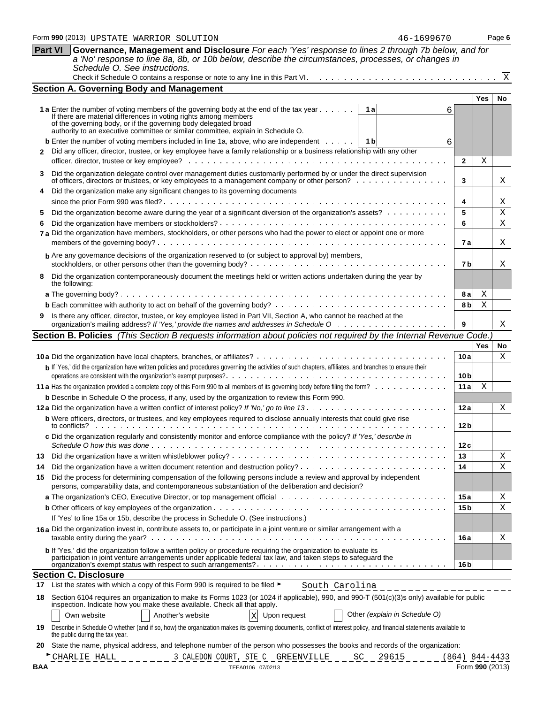|     |                                                                                                                                                                                                                                                                                                                                                     |                  | Yes    | No.    |
|-----|-----------------------------------------------------------------------------------------------------------------------------------------------------------------------------------------------------------------------------------------------------------------------------------------------------------------------------------------------------|------------------|--------|--------|
|     | <b>1 a</b> Enter the number of voting members of the governing body at the end of the tax year $\dots \dots$<br>1 a<br>6<br>If there are material differences in voting rights among members<br>of the governing body, or if the governing body delegated broad<br>authority to an executive committee or similar committee, explain in Schedule O. |                  |        |        |
|     | <b>b</b> Enter the number of voting members included in line 1a, above, who are independent $\dots$ , $\begin{bmatrix} 1 & b \end{bmatrix}$<br>6                                                                                                                                                                                                    |                  |        |        |
| 2   | Did any officer, director, trustee, or key employee have a family relationship or a business relationship with any other                                                                                                                                                                                                                            |                  |        |        |
|     |                                                                                                                                                                                                                                                                                                                                                     | $\mathbf{2}$     | Χ      |        |
| 3   | Did the organization delegate control over management duties customarily performed by or under the direct supervision<br>of officers, directors or trustees, or key employees to a management company or other person?                                                                                                                              | 3                |        | Χ      |
| 4   | Did the organization make any significant changes to its governing documents                                                                                                                                                                                                                                                                        |                  |        |        |
| 5.  | Did the organization become aware during the year of a significant diversion of the organization's assets?                                                                                                                                                                                                                                          | 4<br>5           |        | Χ<br>Х |
| 6   |                                                                                                                                                                                                                                                                                                                                                     | 6                |        | Χ      |
|     | 7 a Did the organization have members, stockholders, or other persons who had the power to elect or appoint one or more                                                                                                                                                                                                                             |                  |        |        |
|     |                                                                                                                                                                                                                                                                                                                                                     | 7а               |        | Χ      |
|     | <b>b</b> Are any governance decisions of the organization reserved to (or subject to approval by) members,                                                                                                                                                                                                                                          | 7b               |        | Χ      |
| 8   | Did the organization contemporaneously document the meetings held or written actions undertaken during the year by                                                                                                                                                                                                                                  |                  |        |        |
|     | the following:                                                                                                                                                                                                                                                                                                                                      | 8а               |        |        |
|     |                                                                                                                                                                                                                                                                                                                                                     | 8 b              | Χ<br>Χ |        |
|     | Is there any officer, director, trustee, or key employee listed in Part VII, Section A, who cannot be reached at the                                                                                                                                                                                                                                |                  |        |        |
|     |                                                                                                                                                                                                                                                                                                                                                     | 9                |        | Χ      |
|     | Section B. Policies (This Section B requests information about policies not required by the Internal Revenue Code.                                                                                                                                                                                                                                  |                  |        |        |
|     |                                                                                                                                                                                                                                                                                                                                                     |                  | Yes    | No     |
|     |                                                                                                                                                                                                                                                                                                                                                     | 10 a             |        | X      |
|     | b If 'Yes,' did the organization have written policies and procedures governing the activities of such chapters, affiliates, and branches to ensure their                                                                                                                                                                                           | 10 <sub>b</sub>  |        |        |
|     |                                                                                                                                                                                                                                                                                                                                                     | 11a              | X      |        |
|     | <b>b</b> Describe in Schedule O the process, if any, used by the organization to review this Form 990.                                                                                                                                                                                                                                              |                  |        |        |
|     |                                                                                                                                                                                                                                                                                                                                                     | 12a              |        | X      |
|     | <b>b</b> Were officers, directors, or trustees, and key employees required to disclose annually interests that could give rise                                                                                                                                                                                                                      | 12 b             |        |        |
|     | c Did the organization regularly and consistently monitor and enforce compliance with the policy? If 'Yes,' describe in                                                                                                                                                                                                                             | 12 c             |        |        |
|     |                                                                                                                                                                                                                                                                                                                                                     | 13               |        | Χ      |
| 14  |                                                                                                                                                                                                                                                                                                                                                     | 14               |        | Х      |
| 15  | Did the process for determining compensation of the following persons include a review and approval by independent<br>persons, comparability data, and contemporaneous substantiation of the deliberation and decision?                                                                                                                             |                  |        |        |
|     |                                                                                                                                                                                                                                                                                                                                                     | 15 a             |        | X      |
|     |                                                                                                                                                                                                                                                                                                                                                     | 15 <sub>b</sub>  |        | Χ      |
|     | If 'Yes' to line 15a or 15b, describe the process in Schedule O. (See instructions.)                                                                                                                                                                                                                                                                |                  |        |        |
|     | 16a Did the organization invest in, contribute assets to, or participate in a joint venture or similar arrangement with a                                                                                                                                                                                                                           | 16 a             |        | Χ      |
|     | b If 'Yes,' did the organization follow a written policy or procedure requiring the organization to evaluate its                                                                                                                                                                                                                                    |                  |        |        |
|     | participation in joint venture arrangements under applicable federal tax law, and taken steps to safeguard the                                                                                                                                                                                                                                      |                  |        |        |
|     |                                                                                                                                                                                                                                                                                                                                                     | 16 <sub>b</sub>  |        |        |
|     | <b>Section C. Disclosure</b><br>List the states with which a copy of this Form 990 is required to be filed ►                                                                                                                                                                                                                                        |                  |        |        |
| 17  | South Carolina                                                                                                                                                                                                                                                                                                                                      |                  |        |        |
| 18  | Section 6104 requires an organization to make its Forms 1023 (or 1024 if applicable), 990, and 990-T (501(c)(3)s only) available for public<br>inspection. Indicate how you make these available. Check all that apply.                                                                                                                             |                  |        |        |
|     | Other (explain in Schedule O)<br>Own website<br>Another's website<br>$\overline{X}$<br>Upon request<br>19 Describe in Schedule O whether (and if so, how) the organization makes its governing documents, conflict of interest policy, and financial statements available to                                                                        |                  |        |        |
| 20  | the public during the tax year.<br>State the name, physical address, and telephone number of the person who possesses the books and records of the organization:                                                                                                                                                                                    |                  |        |        |
|     | CHARLIE HALL<br>3 CALEDON COURT, STE C GREENVILLE<br>SC<br>29615                                                                                                                                                                                                                                                                                    | $(864)$ 844-4433 |        |        |
| BAA | TEEA0106 07/02/13                                                                                                                                                                                                                                                                                                                                   | Form 990 (2013)  |        |        |
|     |                                                                                                                                                                                                                                                                                                                                                     |                  |        |        |
|     |                                                                                                                                                                                                                                                                                                                                                     |                  |        |        |

#### Form **990** (2013) Page **6** UPSTATE WARRIOR SOLUTION 46-1699670

#### **Part VI Governance, Management and Disclosure** *For each 'Yes' response to lines 2 through 7b below, and for a 'No' response to line 8a, 8b, or 10b below, describe the circumstances, processes, or changes in Schedule O. See instructions.*

**Section A. Governing Body and Management**

Check if Schedule O contains a response or note to any line in this Part VI

X

**Yes No**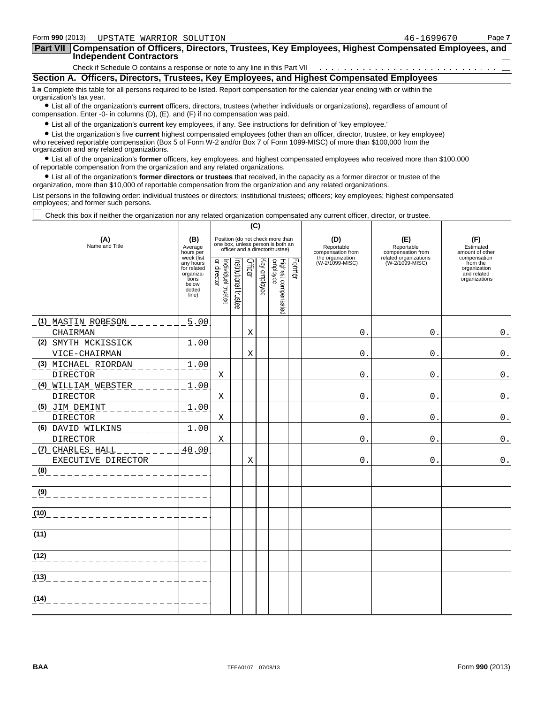| Form 990 (2013)<br>UPSTATE WARRIOR SOLUTION                                                                                                                                                                                                            | 46-1699670 | Page 7 |
|--------------------------------------------------------------------------------------------------------------------------------------------------------------------------------------------------------------------------------------------------------|------------|--------|
| <b>Part VII</b><br>Compensation of Officers, Directors, Trustees, Key Employees, Highest Compensated Employees, and<br><b>Independent Contractors</b>                                                                                                  |            |        |
| Check if Schedule O contains a response or note to any line in this Part VII                                                                                                                                                                           |            |        |
| Section A. Officers, Directors, Trustees, Key Employees, and Highest Compensated Employees                                                                                                                                                             |            |        |
| 1 a Complete this table for all persons required to be listed. Report compensation for the calendar year ending with or within the<br>organization's tax year.                                                                                         |            |        |
| • List all of the organization's current officers, directors, trustees (whether individuals or organizations), regardless of amount of<br>compensation. Enter -0- in columns $(D)$ , $(E)$ , and $(F)$ if no compensation was paid.                    |            |        |
| • List all of the organization's current key employees, if any. See instructions for definition of 'key employee.'<br>• List the organization's five current highest compensated employees (other than an officer, director, trustee, or key employee) |            |        |

who received reportable compensation (Box 5 of Form W-2 and/or Box 7 of Form 1099-MISC) of more than \$100,000 from the organization and any related organizations. ? List all of the organization's **former** officers, key employees, and highest compensated employees who received more than \$100,000

of reportable compensation from the organization and any related organizations.

? List all of the organization's **former directors or trustees** that received, in the capacity as a former director or trustee of the organization, more than \$10,000 of reportable compensation from the organization and any related organizations.

List persons in the following order: individual trustees or directors; institutional trustees; officers; key employees; highest compensated employees; and former such persons.

Check this box if neither the organization nor any related organization compensated any current officer, director, or trustee.

|                                        |                                                                                          |                                                                                                                                                      |  | (C)                                      |                                                                                                          |                                                            |                                        |                                     |
|----------------------------------------|------------------------------------------------------------------------------------------|------------------------------------------------------------------------------------------------------------------------------------------------------|--|------------------------------------------|----------------------------------------------------------------------------------------------------------|------------------------------------------------------------|----------------------------------------|-------------------------------------|
| (A)<br>Name and Title                  | (B)<br>Average<br>hours per                                                              |                                                                                                                                                      |  |                                          | Position (do not check more than<br>one box, unless person is both an<br>officer and a director/trustee) | (D)<br>Reportable<br>compensation from<br>the organization | (E)<br>Reportable<br>compensation from | (F)<br>Estimated<br>amount of other |
|                                        | week (list<br>any hours<br>for related<br>organiza-<br>tions<br>below<br>dotted<br>line) | Former<br>Individual trustee<br>or director<br>Officer<br>Highest compensated<br>employee<br>Key employee<br>nstitutional trustee<br>(W-2/1099-MISC) |  | related organizations<br>(W-2/1099-MISC) | compensation<br>from the<br>organization<br>and related<br>organizations                                 |                                                            |                                        |                                     |
| (1) MASTIN ROBESON                     | 5.00                                                                                     |                                                                                                                                                      |  |                                          |                                                                                                          |                                                            |                                        |                                     |
| CHAIRMAN                               |                                                                                          |                                                                                                                                                      |  | Χ                                        |                                                                                                          | $\Omega$ .                                                 | $\mathbf{0}$ .                         | $\boldsymbol{0}$ .                  |
| (2) SMYTH MCKISSICK<br>VICE-CHAIRMAN   | 1.00                                                                                     |                                                                                                                                                      |  | Χ                                        |                                                                                                          | 0                                                          | $\mathsf{O}$                           | $\mathsf 0$ .                       |
| (3) MICHAEL RIORDAN<br><b>DIRECTOR</b> | 1.00                                                                                     | Χ                                                                                                                                                    |  |                                          |                                                                                                          | 0                                                          | $\mathbf{0}$ .                         | $\boldsymbol{0}$ .                  |
| <u>(4) WILLIAM WEBSTER</u><br>DIRECTOR | 1.00                                                                                     | Χ                                                                                                                                                    |  |                                          |                                                                                                          | $\mathbf 0$ .                                              | $\mathsf{O}$ .                         | $\mathbf 0$ .                       |
| (5) JIM DEMINT<br><b>DIRECTOR</b>      | 1.00                                                                                     | Χ                                                                                                                                                    |  |                                          |                                                                                                          | $\mathbf 0$ .                                              | $\overline{0}$ .                       | $0$ .                               |
| (6) DAVID WILKINS<br><b>DIRECTOR</b>   | 1.00                                                                                     | Χ                                                                                                                                                    |  |                                          |                                                                                                          | 0.                                                         | 0.                                     | $\boldsymbol{0}$ .                  |
| (7) CHARLES HALL<br>EXECUTIVE DIRECTOR | 40.00                                                                                    |                                                                                                                                                      |  | Χ                                        |                                                                                                          | 0.                                                         | 0.                                     | $0$ .                               |
| (8)                                    |                                                                                          |                                                                                                                                                      |  |                                          |                                                                                                          |                                                            |                                        |                                     |
| (9)                                    |                                                                                          |                                                                                                                                                      |  |                                          |                                                                                                          |                                                            |                                        |                                     |
| (10)                                   |                                                                                          |                                                                                                                                                      |  |                                          |                                                                                                          |                                                            |                                        |                                     |
| (11)                                   |                                                                                          |                                                                                                                                                      |  |                                          |                                                                                                          |                                                            |                                        |                                     |
| (12)                                   |                                                                                          |                                                                                                                                                      |  |                                          |                                                                                                          |                                                            |                                        |                                     |
| (13)                                   |                                                                                          |                                                                                                                                                      |  |                                          |                                                                                                          |                                                            |                                        |                                     |
| (14)                                   |                                                                                          |                                                                                                                                                      |  |                                          |                                                                                                          |                                                            |                                        |                                     |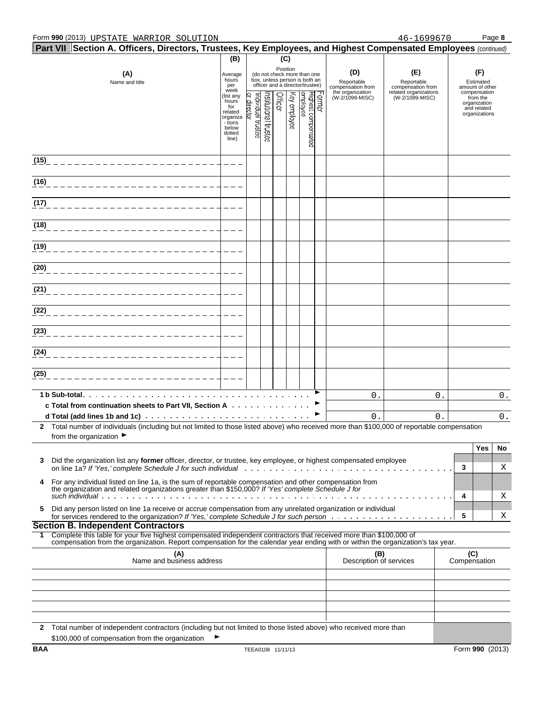|            |                                             | $\mid$ Part VII $\mid$ Section A. Officers, Directors, Trustees, Key Employees, and Highest Compensated Employees (continued)                                                                                                                          |                                                                                         |                                    |                      |         |              |                                                                                                 |                                        |                                          |              |                                                                          |
|------------|---------------------------------------------|--------------------------------------------------------------------------------------------------------------------------------------------------------------------------------------------------------------------------------------------------------|-----------------------------------------------------------------------------------------|------------------------------------|----------------------|---------|--------------|-------------------------------------------------------------------------------------------------|----------------------------------------|------------------------------------------|--------------|--------------------------------------------------------------------------|
|            |                                             |                                                                                                                                                                                                                                                        | (B)                                                                                     |                                    |                      |         | (C)          |                                                                                                 |                                        |                                          |              |                                                                          |
|            |                                             | (A)<br>Name and title                                                                                                                                                                                                                                  | Average<br>hours<br>per<br>week                                                         |                                    |                      |         | Position     | (do not check more than one<br>box, unless person is both an<br>officer and a director/trustee) | (D)<br>Reportable<br>compensation from | (E)<br>Reportable<br>compensation from   |              | (F)<br>Estimated<br>amount of other                                      |
|            |                                             |                                                                                                                                                                                                                                                        | (list any<br>hours<br>for<br>related<br>organiza<br>- tions<br>below<br>dotted<br>line) | Individual trustee<br> or director | hstitutional trustee | Officer | Key employee | Former<br>Highest compensated<br>employee                                                       | the organization<br>(W-2/1099-MISC)    | related organizations<br>(W-2/1099-MISC) |              | compensation<br>from the<br>organization<br>and related<br>organizations |
| (15)       |                                             |                                                                                                                                                                                                                                                        |                                                                                         |                                    |                      |         |              |                                                                                                 |                                        |                                          |              |                                                                          |
| (16)       |                                             |                                                                                                                                                                                                                                                        |                                                                                         |                                    |                      |         |              |                                                                                                 |                                        |                                          |              |                                                                          |
| (17)       |                                             |                                                                                                                                                                                                                                                        |                                                                                         |                                    |                      |         |              |                                                                                                 |                                        |                                          |              |                                                                          |
| (18)       |                                             |                                                                                                                                                                                                                                                        |                                                                                         |                                    |                      |         |              |                                                                                                 |                                        |                                          |              |                                                                          |
| (19)       |                                             |                                                                                                                                                                                                                                                        |                                                                                         |                                    |                      |         |              |                                                                                                 |                                        |                                          |              |                                                                          |
| (20)       |                                             |                                                                                                                                                                                                                                                        |                                                                                         |                                    |                      |         |              |                                                                                                 |                                        |                                          |              |                                                                          |
| (21)       |                                             |                                                                                                                                                                                                                                                        |                                                                                         |                                    |                      |         |              |                                                                                                 |                                        |                                          |              |                                                                          |
| (22)       |                                             |                                                                                                                                                                                                                                                        |                                                                                         |                                    |                      |         |              |                                                                                                 |                                        |                                          |              |                                                                          |
| (23)       |                                             |                                                                                                                                                                                                                                                        |                                                                                         |                                    |                      |         |              |                                                                                                 |                                        |                                          |              |                                                                          |
| (24)       |                                             |                                                                                                                                                                                                                                                        |                                                                                         |                                    |                      |         |              |                                                                                                 |                                        |                                          |              |                                                                          |
| (25)       |                                             |                                                                                                                                                                                                                                                        |                                                                                         |                                    |                      |         |              |                                                                                                 |                                        |                                          |              |                                                                          |
|            |                                             | c Total from continuation sheets to Part VII, Section A                                                                                                                                                                                                |                                                                                         |                                    |                      |         |              |                                                                                                 | 0.                                     | 0.                                       |              | 0.                                                                       |
|            |                                             |                                                                                                                                                                                                                                                        |                                                                                         |                                    |                      |         |              |                                                                                                 | $\mathsf{0}$ .                         | $\mathbf 0$ .                            |              | $0$ .                                                                    |
|            | from the organization $\blacktriangleright$ | 2 Total number of individuals (including but not limited to those listed above) who received more than \$100,000 of reportable compensation                                                                                                            |                                                                                         |                                    |                      |         |              |                                                                                                 |                                        |                                          |              |                                                                          |
| 3          |                                             | Did the organization list any former officer, director, or trustee, key employee, or highest compensated employee<br>on line 1a? If 'Yes.' complete Schedule J for such individual entermination on the same of the service of the s                   |                                                                                         |                                    |                      |         |              |                                                                                                 |                                        |                                          | 3            | Yes<br>No<br>Χ                                                           |
| 4          |                                             | For any individual listed on line 1a, is the sum of reportable compensation and other compensation from<br>the organization and related organizations greater than \$150,000? If 'Yes' complete Schedule J for                                         |                                                                                         |                                    |                      |         |              |                                                                                                 |                                        |                                          |              |                                                                          |
| 5          |                                             | Did any person listed on line 1a receive or accrue compensation from any unrelated organization or individual                                                                                                                                          |                                                                                         |                                    |                      |         |              |                                                                                                 |                                        |                                          | 4            | Χ                                                                        |
|            |                                             | <b>Section B. Independent Contractors</b>                                                                                                                                                                                                              |                                                                                         |                                    |                      |         |              |                                                                                                 |                                        |                                          | 5            | Χ                                                                        |
| 1.         |                                             | Complete this table for your five highest compensated independent contractors that received more than \$100,000 of<br>compensation from the organization. Report compensation for the calendar year ending with or within the organization's tax year. |                                                                                         |                                    |                      |         |              |                                                                                                 |                                        |                                          |              |                                                                          |
|            |                                             | (A)<br>Name and business address                                                                                                                                                                                                                       |                                                                                         |                                    |                      |         |              |                                                                                                 | (B)<br>Description of services         |                                          | Compensation | (C)                                                                      |
|            |                                             |                                                                                                                                                                                                                                                        |                                                                                         |                                    |                      |         |              |                                                                                                 |                                        |                                          |              |                                                                          |
|            |                                             |                                                                                                                                                                                                                                                        |                                                                                         |                                    |                      |         |              |                                                                                                 |                                        |                                          |              |                                                                          |
|            |                                             |                                                                                                                                                                                                                                                        |                                                                                         |                                    |                      |         |              |                                                                                                 |                                        |                                          |              |                                                                          |
|            |                                             | 2 Total number of independent contractors (including but not limited to those listed above) who received more than<br>\$100,000 of compensation from the organization                                                                                  |                                                                                         |                                    |                      |         |              |                                                                                                 |                                        |                                          |              |                                                                          |
| <b>BAA</b> |                                             |                                                                                                                                                                                                                                                        |                                                                                         | TEEA0108 11/11/13                  |                      |         |              |                                                                                                 |                                        |                                          |              | Form 990 (2013)                                                          |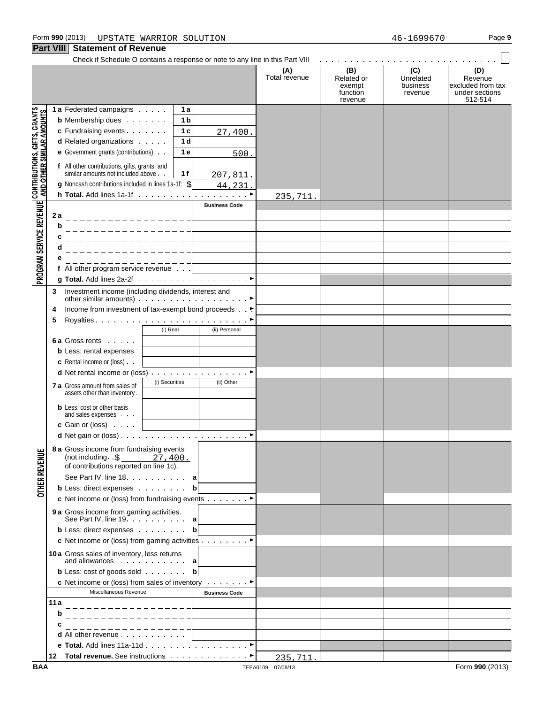**Part VIII Statement of Revenue**

 $\Box$ 

|                                                                                                               |                                                                                      |                                                      |                |                |                                                                  | (A)<br>Total revenue | (B)<br>Related or<br>exempt<br>function<br>revenue | (C)<br>Unrelated<br>business<br>revenue | (D)<br>Revenue<br>excluded from tax<br>under sections<br>512-514 |
|---------------------------------------------------------------------------------------------------------------|--------------------------------------------------------------------------------------|------------------------------------------------------|----------------|----------------|------------------------------------------------------------------|----------------------|----------------------------------------------------|-----------------------------------------|------------------------------------------------------------------|
|                                                                                                               | 1 a Federated campaigns                                                              |                                                      |                | 1а             |                                                                  |                      |                                                    |                                         |                                                                  |
|                                                                                                               | <b>b</b> Membership dues                                                             |                                                      |                | 1 <sub>b</sub> |                                                                  |                      |                                                    |                                         |                                                                  |
|                                                                                                               | c Fundraising events                                                                 |                                                      |                | 1 <sub>c</sub> | 27,400.                                                          |                      |                                                    |                                         |                                                                  |
|                                                                                                               | <b>d</b> Related organizations                                                       |                                                      |                | 1 <sub>d</sub> |                                                                  |                      |                                                    |                                         |                                                                  |
|                                                                                                               | e Government grants (contributions)                                                  |                                                      |                | 1e             | 500.                                                             |                      |                                                    |                                         |                                                                  |
|                                                                                                               |                                                                                      |                                                      |                |                |                                                                  |                      |                                                    |                                         |                                                                  |
|                                                                                                               | f All other contributions, gifts, grants, and<br>similar amounts not included above. |                                                      |                | 1 f            | 207,811.                                                         |                      |                                                    |                                         |                                                                  |
|                                                                                                               | g Noncash contributions included in lines 1a-1f: \$                                  |                                                      |                |                | 44,231.                                                          |                      |                                                    |                                         |                                                                  |
| PROGRAM SERVICE REVENUE   CONTRIBUTIONS, GIFTS, GRANTS<br>PROGRAM SERVICE REVENUE   AND OTHER SIMILAR AMOUNTS |                                                                                      |                                                      |                |                |                                                                  | 235,711.             |                                                    |                                         |                                                                  |
|                                                                                                               |                                                                                      |                                                      |                |                | <b>Business Code</b>                                             |                      |                                                    |                                         |                                                                  |
|                                                                                                               | 2a                                                                                   |                                                      |                |                |                                                                  |                      |                                                    |                                         |                                                                  |
|                                                                                                               | b                                                                                    | _________________                                    |                |                |                                                                  |                      |                                                    |                                         |                                                                  |
|                                                                                                               | c                                                                                    |                                                      |                |                |                                                                  |                      |                                                    |                                         |                                                                  |
|                                                                                                               |                                                                                      |                                                      |                |                |                                                                  |                      |                                                    |                                         |                                                                  |
|                                                                                                               |                                                                                      |                                                      |                |                |                                                                  |                      |                                                    |                                         |                                                                  |
|                                                                                                               | f All other program service revenue                                                  |                                                      |                |                |                                                                  |                      |                                                    |                                         |                                                                  |
|                                                                                                               |                                                                                      |                                                      |                |                |                                                                  |                      |                                                    |                                         |                                                                  |
|                                                                                                               |                                                                                      |                                                      |                |                |                                                                  |                      |                                                    |                                         |                                                                  |
|                                                                                                               | 3                                                                                    | Investment income (including dividends, interest and |                |                | other similar amounts) $\ldots$ . $\ldots$ . $\ldots$ . $\ldots$ |                      |                                                    |                                         |                                                                  |
|                                                                                                               | 4                                                                                    |                                                      |                |                | Income from investment of tax-exempt bond proceeds               |                      |                                                    |                                         |                                                                  |
|                                                                                                               | 5                                                                                    |                                                      |                |                |                                                                  |                      |                                                    |                                         |                                                                  |
|                                                                                                               |                                                                                      |                                                      | (i) Real       |                | (ii) Personal                                                    |                      |                                                    |                                         |                                                                  |
|                                                                                                               | 6 a Gross rents                                                                      |                                                      |                |                |                                                                  |                      |                                                    |                                         |                                                                  |
|                                                                                                               | <b>b</b> Less: rental expenses                                                       |                                                      |                |                |                                                                  |                      |                                                    |                                         |                                                                  |
|                                                                                                               | c Rental income or (loss)                                                            |                                                      |                |                |                                                                  |                      |                                                    |                                         |                                                                  |
|                                                                                                               |                                                                                      |                                                      |                |                | d Net rental income or (loss) ▶                                  |                      |                                                    |                                         |                                                                  |
|                                                                                                               |                                                                                      |                                                      | (i) Securities |                | (ii) Other                                                       |                      |                                                    |                                         |                                                                  |
|                                                                                                               | 7 a Gross amount from sales of<br>assets other than inventory.                       |                                                      |                |                |                                                                  |                      |                                                    |                                         |                                                                  |
|                                                                                                               |                                                                                      |                                                      |                |                |                                                                  |                      |                                                    |                                         |                                                                  |
|                                                                                                               | <b>b</b> Less: cost or other basis<br>and sales expenses                             |                                                      |                |                |                                                                  |                      |                                                    |                                         |                                                                  |
|                                                                                                               | c Gain or (loss)                                                                     |                                                      |                |                |                                                                  |                      |                                                    |                                         |                                                                  |
|                                                                                                               |                                                                                      |                                                      |                |                |                                                                  |                      |                                                    |                                         |                                                                  |
|                                                                                                               |                                                                                      |                                                      |                |                |                                                                  |                      |                                                    |                                         |                                                                  |
| ш                                                                                                             | 8 a Gross income from fundraising events                                             | (not including $. \$ $27,400.$                       |                |                |                                                                  |                      |                                                    |                                         |                                                                  |
|                                                                                                               |                                                                                      | of contributions reported on line 1c).               |                |                |                                                                  |                      |                                                    |                                         |                                                                  |
|                                                                                                               |                                                                                      | See Part IV, line 18. a                              |                |                |                                                                  |                      |                                                    |                                         |                                                                  |
| <b>OTHER REVENU</b>                                                                                           | <b>b</b> Less: direct expenses                                                       |                                                      |                |                | $\mathbf b$                                                      |                      |                                                    |                                         |                                                                  |
|                                                                                                               |                                                                                      |                                                      |                |                | c Net income or (loss) from fundraising events ▶                 |                      |                                                    |                                         |                                                                  |
|                                                                                                               |                                                                                      |                                                      |                |                |                                                                  |                      |                                                    |                                         |                                                                  |
|                                                                                                               |                                                                                      |                                                      |                |                |                                                                  |                      |                                                    |                                         |                                                                  |
|                                                                                                               | <b>b</b> Less: direct expenses                                                       |                                                      |                |                | b                                                                |                      |                                                    |                                         |                                                                  |
|                                                                                                               |                                                                                      |                                                      |                |                | c Net income or (loss) from gaming activities ▶                  |                      |                                                    |                                         |                                                                  |
|                                                                                                               | 10a Gross sales of inventory, less returns                                           |                                                      |                |                |                                                                  |                      |                                                    |                                         |                                                                  |
|                                                                                                               |                                                                                      |                                                      |                |                |                                                                  |                      |                                                    |                                         |                                                                  |
|                                                                                                               | <b>b</b> Less: cost of goods sold <b>b</b>                                           |                                                      |                |                |                                                                  |                      |                                                    |                                         |                                                                  |
|                                                                                                               |                                                                                      |                                                      |                |                | <b>c</b> Net income or (loss) from sales of inventory $\cdots$   |                      |                                                    |                                         |                                                                  |
|                                                                                                               |                                                                                      | Miscellaneous Revenue                                |                |                | <b>Business Code</b>                                             |                      |                                                    |                                         |                                                                  |
|                                                                                                               | 11a                                                                                  |                                                      |                |                |                                                                  |                      |                                                    |                                         |                                                                  |
|                                                                                                               | b                                                                                    |                                                      |                |                |                                                                  |                      |                                                    |                                         |                                                                  |
|                                                                                                               |                                                                                      |                                                      |                |                |                                                                  |                      |                                                    |                                         |                                                                  |
|                                                                                                               |                                                                                      |                                                      |                |                |                                                                  |                      |                                                    |                                         |                                                                  |
|                                                                                                               |                                                                                      |                                                      |                |                |                                                                  |                      |                                                    |                                         |                                                                  |
|                                                                                                               |                                                                                      |                                                      |                |                |                                                                  | 235,711.             |                                                    |                                         |                                                                  |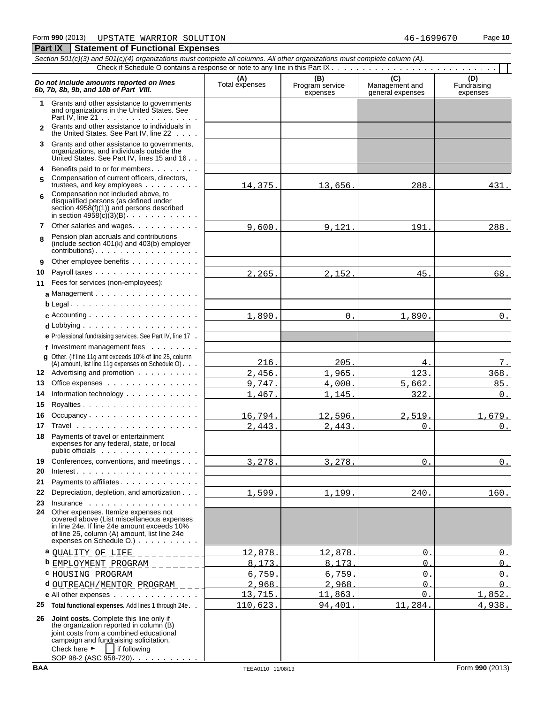|              | Section 501(c)(3) and 501(c)(4) organizations must complete all columns. All other organizations must complete column (A).                                                                                                                                      |                       |                             |                                    |                         |  |  |  |  |  |  |  |
|--------------|-----------------------------------------------------------------------------------------------------------------------------------------------------------------------------------------------------------------------------------------------------------------|-----------------------|-----------------------------|------------------------------------|-------------------------|--|--|--|--|--|--|--|
|              | $\overline{C}$<br>(B)<br>(D)                                                                                                                                                                                                                                    |                       |                             |                                    |                         |  |  |  |  |  |  |  |
|              | Do not include amounts reported on lines<br>6b, 7b, 8b, 9b, and 10b of Part VIII.                                                                                                                                                                               | (A)<br>Total expenses | Program service<br>expenses | Management and<br>general expenses | Fundraising<br>expenses |  |  |  |  |  |  |  |
| $\mathbf 1$  | Grants and other assistance to governments<br>and organizations in the United States. See<br>Part IV, line $21 \cdot \cdot \cdot \cdot \cdot \cdot \cdot \cdot \cdot \cdot \cdot \cdot \cdot \cdot$                                                             |                       |                             |                                    |                         |  |  |  |  |  |  |  |
| $\mathbf{2}$ | Grants and other assistance to individuals in<br>the United States. See Part IV, line 22                                                                                                                                                                        |                       |                             |                                    |                         |  |  |  |  |  |  |  |
| 3            | Grants and other assistance to governments,<br>organizations, and individuals outside the<br>United States. See Part IV, lines 15 and 16                                                                                                                        |                       |                             |                                    |                         |  |  |  |  |  |  |  |
| 4            | Benefits paid to or for members                                                                                                                                                                                                                                 |                       |                             |                                    |                         |  |  |  |  |  |  |  |
| 5            | Compensation of current officers, directors,<br>trustees, and key employees                                                                                                                                                                                     | 14,375.               | 13,656.                     | 288.                               | 431.                    |  |  |  |  |  |  |  |
| 6            | Compensation not included above, to<br>disqualified persons (as defined under<br>section $4958(f)(1)$ and persons described                                                                                                                                     |                       |                             |                                    |                         |  |  |  |  |  |  |  |
| 7            | Other salaries and wages                                                                                                                                                                                                                                        | 9,600.                | 9.121.                      | 191.                               | 288.                    |  |  |  |  |  |  |  |
| 8            | Pension plan accruals and contributions<br>(include section 401(k) and 403(b) employer<br>contributions)                                                                                                                                                        |                       |                             |                                    |                         |  |  |  |  |  |  |  |
| 9            | Other employee benefits                                                                                                                                                                                                                                         |                       |                             |                                    |                         |  |  |  |  |  |  |  |
| 10           | Payroll taxes                                                                                                                                                                                                                                                   | 2,265.                | 2,152.                      | 45.                                | 68.                     |  |  |  |  |  |  |  |
| 11           | Fees for services (non-employees):                                                                                                                                                                                                                              |                       |                             |                                    |                         |  |  |  |  |  |  |  |
|              | a Management                                                                                                                                                                                                                                                    |                       |                             |                                    |                         |  |  |  |  |  |  |  |
|              | $b$ Legal                                                                                                                                                                                                                                                       |                       |                             |                                    |                         |  |  |  |  |  |  |  |
|              |                                                                                                                                                                                                                                                                 | 1,890.                | $0$ .                       | 1,890.                             | $0_{-}$                 |  |  |  |  |  |  |  |
|              | $d$ Lobbying $\ldots \ldots \ldots \ldots \ldots$                                                                                                                                                                                                               |                       |                             |                                    |                         |  |  |  |  |  |  |  |
|              | e Professional fundraising services. See Part IV, line 17.                                                                                                                                                                                                      |                       |                             |                                    |                         |  |  |  |  |  |  |  |
|              | f Investment management fees $\ldots$ ,<br><b>q</b> Other. (If line 11g amt exceeds 10% of line 25, column                                                                                                                                                      |                       |                             |                                    |                         |  |  |  |  |  |  |  |
|              | $(A)$ amount, list line 11g expenses on Schedule O). $\cdot$                                                                                                                                                                                                    | 216.                  | 205.                        | 4.                                 | 7.                      |  |  |  |  |  |  |  |
|              | 12 Advertising and promotion                                                                                                                                                                                                                                    | 2,456.                | 1,965.                      | 123.                               | 368.                    |  |  |  |  |  |  |  |
| 13           | Office expenses                                                                                                                                                                                                                                                 | 9,747.                | 4,000.                      | 5,662.                             | 85.                     |  |  |  |  |  |  |  |
| 14           | Information technology                                                                                                                                                                                                                                          | 1,467.                | 1,145.                      | 322.                               | 0.                      |  |  |  |  |  |  |  |
| 15           |                                                                                                                                                                                                                                                                 |                       |                             |                                    |                         |  |  |  |  |  |  |  |
| 16           | Occupancy                                                                                                                                                                                                                                                       | 16,794.               | 12,596.                     | 2,519.                             | 1,679.                  |  |  |  |  |  |  |  |
| 17           |                                                                                                                                                                                                                                                                 | 2,443.                | 2,443.                      | 0.                                 | 0.                      |  |  |  |  |  |  |  |
| 18           | Payments of travel or entertainment<br>expenses for any federal, state, or local<br>public officials                                                                                                                                                            |                       |                             |                                    |                         |  |  |  |  |  |  |  |
| 19           | Conferences, conventions, and meetings                                                                                                                                                                                                                          | 3,278.                | 3,278.                      | $\Omega$                           | $0_{.}$                 |  |  |  |  |  |  |  |
| 20           |                                                                                                                                                                                                                                                                 |                       |                             |                                    |                         |  |  |  |  |  |  |  |
| 21           | Payments to affiliates.                                                                                                                                                                                                                                         |                       |                             |                                    |                         |  |  |  |  |  |  |  |
| 22           | Depreciation, depletion, and amortization                                                                                                                                                                                                                       | 1,599.                | 1,199.                      | 240.                               | 160.                    |  |  |  |  |  |  |  |
| 23<br>24     | Other expenses. Itemize expenses not<br>covered above (List miscellaneous expenses<br>in line 24e. If line 24e amount exceeds 10%<br>of line 25, column (A) amount, list line 24e<br>expenses on Schedule O.)                                                   |                       |                             |                                    |                         |  |  |  |  |  |  |  |
|              | a QUALITY OF LIFE __________                                                                                                                                                                                                                                    | 12.878                | 12.878                      | $\Omega$                           | $\cap$                  |  |  |  |  |  |  |  |
|              | <b>b</b> EMPLOYMENT PROGRAM $\angle$ $\angle$ $\angle$ $\angle$ $\angle$ $\angle$ $\angle$                                                                                                                                                                      | $\mathsf{R}$<br>173   | R<br>.173                   | $\Omega$                           | $\Omega$ .              |  |  |  |  |  |  |  |
| c            | HOUSING PROGRAM<br><u>in Lucius I</u>                                                                                                                                                                                                                           | 6<br>.759             | 6.759                       | $\Omega$                           | $\Omega$ .              |  |  |  |  |  |  |  |
| d            | OUTREACH/MENTOR PROGRAM _ _ _                                                                                                                                                                                                                                   | $\mathcal{D}$<br>.968 | .968<br>$\mathcal{D}$       | $\Omega$                           | $\Omega$                |  |  |  |  |  |  |  |
|              | e All other expenses                                                                                                                                                                                                                                            | 13,715.               | 11,863.                     | $\mathbf 0$ .                      | 1,852.                  |  |  |  |  |  |  |  |
| 25           | Total functional expenses. Add lines 1 through 24e. .                                                                                                                                                                                                           | 110,623.              | 94,401.                     | 11,284.                            | 4,938.                  |  |  |  |  |  |  |  |
| 26           | Joint costs. Complete this line only if<br>the organization reported in column (B)<br>joint costs from a combined educational<br>campaign and fundraising solicitation.<br>Check here $\blacktriangleright$<br>if following<br>SOP 98-2 (ASC 958-720). $\ldots$ |                       |                             |                                    |                         |  |  |  |  |  |  |  |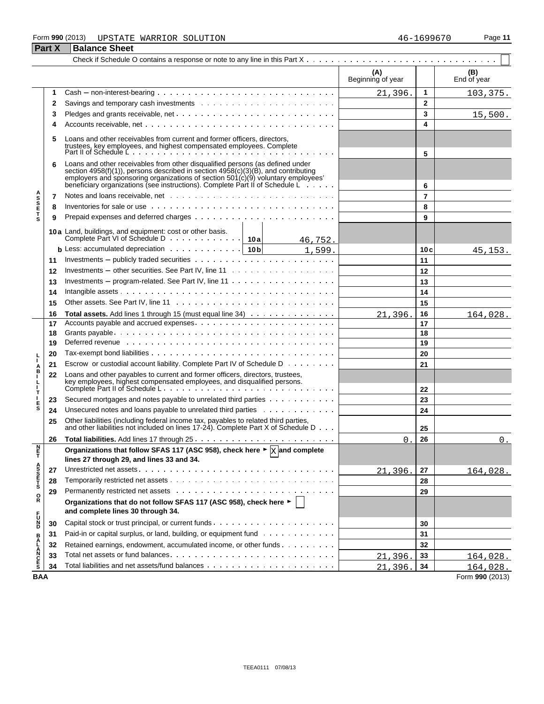#### Form **990** (2013) Page **11** UPSTATE WARRIOR SOLUTION 46-1699670

|                       | <b>Part X</b> | <b>Balance Sheet</b>                                                                                                                                                                                                                                                                                                                     |                          |                |                    |
|-----------------------|---------------|------------------------------------------------------------------------------------------------------------------------------------------------------------------------------------------------------------------------------------------------------------------------------------------------------------------------------------------|--------------------------|----------------|--------------------|
|                       |               |                                                                                                                                                                                                                                                                                                                                          |                          |                |                    |
|                       |               |                                                                                                                                                                                                                                                                                                                                          | (A)<br>Beginning of year |                | (B)<br>End of year |
|                       | 1             | $Cash - non-interest-bearing \dots \dots \dots \dots \dots \dots \dots \dots \dots \dots \dots \dots$                                                                                                                                                                                                                                    | 21,396.                  | 1              | 103,375.           |
|                       | 2             |                                                                                                                                                                                                                                                                                                                                          |                          | $\mathbf{2}$   |                    |
|                       | 3             |                                                                                                                                                                                                                                                                                                                                          |                          | 3              | 15,500.            |
|                       | 4             |                                                                                                                                                                                                                                                                                                                                          |                          | 4              |                    |
|                       | 5             | Loans and other receivables from current and former officers, directors,<br>trustees, key employees, and highest compensated employees. Complete<br>Part II of Schedule Letter and the compensated employees. Complete                                                                                                                   |                          |                |                    |
|                       | 6             | Loans and other receivables from other disqualified persons (as defined under<br>section 4958(f)(1)), persons described in section 4958(c)(3)(B), and contributing<br>employers and sponsoring organizations of section $501(c)(9)$ voluntary employees'<br>beneficiary organizations (see instructions). Complete Part II of Schedule L |                          | 5<br>6         |                    |
|                       | 7             |                                                                                                                                                                                                                                                                                                                                          |                          | $\overline{7}$ |                    |
| <b>ASSETS</b>         | 8             | Inventories for sale or use with a state of the context of the context of the context of the context of the context of the context of the context of the context of the context of the context of the context of the context o                                                                                                           |                          | 8              |                    |
|                       | 9             |                                                                                                                                                                                                                                                                                                                                          |                          | 9              |                    |
|                       |               |                                                                                                                                                                                                                                                                                                                                          |                          |                |                    |
|                       |               | 10a Land, buildings, and equipment: cost or other basis.                                                                                                                                                                                                                                                                                 |                          |                |                    |
|                       |               | 46,752.<br><b>b</b> Less: accumulated depreciation $\cdots \cdots \cdots \cdots$ 10b $\boxed{10, 599}$ .                                                                                                                                                                                                                                 |                          | 10c            |                    |
|                       | 11            |                                                                                                                                                                                                                                                                                                                                          |                          | 11             | 45,153.            |
|                       | 12            |                                                                                                                                                                                                                                                                                                                                          |                          | 12             |                    |
|                       | 13            | Investments – program-related. See Part IV, line $11 \ldots \ldots \ldots \ldots \ldots \ldots$                                                                                                                                                                                                                                          |                          | 13             |                    |
|                       |               |                                                                                                                                                                                                                                                                                                                                          |                          | 14             |                    |
|                       | 14            |                                                                                                                                                                                                                                                                                                                                          |                          |                |                    |
|                       | 15            |                                                                                                                                                                                                                                                                                                                                          |                          | 15             |                    |
|                       | 16            | Total assets. Add lines 1 through 15 (must equal line 34)<br>Accounts payable and accrued expenses.                                                                                                                                                                                                                                      | 21,396.                  | 16             | 164,028.           |
|                       | 17            |                                                                                                                                                                                                                                                                                                                                          |                          | 17<br>18       |                    |
|                       | 18<br>19      | Deferred revenue et al., respectively and the contract of the contract of the contract of the contract of the contract of the contract of the contract of the contract of the contract of the contract of the contract of the                                                                                                            |                          | 19             |                    |
|                       |               |                                                                                                                                                                                                                                                                                                                                          |                          | 20             |                    |
|                       | 20            | Escrow or custodial account liability. Complete Part IV of Schedule D                                                                                                                                                                                                                                                                    |                          |                |                    |
| Å                     | 21            |                                                                                                                                                                                                                                                                                                                                          |                          | 21             |                    |
| п<br>т                | 22            | Loans and other payables to current and former officers, directors, trustees,                                                                                                                                                                                                                                                            |                          | 22             |                    |
|                       | 23            | Secured mortgages and notes payable to unrelated third parties                                                                                                                                                                                                                                                                           |                          | 23             |                    |
| $_{\rm s}^{\rm E}$    | 24            | Unsecured notes and loans payable to unrelated third parties                                                                                                                                                                                                                                                                             |                          | 24             |                    |
|                       | 25            | Other liabilities (including federal income tax, payables to related third parties,<br>and other liabilities not included on lines 17-24). Complete Part X of Schedule D                                                                                                                                                                 |                          | 25             |                    |
|                       | 26            |                                                                                                                                                                                                                                                                                                                                          | 0.                       | 26             | $0$ .              |
| n<br>F                |               | Organizations that follow SFAS 117 (ASC 958), check here $\blacktriangleright \frac{1}{X}$ and complete<br>lines 27 through 29, and lines 33 and 34.                                                                                                                                                                                     |                          |                |                    |
|                       | 27            |                                                                                                                                                                                                                                                                                                                                          | 21,396.                  | 27             | 164,028.           |
| A<br>S<br>S<br>T<br>S | 28            |                                                                                                                                                                                                                                                                                                                                          |                          | 28             |                    |
| $_{\rm R}^{\rm O}$    | 29            |                                                                                                                                                                                                                                                                                                                                          |                          | 29             |                    |
|                       |               | Organizations that do not follow SFAS 117 (ASC 958), check here ►  <br>and complete lines 30 through 34.                                                                                                                                                                                                                                 |                          |                |                    |
| <b>PD</b><br>D        | 30            |                                                                                                                                                                                                                                                                                                                                          |                          | 30             |                    |
|                       | 31            | Paid-in or capital surplus, or land, building, or equipment fund                                                                                                                                                                                                                                                                         |                          | 31             |                    |
|                       | 32            | Retained earnings, endowment, accumulated income, or other funds                                                                                                                                                                                                                                                                         |                          | 32             |                    |
| <b>BALANCES</b>       | 33            |                                                                                                                                                                                                                                                                                                                                          | 21,396.                  | 33             | 164,028.           |
|                       | 34            |                                                                                                                                                                                                                                                                                                                                          | 21,396.                  | 34             | 164,028.           |
| <b>BAA</b>            |               |                                                                                                                                                                                                                                                                                                                                          |                          |                | Form 990 (2013)    |

TEEA0111 07/08/13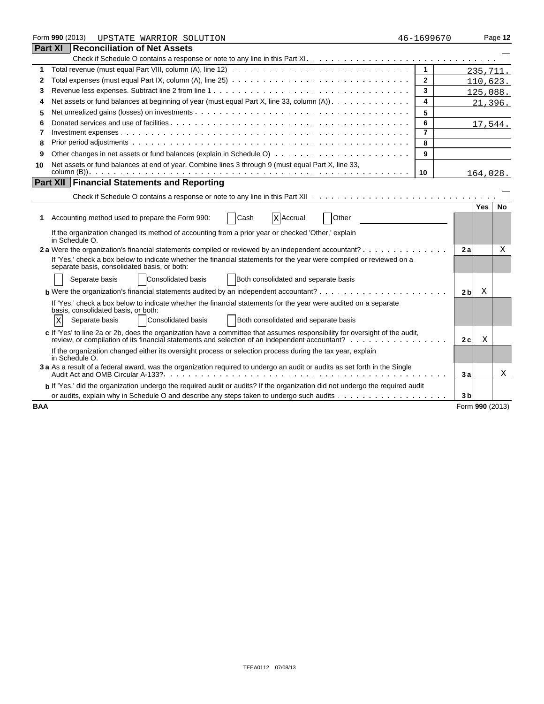|            | Form 990 (2013)<br>UPSTATE WARRIOR SOLUTION                                                                                                                          | 46-1699670     |                |                 | Page 12   |
|------------|----------------------------------------------------------------------------------------------------------------------------------------------------------------------|----------------|----------------|-----------------|-----------|
|            | <b>Part XI Reconciliation of Net Assets</b>                                                                                                                          |                |                |                 |           |
|            |                                                                                                                                                                      |                |                |                 |           |
| 1          |                                                                                                                                                                      | $\mathbf{1}$   |                | 235,711.        |           |
| 2          |                                                                                                                                                                      | $\mathbf{2}$   |                | 110,623.        |           |
| 3          |                                                                                                                                                                      | 3              |                | 125,088.        |           |
| 4          | Net assets or fund balances at beginning of year (must equal Part X, line 33, column (A)) $\ldots \ldots \ldots \ldots$                                              | 4              |                | 21,396.         |           |
| 5          |                                                                                                                                                                      | 5              |                |                 |           |
| 6          |                                                                                                                                                                      | 6              |                | 17,544.         |           |
| 7          |                                                                                                                                                                      | $\overline{7}$ |                |                 |           |
| 8          |                                                                                                                                                                      | 8              |                |                 |           |
| 9          |                                                                                                                                                                      | 9              |                |                 |           |
| 10         | Net assets or fund balances at end of year. Combine lines 3 through 9 (must equal Part X, line 33,                                                                   |                |                |                 |           |
|            | <b>Part XII Financial Statements and Reporting</b>                                                                                                                   | 10             |                | 164,028.        |           |
|            |                                                                                                                                                                      |                |                |                 |           |
|            |                                                                                                                                                                      |                |                |                 |           |
|            |                                                                                                                                                                      |                |                | <b>Yes</b>      | <b>No</b> |
| 1          | Other<br>Cash<br>Accounting method used to prepare the Form 990:<br>X Accrual                                                                                        |                |                |                 |           |
|            | If the organization changed its method of accounting from a prior year or checked 'Other,' explain<br>in Schedule O.                                                 |                |                |                 |           |
|            | 2 a Were the organization's financial statements compiled or reviewed by an independent accountant?                                                                  |                | 2a             |                 | X         |
|            | If 'Yes,' check a box below to indicate whether the financial statements for the year were compiled or reviewed on a<br>separate basis, consolidated basis, or both: |                |                |                 |           |
|            | <b>Consolidated basis</b><br>Both consolidated and separate basis<br>Separate basis                                                                                  |                |                |                 |           |
|            | <b>b</b> Were the organization's financial statements audited by an independent accountant?                                                                          |                | 2 <sub>b</sub> | Χ               |           |
|            | If 'Yes,' check a box below to indicate whether the financial statements for the year were audited on a separate                                                     |                |                |                 |           |
|            | basis, consolidated basis, or both:<br><b>Consolidated basis</b><br>Both consolidated and separate basis<br>Separate basis<br>X                                      |                |                |                 |           |
|            | c If 'Yes' to line 2a or 2b, does the organization have a committee that assumes responsibility for oversight of the audit,                                          |                |                |                 |           |
|            | review, or compilation of its financial statements and selection of an independent accountant?                                                                       |                | 2c             | Χ               |           |
|            | If the organization changed either its oversight process or selection process during the tax year, explain<br>in Schedule O.                                         |                |                |                 |           |
|            | 3 a As a result of a federal award, was the organization required to undergo an audit or audits as set forth in the Single                                           |                | 3a             |                 | Χ         |
|            | b If 'Yes,' did the organization undergo the required audit or audits? If the organization did not undergo the required audit                                        |                |                |                 |           |
|            |                                                                                                                                                                      |                | 3 <sub>b</sub> |                 |           |
| <b>BAA</b> |                                                                                                                                                                      |                |                | Form 990 (2013) |           |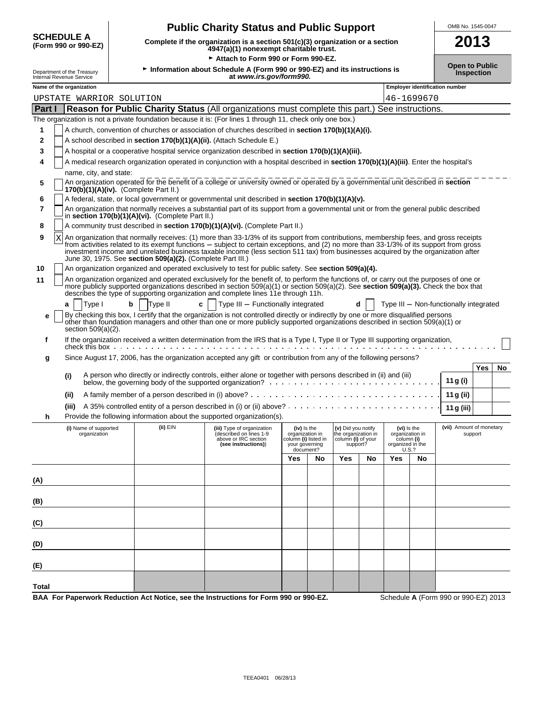|              |                                                        |   |                                                            | <b>Public Charity Status and Public Support</b>                                                                                                                                                                                                                                                                                                                                                                      |                                                                                       |    |                                                                             |    |                                                                           |            | OMB No. 1545-0047                      |                   |    |
|--------------|--------------------------------------------------------|---|------------------------------------------------------------|----------------------------------------------------------------------------------------------------------------------------------------------------------------------------------------------------------------------------------------------------------------------------------------------------------------------------------------------------------------------------------------------------------------------|---------------------------------------------------------------------------------------|----|-----------------------------------------------------------------------------|----|---------------------------------------------------------------------------|------------|----------------------------------------|-------------------|----|
|              | <b>SCHEDULE A</b><br>(Form 990 or 990-EZ)              |   |                                                            | Complete if the organization is a section 501(c)(3) organization or a section<br>4947(a)(1) nonexempt charitable trust.                                                                                                                                                                                                                                                                                              |                                                                                       |    |                                                                             |    |                                                                           |            |                                        | 2013              |    |
|              |                                                        |   |                                                            | Attach to Form 990 or Form 990-EZ.                                                                                                                                                                                                                                                                                                                                                                                   |                                                                                       |    |                                                                             |    |                                                                           |            |                                        |                   |    |
|              | Department of the Treasury<br>Internal Revenue Service |   |                                                            | Information about Schedule A (Form 990 or 990-EZ) and its instructions is<br>at www.irs.gov/form990.                                                                                                                                                                                                                                                                                                                 |                                                                                       |    |                                                                             |    |                                                                           |            | <b>Open to Public</b>                  | <b>Inspection</b> |    |
|              | Name of the organization                               |   |                                                            |                                                                                                                                                                                                                                                                                                                                                                                                                      |                                                                                       |    |                                                                             |    |                                                                           |            | <b>Employer identification number</b>  |                   |    |
|              | UPSTATE WARRIOR SOLUTION                               |   |                                                            |                                                                                                                                                                                                                                                                                                                                                                                                                      |                                                                                       |    |                                                                             |    |                                                                           | 46-1699670 |                                        |                   |    |
| Part I       |                                                        |   |                                                            | Reason for Public Charity Status (All organizations must complete this part.) See instructions.                                                                                                                                                                                                                                                                                                                      |                                                                                       |    |                                                                             |    |                                                                           |            |                                        |                   |    |
|              |                                                        |   |                                                            | The organization is not a private foundation because it is: (For lines 1 through 11, check only one box.)                                                                                                                                                                                                                                                                                                            |                                                                                       |    |                                                                             |    |                                                                           |            |                                        |                   |    |
| 1            |                                                        |   |                                                            | A church, convention of churches or association of churches described in section 170(b)(1)(A)(i).                                                                                                                                                                                                                                                                                                                    |                                                                                       |    |                                                                             |    |                                                                           |            |                                        |                   |    |
| $\mathbf{2}$ |                                                        |   |                                                            | A school described in section 170(b)(1)(A)(ii). (Attach Schedule E.)                                                                                                                                                                                                                                                                                                                                                 |                                                                                       |    |                                                                             |    |                                                                           |            |                                        |                   |    |
| 3            |                                                        |   |                                                            | A hospital or a cooperative hospital service organization described in section 170(b)(1)(A)(iii).                                                                                                                                                                                                                                                                                                                    |                                                                                       |    |                                                                             |    |                                                                           |            |                                        |                   |    |
| 4            |                                                        |   |                                                            | A medical research organization operated in conjunction with a hospital described in section 170(b)(1)(A)(iii). Enter the hospital's                                                                                                                                                                                                                                                                                 |                                                                                       |    |                                                                             |    |                                                                           |            |                                        |                   |    |
|              | name, city, and state:                                 |   |                                                            |                                                                                                                                                                                                                                                                                                                                                                                                                      |                                                                                       |    |                                                                             |    |                                                                           |            |                                        |                   |    |
| 5            |                                                        |   | $170(b)(1)(A)(iv)$ . (Complete Part II.)                   | An organization operated for the benefit of a college or university owned or operated by a governmental unit described in section                                                                                                                                                                                                                                                                                    |                                                                                       |    |                                                                             |    |                                                                           |            |                                        |                   |    |
| 6            |                                                        |   |                                                            | A federal, state, or local government or governmental unit described in section 170(b)(1)(A)(v).                                                                                                                                                                                                                                                                                                                     |                                                                                       |    |                                                                             |    |                                                                           |            |                                        |                   |    |
| 7            |                                                        |   | in section 170(b)(1)(A)(vi). (Complete Part II.)           | An organization that normally receives a substantial part of its support from a governmental unit or from the general public described                                                                                                                                                                                                                                                                               |                                                                                       |    |                                                                             |    |                                                                           |            |                                        |                   |    |
| 8            |                                                        |   |                                                            | A community trust described in section 170(b)(1)(A)(vi). (Complete Part II.)                                                                                                                                                                                                                                                                                                                                         |                                                                                       |    |                                                                             |    |                                                                           |            |                                        |                   |    |
| 9<br>X       |                                                        |   | June 30, 1975. See section 509(a)(2). (Complete Part III.) | An organization that normally receives: (1) more than 33-1/3% of its support from contributions, membership fees, and gross receipts<br>from activities related to its exempt functions – subject to certain exceptions, and (2) no more than 33-1/3% of its support from gross<br>investment income and unrelated business taxable income (less section 511 tax) from businesses acquired by the organization after |                                                                                       |    |                                                                             |    |                                                                           |            |                                        |                   |    |
| 10           |                                                        |   |                                                            | An organization organized and operated exclusively to test for public safety. See section 509(a)(4).                                                                                                                                                                                                                                                                                                                 |                                                                                       |    |                                                                             |    |                                                                           |            |                                        |                   |    |
| 11           |                                                        |   |                                                            | An organization organized and operated exclusively for the benefit of, to perform the functions of, or carry out the purposes of one or<br>more publicly supported organizations described in section 509(a)(1) or section 509(a)(2). See section 509(a)(3). Check the box that<br>describes the type of supporting organization and complete lines 11e through 11h.                                                 |                                                                                       |    |                                                                             |    |                                                                           |            |                                        |                   |    |
|              | Type I<br>a                                            | b | Type II<br>c                                               | Type III - Functionally integrated                                                                                                                                                                                                                                                                                                                                                                                   |                                                                                       |    |                                                                             |    |                                                                           |            | Type III - Non-functionally integrated |                   |    |
| е            | section $509(a)(2)$ .                                  |   |                                                            | By checking this box, I certify that the organization is not controlled directly or indirectly by one or more disqualified persons<br>other than foundation managers and other than one or more publicly supported organizations described in section 509(a)(1) or                                                                                                                                                   |                                                                                       |    |                                                                             |    |                                                                           |            |                                        |                   |    |
| f            |                                                        |   |                                                            | If the organization received a written determination from the IRS that is a Type I, Type II or Type III supporting organization,                                                                                                                                                                                                                                                                                     |                                                                                       |    |                                                                             |    |                                                                           |            |                                        |                   |    |
| g            |                                                        |   |                                                            | Since August 17, 2006, has the organization accepted any gift or contribution from any of the following persons?                                                                                                                                                                                                                                                                                                     |                                                                                       |    |                                                                             |    |                                                                           |            |                                        |                   |    |
|              |                                                        |   |                                                            |                                                                                                                                                                                                                                                                                                                                                                                                                      |                                                                                       |    |                                                                             |    |                                                                           |            |                                        | <b>Yes</b>        | No |
|              | (i)                                                    |   |                                                            | A person who directly or indirectly controls, either alone or together with persons described in (ii) and (iii)                                                                                                                                                                                                                                                                                                      |                                                                                       |    |                                                                             |    |                                                                           |            | 11 g (i)                               |                   |    |
|              | (ii)                                                   |   |                                                            |                                                                                                                                                                                                                                                                                                                                                                                                                      |                                                                                       |    |                                                                             |    |                                                                           |            | 11 g (ii)                              |                   |    |
|              |                                                        |   |                                                            | (iii) A 35% controlled entity of a person described in (i) or (ii) above? .                                                                                                                                                                                                                                                                                                                                          |                                                                                       |    |                                                                             |    |                                                                           |            | 11 g (iii)                             |                   |    |
| h            |                                                        |   |                                                            | Provide the following information about the supported organization(s).                                                                                                                                                                                                                                                                                                                                               |                                                                                       |    |                                                                             |    |                                                                           |            |                                        |                   |    |
|              | (i) Name of supported<br>organization                  |   | (ii) EIN                                                   | (iii) Type of organization<br>(described on lines 1-9<br>above or IRC section<br>(see instructions))                                                                                                                                                                                                                                                                                                                 | (iv) Is the<br>organization in<br>column (i) listed in<br>your governing<br>document? |    | (v) Did you notify<br>the organization in<br>column (i) of your<br>support? |    | (vi) Is the<br>organization in<br>column (i)<br>organized in the<br>U.S.? |            | (vii) Amount of monetary               | support           |    |
|              |                                                        |   |                                                            |                                                                                                                                                                                                                                                                                                                                                                                                                      | Yes                                                                                   | No | Yes                                                                         | No | Yes                                                                       | No         |                                        |                   |    |
| (A)          |                                                        |   |                                                            |                                                                                                                                                                                                                                                                                                                                                                                                                      |                                                                                       |    |                                                                             |    |                                                                           |            |                                        |                   |    |

| BAA  For Paperwork Reduction Act Notice, see the Instructions for Form 990 or 990-EZ. | Schedule A (Form 990 or 990-EZ) 2013 |
|---------------------------------------------------------------------------------------|--------------------------------------|
|                                                                                       |                                      |

**(B)**

**(C)**

**(D)**

**(E)**

**Total**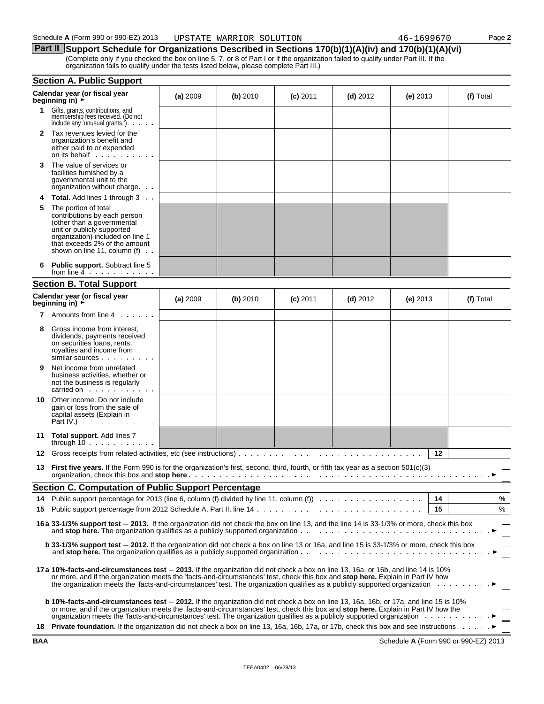### **Part II** Support Schedule for Organizations Described in Sections 170(b)(1)(A)(iv) and 170(b)(1)(A)(vi) (Complete only if you checked the box on line 5, 7, or 8 of Part I or if the organization failed to qualify under Part III. If the

| organization fails to qualify under the tests listed below, please complete Part III.) |  |
|----------------------------------------------------------------------------------------|--|
|----------------------------------------------------------------------------------------|--|

|    | <b>Section A. Public Support</b>                                                                                                                                                                                                                                                                                                                                                                          |          |            |            |            |            |      |           |
|----|-----------------------------------------------------------------------------------------------------------------------------------------------------------------------------------------------------------------------------------------------------------------------------------------------------------------------------------------------------------------------------------------------------------|----------|------------|------------|------------|------------|------|-----------|
|    | Calendar year (or fiscal year<br>beginning in) $\rightarrow$                                                                                                                                                                                                                                                                                                                                              | (a) 2009 | $(b)$ 2010 | $(c)$ 2011 | $(d)$ 2012 | (e) $2013$ |      | (f) Total |
| 1. | Gifts, grants, contributions, and<br>membership fees received. (Do not<br>include any 'unusual grants.')                                                                                                                                                                                                                                                                                                  |          |            |            |            |            |      |           |
| 2  | Tax revenues levied for the<br>organization's benefit and<br>either paid to or expended<br>on its behalf                                                                                                                                                                                                                                                                                                  |          |            |            |            |            |      |           |
| 3  | The value of services or<br>facilities furnished by a<br>governmental unit to the<br>organization without charge                                                                                                                                                                                                                                                                                          |          |            |            |            |            |      |           |
| 4  | <b>Total.</b> Add lines 1 through 3                                                                                                                                                                                                                                                                                                                                                                       |          |            |            |            |            |      |           |
| 5  | The portion of total<br>contributions by each person<br>(other than a governmental<br>unit or publicly supported<br>organization) included on line 1<br>that exceeds 2% of the amount<br>shown on line 11, column $(f)$ .                                                                                                                                                                                 |          |            |            |            |            |      |           |
| 6  | <b>Public support.</b> Subtract line 5<br>from line $4 \cdot \cdot \cdot \cdot \cdot \cdot \cdot \cdot$                                                                                                                                                                                                                                                                                                   |          |            |            |            |            |      |           |
|    | <b>Section B. Total Support</b>                                                                                                                                                                                                                                                                                                                                                                           |          |            |            |            |            |      |           |
|    | Calendar year (or fiscal year<br>beginning in) $\rightarrow$                                                                                                                                                                                                                                                                                                                                              | (a) 2009 | $(b)$ 2010 | $(c)$ 2011 | $(d)$ 2012 | (e) $2013$ |      | (f) Total |
|    | <b>7</b> Amounts from line 4                                                                                                                                                                                                                                                                                                                                                                              |          |            |            |            |            |      |           |
| 8  | Gross income from interest,<br>dividends, payments received<br>on securities loans, rents,<br>royalties and income from<br>similar sources                                                                                                                                                                                                                                                                |          |            |            |            |            |      |           |
| 9  | Net income from unrelated<br>business activities, whether or<br>not the business is regularly<br>carried on exercise the carried on                                                                                                                                                                                                                                                                       |          |            |            |            |            |      |           |
| 10 | Other income. Do not include<br>gain or loss from the sale of<br>capital assets (Explain in<br>Part IV.) $\cdots$ $\cdots$                                                                                                                                                                                                                                                                                |          |            |            |            |            |      |           |
| 11 | <b>Total support.</b> Add lines 7<br>through $10 \ldots \ldots \ldots$                                                                                                                                                                                                                                                                                                                                    |          |            |            |            |            |      |           |
| 12 | Gross receipts from related activities, etc (see instructions)                                                                                                                                                                                                                                                                                                                                            |          |            |            |            |            | 12   |           |
| 13 | <b>First five years.</b> If the Form 990 is for the organization's first, second, third, fourth, or fifth tax year as a section 501(c)(3)                                                                                                                                                                                                                                                                 |          |            |            |            |            |      |           |
|    | <b>Section C. Computation of Public Support Percentage</b>                                                                                                                                                                                                                                                                                                                                                |          |            |            |            |            |      |           |
| 14 | Public support percentage for 2013 (line 6, column (f) divided by line 11, column (f) $\ldots \ldots \ldots \ldots \ldots$                                                                                                                                                                                                                                                                                |          |            |            |            |            | - 14 | %         |
|    |                                                                                                                                                                                                                                                                                                                                                                                                           |          |            |            |            |            | 15   | %         |
|    | 16a 33-1/3% support test - 2013. If the organization did not check the box on line 13, and the line 14 is 33-1/3% or more, check this box                                                                                                                                                                                                                                                                 |          |            |            |            |            |      |           |
|    | <b>b</b> 33-1/3% support test - 2012. If the organization did not check a box on line 13 or 16a, and line 15 is 33-1/3% or more, check this box                                                                                                                                                                                                                                                           |          |            |            |            |            |      |           |
|    | 17 a 10%-facts-and-circumstances test - 2013. If the organization did not check a box on line 13, 16a, or 16b, and line 14 is 10%<br>or more, and if the organization meets the 'facts-and-circumstances' test, check this box and <b>stop here.</b> Explain in Part IV how<br>the organization meets the 'facts-and-circumstances' test. The organization qualifies as a publicly supported organization |          |            |            |            |            |      |           |
|    | <b>b 10%-facts-and-circumstances test - 2012.</b> If the organization did not check a box on line 13, 16a, 16b, or 17a, and line 15 is 10%<br>or more, and if the organization meets the 'facts-and-circumstances' test, check this box and stop here. Explain in Part IV how the                                                                                                                         |          |            |            |            |            |      |           |
|    | 18 Private foundation. If the organization did not check a box on line 13, 16a, 16b, 17a, or 17b, check this box and see instructions                                                                                                                                                                                                                                                                     |          |            |            |            |            |      |           |

**BAA** Schedule **A** (Form 990 or 990-EZ) 2013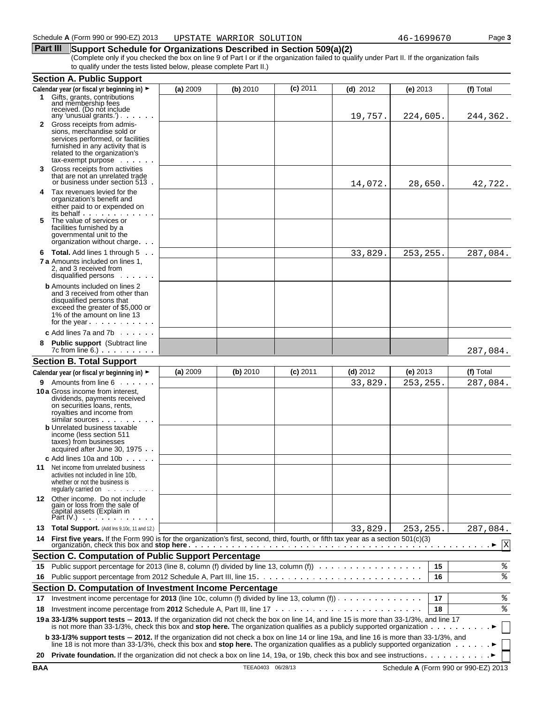#### **Part III** Support Schedule for Organizations Described in Section 509(a)(2)

(Complete only if you checked the box on line 9 of Part I or if the organization failed to qualify under Part II. If the organization fails to qualify under the tests listed below, please complete Part II.)

|            | <b>Section A. Public Support</b>                                                                                                                                                                                                                                                  |          |                   |            |            |           |    |                                      |
|------------|-----------------------------------------------------------------------------------------------------------------------------------------------------------------------------------------------------------------------------------------------------------------------------------|----------|-------------------|------------|------------|-----------|----|--------------------------------------|
|            | Calendar year (or fiscal yr beginning in) ►                                                                                                                                                                                                                                       | (a) 2009 | (b) 2010          | $(c)$ 2011 | $(d)$ 2012 | (e) 2013  |    | (f) Total                            |
|            | 1 Gifts, grants, contributions<br>and membership fees<br>received. (Do not include                                                                                                                                                                                                |          |                   |            |            |           |    |                                      |
|            | any 'unusual grants.') $\cdots$                                                                                                                                                                                                                                                   |          |                   |            | 19,757.    | 224,605.  |    | 244,362.                             |
|            | 2 Gross receipts from admis-<br>sions, merchandise sold or<br>services performed, or facilities<br>furnished in any activity that is<br>related to the organization's<br>tax-exempt purpose                                                                                       |          |                   |            |            |           |    |                                      |
| 3          | Gross receipts from activities<br>that are not an unrelated trade<br>or business under section 513.                                                                                                                                                                               |          |                   |            | 14,072.    | 28,650.   |    | 42,722.                              |
| 4          | Tax revenues levied for the<br>organization's benefit and<br>either paid to or expended on<br>its behalf                                                                                                                                                                          |          |                   |            |            |           |    |                                      |
| 5          | The value of services or<br>facilities furnished by a<br>governmental unit to the<br>organization without charge.                                                                                                                                                                 |          |                   |            |            |           |    |                                      |
|            | 6 Total. Add lines 1 through 5<br><b>7 a</b> Amounts included on lines 1.<br>2, and 3 received from<br>disqualified persons                                                                                                                                                       |          |                   |            | 33,829.    | 253, 255. |    | 287,084.                             |
|            | <b>b</b> Amounts included on lines 2<br>and 3 received from other than<br>disqualified persons that<br>exceed the greater of \$5,000 or<br>1% of the amount on line 13<br>for the year                                                                                            |          |                   |            |            |           |    |                                      |
|            | c Add lines $7a$ and $7b$                                                                                                                                                                                                                                                         |          |                   |            |            |           |    |                                      |
| 8          | <b>Public support</b> (Subtract line<br>$7c$ from line 6.) $\ldots$ $\ldots$ $\ldots$                                                                                                                                                                                             |          |                   |            |            |           |    | 287,084.                             |
|            | <b>Section B. Total Support</b>                                                                                                                                                                                                                                                   |          |                   |            |            |           |    |                                      |
|            | Calendar year (or fiscal yr beginning in) ►                                                                                                                                                                                                                                       | (a) 2009 | (b) 2010          | $(c)$ 2011 | $(d)$ 2012 | (e) 2013  |    | (f) Total                            |
|            | <b>9</b> Amounts from line 6                                                                                                                                                                                                                                                      |          |                   |            | 33,829.    | 253,255.  |    | 287,084.                             |
|            | 10 a Gross income from interest,<br>dividends, payments received<br>on securities loans, rents,<br>royalties and income from<br>similar sources                                                                                                                                   |          |                   |            |            |           |    |                                      |
|            | <b>b</b> Unrelated business taxable<br>income (less section 511<br>taxes) from businesses<br>acquired after June 30, 1975.                                                                                                                                                        |          |                   |            |            |           |    |                                      |
|            | <b>c</b> Add lines 10a and 10b $\ldots$<br><b>11</b> Net income from unrelated business<br>activities not included in line 10b,<br>whether or not the business is<br>regularly carried on                                                                                         |          |                   |            |            |           |    |                                      |
|            | 12 Other income. Do not include<br>gain or loss from the sale of<br>čapital assets (Explain in<br>Part IV.) $\qquad \qquad$ .                                                                                                                                                     |          |                   |            |            |           |    |                                      |
| 13         | <b>Total Support.</b> (Add Ins 9,10c, 11 and 12.)                                                                                                                                                                                                                                 |          |                   |            | 33,829.    | 253,255.  |    | 287,084.                             |
| 14         | First five years. If the Form 990 is for the organization's first, second, third, fourth, or fifth tax year as a section 501(c)(3)                                                                                                                                                |          |                   |            |            |           |    | X                                    |
|            | <b>Section C. Computation of Public Support Percentage</b>                                                                                                                                                                                                                        |          |                   |            |            |           |    |                                      |
| 15         | Public support percentage for 2013 (line 8, column (f) divided by line 13, column (f)                                                                                                                                                                                             |          |                   |            |            |           | 15 | ್ಠಿ                                  |
| 16         |                                                                                                                                                                                                                                                                                   |          |                   |            |            |           | 16 | ి                                    |
|            | Section D. Computation of Investment Income Percentage                                                                                                                                                                                                                            |          |                   |            |            |           |    |                                      |
| 17         | Investment income percentage for 2013 (line 10c, column (f) divided by line 13, column (f)) $\cdots$                                                                                                                                                                              |          |                   |            |            |           | 17 | ್ಠಿ                                  |
| 18         |                                                                                                                                                                                                                                                                                   |          |                   |            |            |           | 18 | ి                                    |
|            | 19 a 33-1/3% support tests - 2013. If the organization did not check the box on line 14, and line 15 is more than 33-1/3%, and line 17<br>is not more than 33-1/3%, check this box and <b>stop here.</b> The organization qualifies as a publicly supported organization $\ldots$ |          |                   |            |            |           |    |                                      |
|            | b 33-1/3% support tests - 2012. If the organization did not check a box on line 14 or line 19a, and line 16 is more than 33-1/3%, and<br>line 18 is not more than 33-1/3%, check this box and stop here. The organization qualifies as a publicly supported organization          |          |                   |            |            |           |    |                                      |
| 20         | <b>Private foundation.</b> If the organization did not check a box on line 14, 19a, or 19b, check this box and see instructions.                                                                                                                                                  |          |                   |            |            |           |    |                                      |
| <b>BAA</b> |                                                                                                                                                                                                                                                                                   |          | TEEA0403 06/28/13 |            |            |           |    | Schedule A (Form 990 or 990-EZ) 2013 |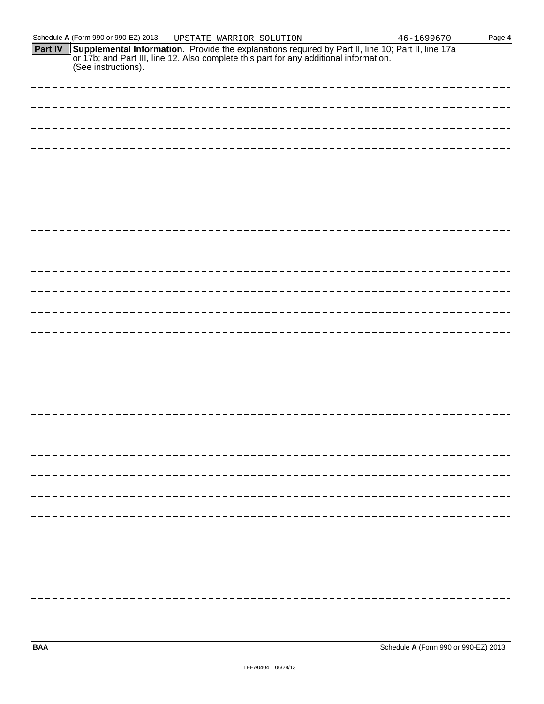| Schedule A (Form 990 or 990-EZ) 2013                                                                                                                                                                                            | UPSTATE WARRIOR SOLUTION |  | $46 - 1699670$ | Page 4 |
|---------------------------------------------------------------------------------------------------------------------------------------------------------------------------------------------------------------------------------|--------------------------|--|----------------|--------|
| <b>Part IV</b> Supplemental Information. Provide the explanations required by Part II, line 10; Part II, line 17a or 17b; and Part III, line 12. Also complete this part for any additional information.<br>(See instructions). |                          |  |                |        |
|                                                                                                                                                                                                                                 |                          |  |                |        |
|                                                                                                                                                                                                                                 |                          |  |                |        |
|                                                                                                                                                                                                                                 |                          |  |                |        |
|                                                                                                                                                                                                                                 |                          |  |                |        |
|                                                                                                                                                                                                                                 |                          |  |                |        |
|                                                                                                                                                                                                                                 |                          |  |                |        |
|                                                                                                                                                                                                                                 |                          |  |                |        |
|                                                                                                                                                                                                                                 |                          |  |                |        |
|                                                                                                                                                                                                                                 |                          |  |                |        |
|                                                                                                                                                                                                                                 |                          |  |                |        |
|                                                                                                                                                                                                                                 |                          |  |                |        |
|                                                                                                                                                                                                                                 |                          |  |                |        |
|                                                                                                                                                                                                                                 |                          |  |                |        |
|                                                                                                                                                                                                                                 |                          |  |                |        |
|                                                                                                                                                                                                                                 |                          |  |                |        |
|                                                                                                                                                                                                                                 |                          |  |                |        |
|                                                                                                                                                                                                                                 |                          |  |                |        |
|                                                                                                                                                                                                                                 |                          |  |                |        |
|                                                                                                                                                                                                                                 |                          |  |                |        |
|                                                                                                                                                                                                                                 |                          |  |                |        |
|                                                                                                                                                                                                                                 |                          |  |                |        |
|                                                                                                                                                                                                                                 |                          |  |                |        |
|                                                                                                                                                                                                                                 |                          |  |                |        |
|                                                                                                                                                                                                                                 |                          |  |                |        |
|                                                                                                                                                                                                                                 |                          |  |                |        |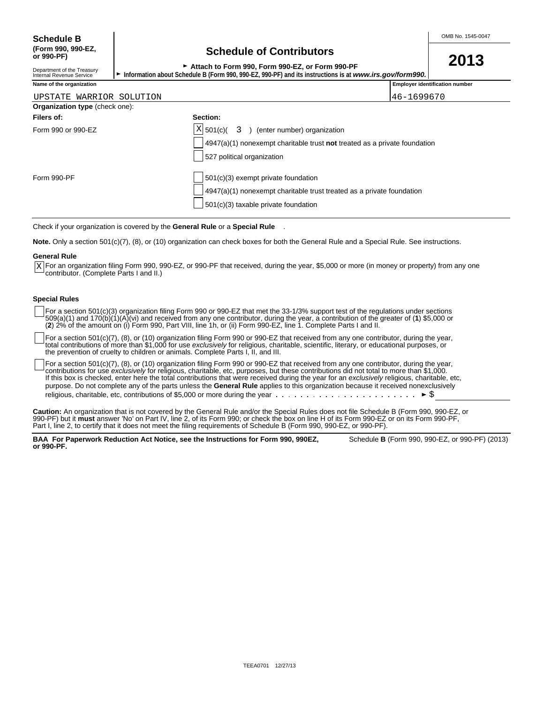Department of the Treasury<br>Internal Revenue Service

| OUNUMUD OF OUNING TO                            |  | 2013 |
|-------------------------------------------------|--|------|
| Attach to Form 990, Form 990-EZ, or Form 990-PF |  |      |
|                                                 |  |      |

Information about Schedule B (Form 990, 990-EZ, 990-PF) and its instructions is at *www.irs.gov/form990.* 

| Name of the organization              |                                                                           | <b>Employer identification number</b> |
|---------------------------------------|---------------------------------------------------------------------------|---------------------------------------|
| UPSTATE WARRIOR SOLUTION              |                                                                           | 46-1699670                            |
| <b>Organization type (check one):</b> |                                                                           |                                       |
| Filers of:                            | Section:                                                                  |                                       |
| Form 990 or 990-EZ                    | $X$ 501(c)(<br>) (enter number) organization<br>$\overline{3}$            |                                       |
|                                       | 4947(a)(1) nonexempt charitable trust not treated as a private foundation |                                       |
|                                       | 527 political organization                                                |                                       |
| Form 990-PF                           | 501(c)(3) exempt private foundation                                       |                                       |

4947(a)(1) nonexempt charitable trust treated as a private foundation

Check if your organization is covered by the **General Rule** or a **Special Rule** .

**Note.** Only a section 501(c)(7), (8), or (10) organization can check boxes for both the General Rule and a Special Rule. See instructions.

#### **General Rule**

For an organization filing Form 990, 990-EZ, or 990-PF that received, during the year, \$5,000 or more (in money or property) from any one  $\underline{x}$  For an organization filing Form 990, 9<br>contributor. (Complete Parts I and II.)

501(c)(3) taxable private foundation

#### **Special Rules**

For a section 501(c)(3) organization filing Form 990 or 990-EZ that met the 33-1/3% support test of the regulations under sections 509(a)(1) and 170(b)(1)(A)(vi) and received from any one contributor, during the year, a contribution of the greater of (**1**) \$5,000 or (**2**) 2% of the amount on (i) Form 990, Part VIII, line 1h, or (ii) Form 990-EZ, line 1. Complete Parts I and II.

For a section 501(c)(7), (8), or (10) organization filing Form 990 or 990-EZ that received from any one contributor, during the year, total contributions of more than \$1,000 for use *exclusively* for religious, charitable, scientific, literary, or educational purposes, or the prevention of cruelty to children or animals. Complete Parts I, II, and III.

For a section 501(c)(7), (8), or (10) organization filing Form 990 or 990-EZ that received from any one contributor, during the year, contributions for use *exclusively* for religious, charitable, etc, purposes, but these contributions did not total to more than \$1,000. If this box is checked, enter here the total contributions that were received during the year for an *exclusively* religious, charitable, etc, purpose. Do not complete any of the parts unless the **General Rule** applies to this organization because it received nonexclusively religious, charitable, etc, contributions of \$5,000 or more during the year  $\cdots \cdots \cdots \cdots \cdots \cdots \cdots \cdots$ 

**Caution:** An organization that is not covered by the General Rule and/or the Special Rules does not file Schedule B (Form 990, 990-EZ, or 990-PF) but it **must** answer 'No' on Part IV, line 2, of its Form 990; or check the box on line H of its Form 990-EZ or on its Form 990-PF, Part I, line 2, to certify that it does not meet the filing requirements of Schedule B (Form 990, 990-EZ, or 990-PF).

**BAA For Paperwork Reduction Act Notice, see the Instructions for Form 990, 990EZ,** Schedule **B** (Form 990, 990-EZ, or 990-PF) (2013) **or 990-PF.**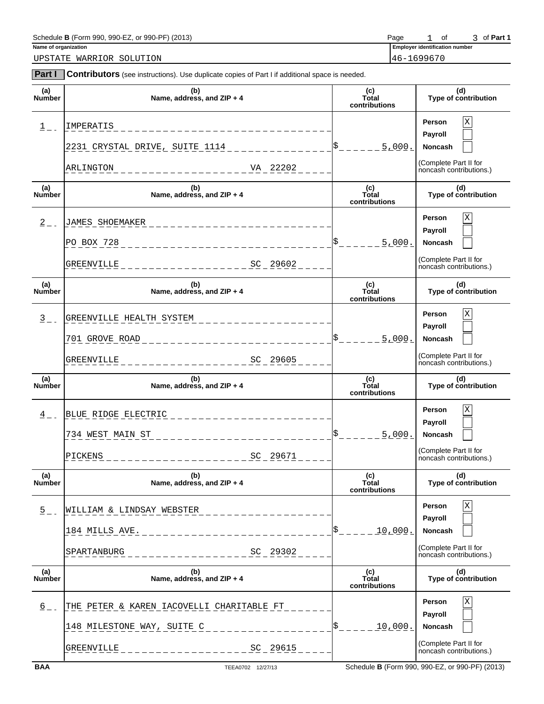## Schedule **B** (Form 990, 990-EZ, or 990-PF) (2013) **Page** 1 of 3 of **Part 1**<br>
Name of organization **Part 1**

**Part I Contributors** (see instructions). Use duplicate copies of Part I if additional space is needed.

UPSTATE WARRIOR SOLUTION 46-1699670

**Employer identification number**  $o f$ 

| (a)<br><b>Number</b> | (b)<br>Name, address, and ZIP + 4                            | (c)<br>Total<br>contributions | (d)<br>Type of contribution                                       |
|----------------------|--------------------------------------------------------------|-------------------------------|-------------------------------------------------------------------|
| $\frac{1}{2}$ .      | IMPERATIS<br>2231 CRYSTAL DRIVE, SUITE 1114                  | 5,000.                        | Χ<br>Person<br>Payroll<br><b>Noncash</b><br>(Complete Part II for |
|                      | VA 22202<br>ARLINGTON<br>. _ _ _ _ _ _ _ _ _ _ _ _ _ _ _ _ _ |                               | noncash contributions.)                                           |
| (a)<br>Number        | (b)<br>Name, address, and ZIP + 4                            | (c)<br>Total<br>contributions | (d)<br>Type of contribution                                       |
| $\overline{2}$ – –   | <b>JAMES SHOEMAKER</b>                                       |                               | Χ<br>Person<br>Payroll                                            |
|                      | PO BOX 728<br>_______________                                | 5.000.                        | <b>Noncash</b>                                                    |
|                      | $-$ - - - - - - - - - - - - - - SC 29602<br>GREENVILLE       |                               | (Complete Part II for<br>noncash contributions.)                  |
| (a)<br><b>Number</b> | (b)<br>Name, address, and ZIP + 4                            | (c)<br>Total<br>contributions | (d)<br>Type of contribution                                       |
| $\frac{3}{2}$ -      | GREENVILLE HEALTH SYSTEM                                     |                               | Χ<br>Person<br>Payroll                                            |
|                      | 701 GROVE ROAD<br><u>_____________</u>                       | 5.000.                        | <b>Noncash</b>                                                    |
|                      | ----------------SC 29605<br>GREENVILLE                       |                               | (Complete Part II for<br>noncash contributions.)                  |
|                      |                                                              |                               |                                                                   |
| (a)<br><b>Number</b> | (b)<br>Name, address, and ZIP + 4                            | (c)<br>Total<br>contributions | (d)<br>Type of contribution                                       |
| $\frac{4}{5}$ -      | BLUE RIDGE ELECTRIC                                          |                               | Χ<br>Person                                                       |
|                      | 734 WEST MAIN ST                                             | 5.000.                        | Payroll<br><b>Noncash</b>                                         |
|                      | SC 29671<br>PICKENS                                          |                               | (Complete Part II for<br>noncash contributions.)                  |
| (a)<br>Number        | (b)<br>Name, address, and ZIP + 4                            | (c)<br>Total<br>contributions | (d)<br>Type of contribution                                       |
| $\overline{5}$ = =   | WILLIAM & LINDSAY WEBSTER                                    |                               | Χ<br>Person                                                       |
|                      | 184 MILLS AVE.<br>________________                           | <u>10,000.</u>                | Payroll<br><b>Noncash</b>                                         |
|                      | SPARTANBURG<br>SC 29302<br>_________________                 |                               | (Complete Part II for<br>noncash contributions.)                  |
| (a)<br>Number        | (b)<br>Name, address, and $ZIP + 4$                          | (c)<br>Total<br>contributions | (d)<br>Type of contribution                                       |
| $6 - 1$              | THE PETER & KAREN IACOVELLI CHARITABLE FT                    |                               | X<br>Person                                                       |
|                      | 148 MILESTONE WAY, SUITE C                                   | ¦\$<br><u>10,000.</u>         | Payroll<br>Noncash                                                |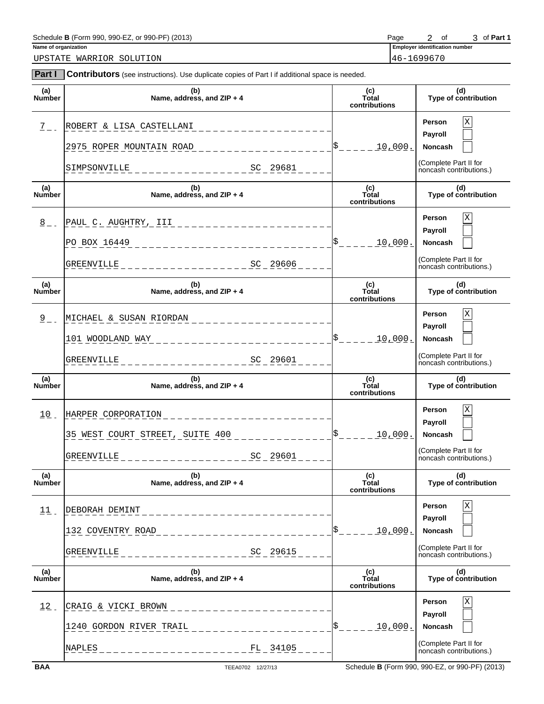| ---<br>Schedule<br>: 990-PF<br>990-<br>2013 ،<br>990<br>B (Form<br>ιv | ≌age                  |                         | Οt | Dort<br>-ан |
|-----------------------------------------------------------------------|-----------------------|-------------------------|----|-------------|
| Name of organization                                                  | <b>Emplover</b><br>-- | r identification number |    |             |

2 of 3 of Part 1

UPSTATE WARRIOR SOLUTION 46-1699670

| Part I               | Contributors (see instructions). Use duplicate copies of Part I if additional space is needed.                     |                                |                                                                                                 |
|----------------------|--------------------------------------------------------------------------------------------------------------------|--------------------------------|-------------------------------------------------------------------------------------------------|
| (a)<br><b>Number</b> | (b)<br>Name, address, and $ZIP + 4$                                                                                | (c)<br>Total<br>contributions  | (d)<br>Type of contribution                                                                     |
| $\frac{7}{2}$ -      | ROBERT & LISA CASTELLANI<br>2975 ROPER MOUNTAIN ROAD                                                               | 10,000.                        | $\mathbf X$<br>Person<br>Payroll<br>Noncash                                                     |
|                      | SC 29681<br>SIMPSONVILLE                                                                                           |                                | (Complete Part II for<br>noncash contributions.)                                                |
| (a)<br>Number        | (b)<br>Name, address, and ZIP + 4                                                                                  | (c)<br>Total<br>contributions  | (d)<br>Type of contribution                                                                     |
| $\frac{8}{9}$ -      | PAUL C. AUGHTRY, III<br>___________________<br>PO BOX 16449<br><u> Listin Listin Lis</u><br>SC 29606<br>GREENVILLE | <u>10,000.</u>                 | $\mathbf X$<br>Person<br>Payroll<br>Noncash<br>(Complete Part II for<br>noncash contributions.) |
| (a)<br><b>Number</b> | (b)<br>Name, address, and ZIP + 4                                                                                  | (c)<br>Total<br>contributions  | (d)<br>Type of contribution                                                                     |
| $2 - 1$              | MICHAEL & SUSAN RIORDAN<br>101 WOODLAND WAY<br>SC 29601<br>GREENVILLE                                              | 10,000.                        | $\mathbf X$<br>Person<br>Payroll<br>Noncash<br>(Complete Part II for<br>noncash contributions.) |
| (a)<br><b>Number</b> | (b)<br>Name, address, and $ZIP + 4$                                                                                | (c)<br>Total<br>contributions  | (d)<br>Type of contribution                                                                     |
| 10                   | HARPER CORPORATION<br>35 WEST COURT STREET, SUITE 400<br>SC 29601<br>GREENVILLE<br>_____________                   | $s$ <sub>----</sub><br>10,000. | $\mathbf X$<br>Person<br>Payroll<br>Noncash<br>(Complete Part II for<br>noncash contributions.) |
| (a)<br>Number        | (b)<br>Name, address, and ZIP + 4                                                                                  | (c)<br>Total<br>contributions  | (d)<br>Type of contribution                                                                     |
| 11                   | DEBORAH DEMINT<br>132 COVENTRY ROAD<br>SC 29615<br><b>GREENVILLE</b>                                               | <u> 10,000.</u>                | X<br>Person<br>Payroll<br>Noncash<br>(Complete Part II for<br>noncash contributions.)           |
| (a)<br>Number        | (b)<br>Name, address, and ZIP + 4                                                                                  | (c)<br>Total<br>contributions  | (d)<br>Type of contribution                                                                     |
| 12                   | CRAIG & VICKI BROWN<br>1240 GORDON RIVER TRAIL<br>NAPLES<br>FL 34105                                               | <u> 10,000.</u>                | Χ<br>Person<br>Payroll<br>Noncash<br>(Complete Part II for<br>noncash contributions.)           |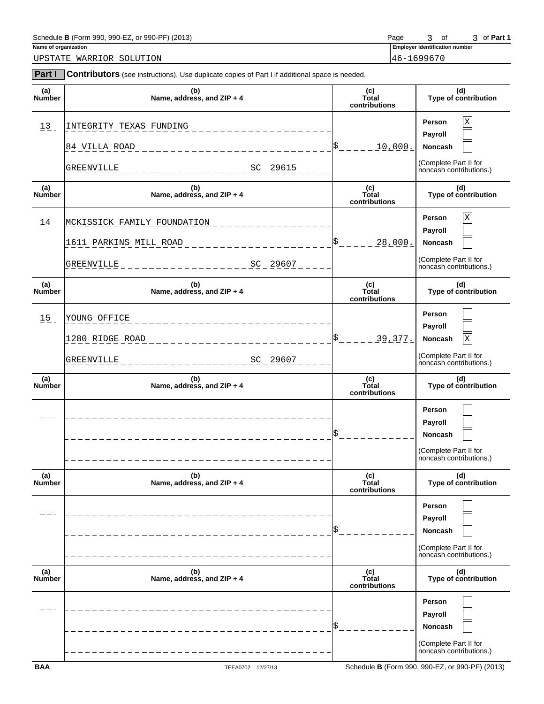| 990-PF)<br>Schedule B (I<br>990-EZ<br>(2013)<br>1 (Form 990.<br>or : | Page | ot | ີ | Part 1 |
|----------------------------------------------------------------------|------|----|---|--------|
|                                                                      |      |    |   |        |

UPSTATE WARRIOR SOLUTION 46-1699670

**Name of organization** 3 of 3 of Part 1

| <b>Part I</b>        | <b>Contributors</b> (see instructions). Use duplicate copies of Part I if additional space is needed. |                               |                                                                                         |  |  |  |
|----------------------|-------------------------------------------------------------------------------------------------------|-------------------------------|-----------------------------------------------------------------------------------------|--|--|--|
| (a)<br>Number        | $(b)$<br>Name, address, and ZIP + 4                                                                   | (c)<br>Total<br>contributions | (d)<br>Type of contribution                                                             |  |  |  |
| 13                   | INTEGRITY TEXAS FUNDING<br>84 VILLA ROAD                                                              | 10,000.                       | Χ<br>Person<br>Payroll<br>Noncash                                                       |  |  |  |
|                      | GREENVILLE<br>SC 29615                                                                                |                               | (Complete Part II for<br>noncash contributions.)                                        |  |  |  |
| (a)<br>Number        | (b)<br>Name, address, and ZIP + 4                                                                     | (c)<br>Total<br>contributions | (d)<br>Type of contribution                                                             |  |  |  |
| 14                   | MCKISSICK FAMILY FOUNDATION<br>1611 PARKINS MILL ROAD<br>GREENVILLE<br>SC 29607                       | \$<br><u>28,000.</u>          | X<br>Person<br>Payroll<br>Noncash<br>(Complete Part II for<br>noncash contributions.)   |  |  |  |
| (a)<br>Number        | (b)<br>Name, address, and ZIP + 4                                                                     | (c)<br>Total<br>contributions | (d)<br>Type of contribution                                                             |  |  |  |
| 15                   | YOUNG OFFICE<br>1280 RIDGE ROAD<br>GREENVILLE<br>SC 29607                                             | 39,377.                       | Person<br>Payroll<br>Noncash<br>X<br>(Complete Part II for<br>noncash contributions.)   |  |  |  |
| (a)<br><b>Number</b> | (b)<br>Name, address, and ZIP + 4                                                                     | (c)<br>Total<br>contributions | (d)<br>Type of contribution                                                             |  |  |  |
|                      |                                                                                                       |                               | Person<br>Payroll<br>Noncash<br>(Complete Part II for<br>noncash contributions.)        |  |  |  |
| (a)<br>Number        | (b)<br>Name, address, and ZIP + 4                                                                     | (c)<br>Total<br>contributions | (d)<br>Type of contribution                                                             |  |  |  |
|                      |                                                                                                       |                               | Person<br>Payroll<br>Noncash<br>(Complete Part II for<br>noncash contributions.)        |  |  |  |
| (a)<br>Number        | (b)<br>Name, address, and ZIP + 4                                                                     | (c)<br>Total<br>contributions | (d)<br>Type of contribution                                                             |  |  |  |
|                      |                                                                                                       |                               | <b>Person</b><br>Payroll<br>Noncash<br>(Complete Part II for<br>noncash contributions.) |  |  |  |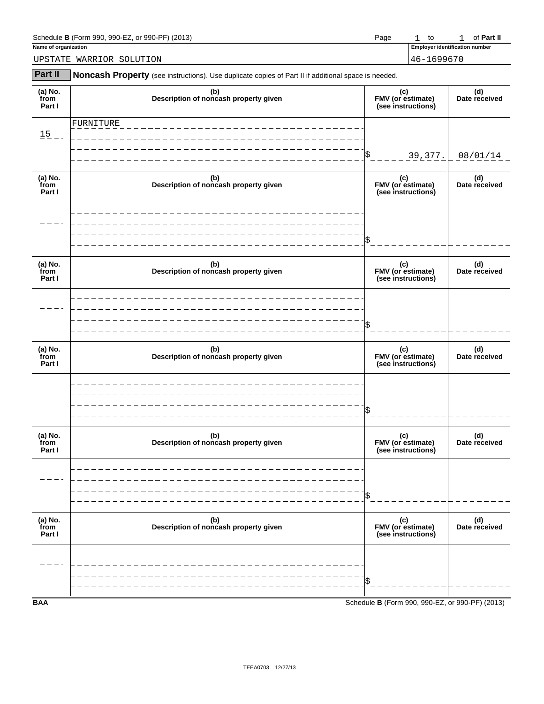| J. 990-EZ. or 990-PF<br>Schedule B (Form<br>(2013)<br>990. | Page | tc | <b>Part II</b><br>Οt |
|------------------------------------------------------------|------|----|----------------------|
|                                                            |      |    |                      |

| 990-EZ.<br>J-PF`<br>(2013)<br>Schedule<br>or 990-<br>990.<br>B (Form | Page | to                   |                         | Part<br>DТ |
|----------------------------------------------------------------------|------|----------------------|-------------------------|------------|
| Name of organization                                                 |      | Emplove <sup>.</sup> | r identification number |            |

UPSTATE WARRIOR SOLUTION 46-1699670

| Part II                   | Noncash Property (see instructions). Use duplicate copies of Part II if additional space is needed. |                                                |                      |
|---------------------------|-----------------------------------------------------------------------------------------------------|------------------------------------------------|----------------------|
| (a) No.<br>from<br>Part I | (b)<br>Description of noncash property given                                                        | (c)<br>FMV (or estimate)<br>(see instructions) | (d)<br>Date received |
| $15 -$                    | FURNITURE                                                                                           |                                                |                      |
|                           |                                                                                                     | 39, 377.                                       | 08/01/14             |
| (a) No.<br>from<br>Part I | (b)<br>Description of noncash property given                                                        | (c)<br>FMV (or estimate)<br>(see instructions) | (d)<br>Date received |
|                           |                                                                                                     |                                                |                      |
|                           |                                                                                                     |                                                |                      |
| (a) No.<br>from<br>Part I | (b)<br>Description of noncash property given                                                        | (c)<br>FMV (or estimate)<br>(see instructions) | (d)<br>Date received |
|                           |                                                                                                     |                                                |                      |
|                           |                                                                                                     |                                                |                      |
| (a) No.<br>from<br>Part I | (b)<br>Description of noncash property given                                                        | (c)<br>FMV (or estimate)<br>(see instructions) | (d)<br>Date received |
|                           |                                                                                                     |                                                |                      |
|                           |                                                                                                     |                                                |                      |
| (a) No.<br>from<br>Part I | (b)<br>Description of noncash property given                                                        | (c)<br>FMV (or estimate)<br>(see instructions) | (d)<br>Date received |
|                           |                                                                                                     |                                                |                      |
|                           |                                                                                                     |                                                |                      |
| (a) No.<br>from<br>Part I | (b)<br>Description of noncash property given                                                        | (c)<br>FMV (or estimate)<br>(see instructions) | (d)<br>Date received |
|                           |                                                                                                     |                                                |                      |
|                           |                                                                                                     |                                                |                      |

**BAA** Schedule **B** (Form 990, 990-EZ, or 990-PF) (2013)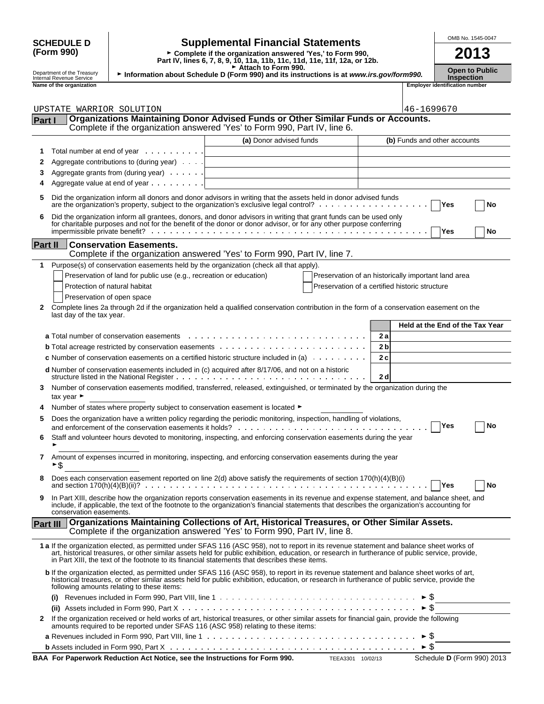#### **SCHEDULE D** Supplemental Financial Statements<br>(Form 990) F Complete if the organization answered 'Yes,' to Form 990, **2013 (Form 990) Part IV, lines 6, 7, 8, 9, 10, 11a, 11b, 11c, 11d, 11e, 11f, 12a, or 12b.** ► Complete if the organization answered 'Yes,' to Form 990, Department of the Treasury<br>Internal Revenue Service <sup>G</sup> **Attach to Form 990. Open to Public** <sup>G</sup> **Information about Schedule D (Form 990) and its instructions is at** *www.irs.gov/form990.* Internal Revenue Service **Inspection Name of the organization Employer identification number Part I Organizations Maintaining Donor Advised Funds or Other Similar Funds or Accounts.** Complete if the organization answered 'Yes' to Form 990, Part IV, line 6. **(a)** Donor advised funds **(b)** Funds and other accounts **1** Total number at end of year **2** Aggregate contributions to (during year) **3** Aggregate grants from (during year) . . . . . . **4** Aggregate value at end of year **5** Did the organization inform all donors and donor advisors in writing that the assets held in donor advised funds are the organization's property, subject to the organization's exclusive legal control? **Ackard Microproperty** (Yes **No 6** Did the organization inform all grantees, donors, and donor advisors in writing that grant funds can be used only for charitable purposes and not for the benefit of the donor or donor advisor, or for any other purpose conferring **impermissible private benefit? With Conservation Conservation Conservation Conservation Conservation Conservation Conservation Conservation Conservation Conservation Conservation Conservation Conservation Conservation C Part II Conservation Easements.** Complete if the organization answered 'Yes' to Form 990, Part IV, line 7. **1** Purpose(s) of conservation easements held by the organization (check all that apply). Preservation of land for public use (e.g., recreation or education) Preservation of an historically important land area Protection of natural habitat **Protection of a certified historic structure** Preservation of a certified historic structure Preservation of open space **2** Complete lines 2a through 2d if the organization held a qualified conservation contribution in the form of a conservation easement on the last day of the tax year. **Held at the End of the Tax Year a** Total number of conservation easements **2 a b** Total acreage restricted by conservation easements **2 b c** Number of conservation easements on a certified historic structure included in (a) **2 c d** Number of conservation easements included in (c) acquired after 8/17/06, and not on a historic structure listed in the National Register **2 d 3** Number of conservation easements modified, transferred, released, extinguished, or terminated by the organization during the tax year  $\blacktriangleright$ **4** Number of states where property subject to conservation easement is located ► **5** Does the organization have a written policy regarding the periodic monitoring, inspection, handling of violations, and enforcement of the conservation easements it holds? **We are related to conserve that**  $\mathbf{N}$  **No 6** Staff and volunteer hours devoted to monitoring, inspecting, and enforcing conservation easements during the year G **7** Amount of expenses incurred in monitoring, inspecting, and enforcing conservation easements during the year > ≠ **8** Does each conservation easement reported on line 2(d) above satisfy the requirements of section 170(h)(4)(B)(i) and section 170(h)(4)(B)(ii)? **Yes No 9** In Part XIII, describe how the organization reports conservation easements in its revenue and expense statement, and balance sheet, and include, if applicable, the text of the footnote to the organization's financial statements that describes the organization's accounting for conservation easements. **Part III Organizations Maintaining Collections of Art, Historical Treasures, or Other Similar Assets.** Complete if the organization answered 'Yes' to Form 990, Part IV, line 8. **1 a** If the organization elected, as permitted under SFAS 116 (ASC 958), not to report in its revenue statement and balance sheet works of art, historical treasures, or other similar assets held for public exhibition, education, or research in furtherance of public service, provide, UPSTATE WARRIOR SOLUTION  $|46-1699670$

| b If the organization elected, as permitted under SFAS 116 (ASC 958), to report in its revenue statement and balance sheet works of art,<br>historical treasures, or other similar assets held for public exhibition, education, or research in furtherance of public service, provide the<br>following amounts relating to these items: |
|------------------------------------------------------------------------------------------------------------------------------------------------------------------------------------------------------------------------------------------------------------------------------------------------------------------------------------------|
| (i) Revenues included in Form 990, Part VIII, line 1 $\ldots \ldots \ldots \ldots \ldots \ldots \ldots \ldots \ldots \ldots \ldots \ldots$                                                                                                                                                                                               |
| (ii) Assets included in Form 990, Part X $\dots \dots \dots \dots \dots \dots \dots \dots \dots \dots \dots \dots \dots \dots \dots \dots \dots \dots$                                                                                                                                                                                   |
| 2 If the organization received or held works of art, historical treasures, or other similar assets for financial gain, provide the following<br>amounts required to be reported under SFAS 116 (ASC 958) relating to these items:                                                                                                        |
| <b>a</b> Revenues included in Form 990, Part VIII, line 1 $\ldots \ldots \ldots \ldots \ldots \ldots \ldots \ldots \ldots \ldots \ldots \ldots \vdash \hat{S}$                                                                                                                                                                           |
|                                                                                                                                                                                                                                                                                                                                          |

**BAA For Paperwork Reduction Act Notice, see the Instructions for Form 990.** TEEA3301 10/02/13 Schedule D (Form 990) 2013

in Part XIII, the text of the footnote to its financial statements that describes these items.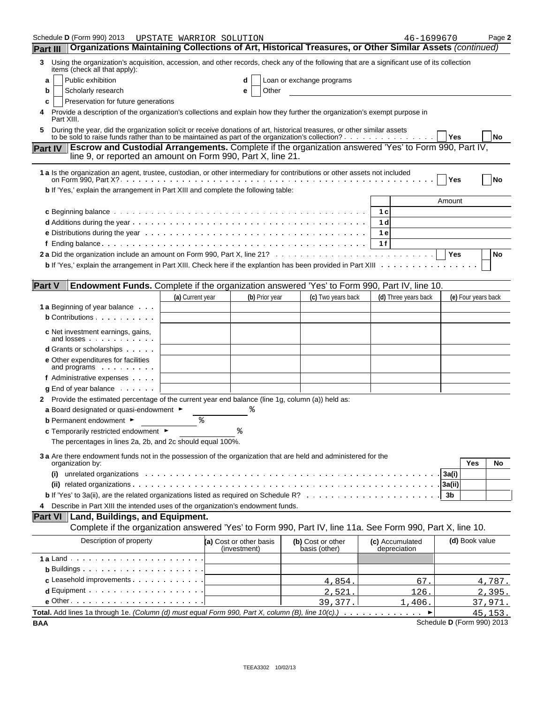| Schedule <b>D</b> (Form 990) 2013                                                                                                                                                            | UPSTATE WARRIOR SOLUTION |                                         |                                    | 46-1699670                      |                            | Page 2    |
|----------------------------------------------------------------------------------------------------------------------------------------------------------------------------------------------|--------------------------|-----------------------------------------|------------------------------------|---------------------------------|----------------------------|-----------|
| Organizations Maintaining Collections of Art, Historical Treasures, or Other Similar Assets (continued)<br><b>Part III</b>                                                                   |                          |                                         |                                    |                                 |                            |           |
| Using the organization's acquisition, accession, and other records, check any of the following that are a significant use of its collection<br>3<br>items (check all that apply):            |                          |                                         |                                    |                                 |                            |           |
| Public exhibition<br>a                                                                                                                                                                       |                          |                                         | Loan or exchange programs          |                                 |                            |           |
| Scholarly research<br>b                                                                                                                                                                      |                          | Other<br>е                              |                                    |                                 |                            |           |
| Preservation for future generations<br>c                                                                                                                                                     |                          |                                         |                                    |                                 |                            |           |
| Provide a description of the organization's collections and explain how they further the organization's exempt purpose in<br>Part XIII.                                                      |                          |                                         |                                    |                                 |                            |           |
| During the year, did the organization solicit or receive donations of art, historical treasures, or other similar assets                                                                     |                          |                                         |                                    |                                 | Yes                        | No        |
| <b>Escrow and Custodial Arrangements.</b> Complete if the organization answered 'Yes' to Form 990, Part IV,<br><b>Part IV</b><br>line 9, or reported an amount on Form 990, Part X, line 21. |                          |                                         |                                    |                                 |                            |           |
| 1 a Is the organization an agent, trustee, custodian, or other intermediary for contributions or other assets not included                                                                   |                          |                                         |                                    |                                 | Yes                        | <b>No</b> |
| b If 'Yes,' explain the arrangement in Part XIII and complete the following table:                                                                                                           |                          |                                         |                                    |                                 |                            |           |
|                                                                                                                                                                                              |                          |                                         |                                    |                                 | Amount                     |           |
|                                                                                                                                                                                              |                          |                                         |                                    | 1 c                             |                            |           |
|                                                                                                                                                                                              |                          |                                         |                                    | 1 d                             |                            |           |
|                                                                                                                                                                                              |                          |                                         |                                    | 1 e                             |                            |           |
|                                                                                                                                                                                              |                          |                                         |                                    | 1f                              |                            |           |
|                                                                                                                                                                                              |                          |                                         |                                    |                                 | <b>Yes</b>                 | No        |
|                                                                                                                                                                                              |                          |                                         |                                    |                                 |                            |           |
|                                                                                                                                                                                              |                          |                                         |                                    |                                 |                            |           |
| <b>Part V</b><br>Endowment Funds. Complete if the organization answered 'Yes' to Form 990, Part IV, line 10.                                                                                 |                          |                                         |                                    |                                 |                            |           |
|                                                                                                                                                                                              | (a) Current year         | (b) Prior year                          | (c) Two years back                 | (d) Three years back            | (e) Four years back        |           |
| <b>1 a</b> Beginning of year balance                                                                                                                                                         |                          |                                         |                                    |                                 |                            |           |
| <b>b</b> Contributions                                                                                                                                                                       |                          |                                         |                                    |                                 |                            |           |
|                                                                                                                                                                                              |                          |                                         |                                    |                                 |                            |           |
| c Net investment earnings, gains,<br>and losses                                                                                                                                              |                          |                                         |                                    |                                 |                            |           |
| <b>d</b> Grants or scholarships                                                                                                                                                              |                          |                                         |                                    |                                 |                            |           |
| e Other expenditures for facilities<br>and programs                                                                                                                                          |                          |                                         |                                    |                                 |                            |           |
| f Administrative expenses                                                                                                                                                                    |                          |                                         |                                    |                                 |                            |           |
| $g$ End of year balance $\ldots$ .                                                                                                                                                           |                          |                                         |                                    |                                 |                            |           |
| 2 Provide the estimated percentage of the current year end balance (line 1g, column (a)) held as:                                                                                            |                          |                                         |                                    |                                 |                            |           |
| a Board designated or quasi-endowment $\blacktriangleright$                                                                                                                                  |                          |                                         |                                    |                                 |                            |           |
| <b>b</b> Permanent endowment ►                                                                                                                                                               | နွ                       |                                         |                                    |                                 |                            |           |
| c Temporarily restricted endowment ►                                                                                                                                                         |                          |                                         |                                    |                                 |                            |           |
| The percentages in lines 2a, 2b, and 2c should equal 100%.                                                                                                                                   |                          |                                         |                                    |                                 |                            |           |
| 3 a Are there endowment funds not in the possession of the organization that are held and administered for the<br>organization by:                                                           |                          |                                         |                                    |                                 | Yes                        | No        |
| unrelated organizations enterpresent contact to the contract of the contract of the contract of the contract of<br>(i)                                                                       |                          |                                         |                                    |                                 | 3a(i)                      |           |
|                                                                                                                                                                                              |                          |                                         |                                    |                                 | 3a(ii)                     |           |
|                                                                                                                                                                                              |                          |                                         |                                    |                                 | 3b                         |           |
| Describe in Part XIII the intended uses of the organization's endowment funds.<br>4                                                                                                          |                          |                                         |                                    |                                 |                            |           |
| <b>Part VI</b><br>Land, Buildings, and Equipment.                                                                                                                                            |                          |                                         |                                    |                                 |                            |           |
| Complete if the organization answered 'Yes' to Form 990, Part IV, line 11a. See Form 990, Part X, line 10.                                                                                   |                          |                                         |                                    |                                 |                            |           |
| Description of property                                                                                                                                                                      |                          | (a) Cost or other basis<br>(investment) | (b) Cost or other<br>basis (other) | (c) Accumulated<br>depreciation | (d) Book value             |           |
|                                                                                                                                                                                              |                          |                                         |                                    |                                 |                            |           |
| <b>b</b> Buildings $\cdots$ $\cdots$ $\cdots$ $\cdots$ $\cdots$ $\cdots$                                                                                                                     |                          |                                         |                                    |                                 |                            |           |
| c Leasehold improvements                                                                                                                                                                     |                          |                                         | 4,854.                             | 67.                             |                            | 4,787.    |
| $d$ Equipment $\cdots$ $\cdots$ $\cdots$ $\cdots$ $\cdots$ $\cdots$ $\cdots$                                                                                                                 |                          |                                         |                                    | 126.                            |                            |           |
|                                                                                                                                                                                              |                          |                                         | 2,521.                             |                                 |                            | 2,395.    |
| Total. Add lines 1a through 1e. (Column (d) must equal Form 990, Part X, column (B), line 10(c).)                                                                                            |                          |                                         | 39,377.                            | 1,406.                          |                            | 37,971.   |
| <b>BAA</b>                                                                                                                                                                                   |                          |                                         |                                    |                                 | Schedule D (Form 990) 2013 | 45, 153.  |
|                                                                                                                                                                                              |                          |                                         |                                    |                                 |                            |           |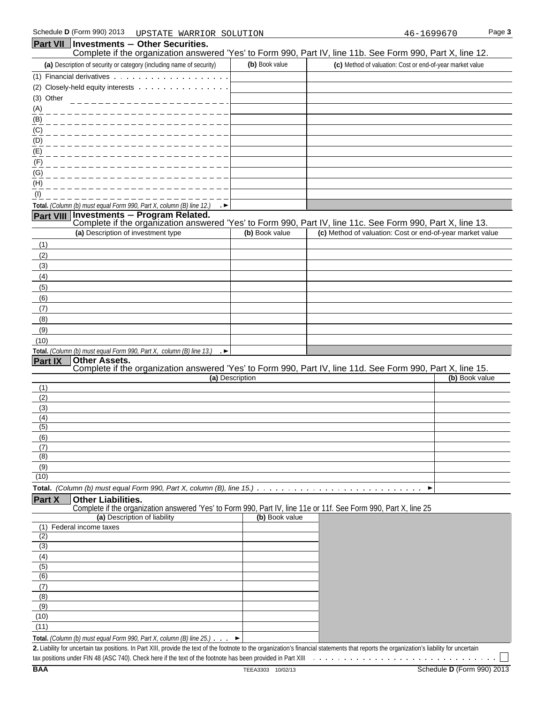(3) Other (A) (B) (C)

| (D)                                                                                |                |                                                                                                                                              |
|------------------------------------------------------------------------------------|----------------|----------------------------------------------------------------------------------------------------------------------------------------------|
| (E)                                                                                |                |                                                                                                                                              |
| (F)                                                                                |                |                                                                                                                                              |
| (G)                                                                                |                |                                                                                                                                              |
| (H)                                                                                |                |                                                                                                                                              |
| (1)                                                                                |                |                                                                                                                                              |
| Total. (Column (b) must equal Form 990, Part X, column (B) line 12.)<br>… ►        |                |                                                                                                                                              |
| <b>Part VIII</b>                                                                   |                | Investments - Program Related.<br>Complete if the organization answered 'Yes' to Form 990, Part IV, line 11c. See Form 990, Part X, line 13. |
| (a) Description of investment type                                                 | (b) Book value | (c) Method of valuation: Cost or end-of-year market value                                                                                    |
| (1)                                                                                |                |                                                                                                                                              |
| (2)                                                                                |                |                                                                                                                                              |
| (3)                                                                                |                |                                                                                                                                              |
| (4)                                                                                |                |                                                                                                                                              |
| (5)                                                                                |                |                                                                                                                                              |
| (6)                                                                                |                |                                                                                                                                              |
| (7)                                                                                |                |                                                                                                                                              |
| (8)                                                                                |                |                                                                                                                                              |
| (9)                                                                                |                |                                                                                                                                              |
| (10)                                                                               |                |                                                                                                                                              |
| Total. (Column (b) must equal Form 990, Part X, column (B) line 13.) $\rightarrow$ |                |                                                                                                                                              |
| Part IX<br><b>Other Assets.</b>                                                    |                |                                                                                                                                              |

#### Complete if the organization answered 'Yes' to Form 990, Part IV, line 11d. See Form 990, Part X, line 15.

|                             | <u> comprese mare ergenn canen anemere er ree se remare ego, rens symmetrical economic cool, rensistance i con</u> |                |
|-----------------------------|--------------------------------------------------------------------------------------------------------------------|----------------|
|                             | (a) Description                                                                                                    | (b) Book value |
| (1)                         |                                                                                                                    |                |
| $^{(2)}$                    |                                                                                                                    |                |
| (3)                         |                                                                                                                    |                |
| (4)                         |                                                                                                                    |                |
| $\overline{(5)}$            |                                                                                                                    |                |
| (6)                         |                                                                                                                    |                |
|                             |                                                                                                                    |                |
| $\overline{\phantom{a}}(8)$ |                                                                                                                    |                |
| (9)                         |                                                                                                                    |                |
| (10)                        |                                                                                                                    |                |
|                             |                                                                                                                    |                |

#### **Part X Other Liabilities.**

Complete if the organization answered 'Yes' to Form 990, Part IV, line 11e or 11f. See Form 990, Part X, line 25

| (a) Description of liability                                                                | (b) Book value |
|---------------------------------------------------------------------------------------------|----------------|
| Federal income taxes<br>(1)                                                                 |                |
| (2)                                                                                         |                |
| (3)                                                                                         |                |
| (4)                                                                                         |                |
| (5)                                                                                         |                |
| (6)                                                                                         |                |
|                                                                                             |                |
| (8)                                                                                         |                |
| (9)                                                                                         |                |
| (10)                                                                                        |                |
| (11)                                                                                        |                |
| Total. (Column (b) must equal Form 990, Part X, column (B) line $25$ .) $\cdot \cdot \cdot$ |                |

**2.** Liability for uncertain tax positions. In Part XIII, provide the text of the footnote to the organization's financial statements that reports the organization's liability for uncertain tax positions under FIN 48 (ASC 740). Check here if the text of the footnote has been provided in Part XIII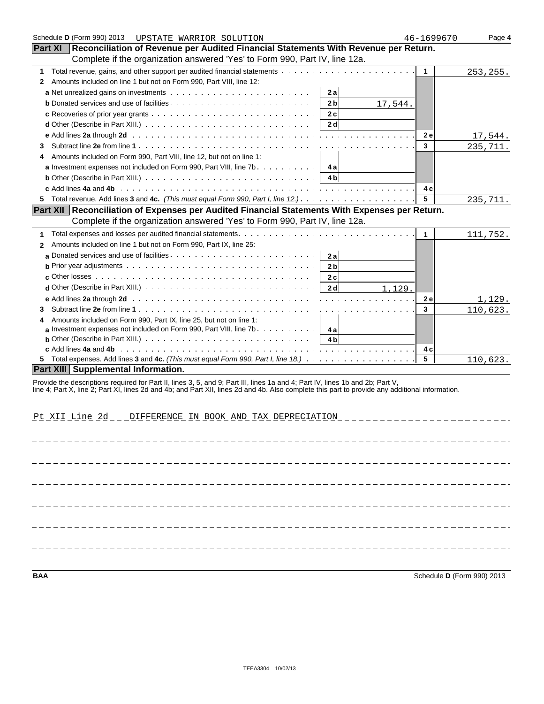| Schedule D (Form 990) 2013<br>UPSTATE WARRIOR SOLUTION                                                                                                                                                                                                                           | 46-1699670   | Page 4    |
|----------------------------------------------------------------------------------------------------------------------------------------------------------------------------------------------------------------------------------------------------------------------------------|--------------|-----------|
| <b>Part XI</b><br>Reconciliation of Revenue per Audited Financial Statements With Revenue per Return.                                                                                                                                                                            |              |           |
| Complete if the organization answered 'Yes' to Form 990, Part IV, line 12a.                                                                                                                                                                                                      |              |           |
| Total revenue, gains, and other support per audited financial statements<br>1                                                                                                                                                                                                    | $\mathbf{1}$ | 253, 255. |
| Amounts included on line 1 but not on Form 990, Part VIII, line 12:<br>2                                                                                                                                                                                                         |              |           |
| 2a                                                                                                                                                                                                                                                                               |              |           |
| 2 <sub>b</sub><br>17,544.                                                                                                                                                                                                                                                        |              |           |
| 2c                                                                                                                                                                                                                                                                               |              |           |
| 2 <sub>d</sub><br><b>d</b> Other (Describe in Part XIII.) $\ldots$ $\ldots$ $\ldots$ $\ldots$ $\ldots$ $\ldots$ $\ldots$ $\ldots$ $\ldots$ $\ldots$                                                                                                                              |              |           |
|                                                                                                                                                                                                                                                                                  | <b>2e</b>    | 17,544.   |
| 3                                                                                                                                                                                                                                                                                | 3            | 235,711.  |
| Amounts included on Form 990, Part VIII, line 12, but not on line 1:                                                                                                                                                                                                             |              |           |
| <b>a</b> Investment expenses not included on Form 990, Part VIII, line $7b$<br>4 a                                                                                                                                                                                               |              |           |
| <b>b</b> Other (Describe in Part XIII.) $\ldots \ldots \ldots \ldots \ldots \ldots \ldots \ldots \ldots \ldots \ldots$<br>4 <sub>b</sub>                                                                                                                                         |              |           |
|                                                                                                                                                                                                                                                                                  | 4 c          |           |
| 5 Total revenue. Add lines 3 and 4c. (This must equal Form 990, Part I, line $12.$ ). $\ldots$                                                                                                                                                                                   | 5            | 235,711.  |
| Part XII   Reconciliation of Expenses per Audited Financial Statements With Expenses per Return.                                                                                                                                                                                 |              |           |
| Complete if the organization answered 'Yes' to Form 990, Part IV, line 12a.                                                                                                                                                                                                      |              |           |
| 1                                                                                                                                                                                                                                                                                | $\mathbf{1}$ | 111,752.  |
| Amounts included on line 1 but not on Form 990, Part IX, line 25:<br>$\mathbf{2}$                                                                                                                                                                                                |              |           |
| 2a                                                                                                                                                                                                                                                                               |              |           |
| 2 <sub>b</sub>                                                                                                                                                                                                                                                                   |              |           |
| 2c                                                                                                                                                                                                                                                                               |              |           |
| $d$ Other (Describe in Part XIII.) $\ldots \ldots \ldots \ldots \ldots \ldots \ldots \ldots \ldots \ldots$<br>2d<br>1,129.                                                                                                                                                       |              |           |
| e Add lines 2a through 2d (a) and a contract of the contract of the contract of the contract of the contract of the contract of the contract of the contract of the contract of the contract of the contract of the contract o                                                   | 2 e          | 1,129.    |
| 3                                                                                                                                                                                                                                                                                | 3            | 110,623.  |
| Amounts included on Form 990, Part IX, line 25, but not on line 1:                                                                                                                                                                                                               |              |           |
| a Investment expenses not included on Form 990, Part VIII, line 7b. $\dots \dots \dots$                                                                                                                                                                                          |              |           |
| <b>b</b> Other (Describe in Part XIII.) $\ldots \ldots \ldots \ldots \ldots \ldots \ldots \ldots \ldots \ldots \ldots$<br>4 <sub>b</sub>                                                                                                                                         |              |           |
|                                                                                                                                                                                                                                                                                  | 4 c          |           |
|                                                                                                                                                                                                                                                                                  | 5            | 110,623.  |
| <b>Part XIII Supplemental Information.</b>                                                                                                                                                                                                                                       |              |           |
| Provide the descriptions required for Part II, lines 3, 5, and 9; Part III, lines 1a and 4; Part IV, lines 1b and 2b; Part V,<br>line 4; Part X, line 2; Part XI, lines 2d and 4b; and Part XII, lines 2d and 4b. Also complete this part to provide any additional information. |              |           |
|                                                                                                                                                                                                                                                                                  |              |           |
|                                                                                                                                                                                                                                                                                  |              |           |
| Pt XII Line 2d _ _ DIFFERENCE IN BOOK AND TAX DEPRECIATION _ _ _ _ _ _ _ _ _ _ _ _ _ _ _ _ _                                                                                                                                                                                     |              |           |

**BAA** Schedule **D** (Form 990) 2013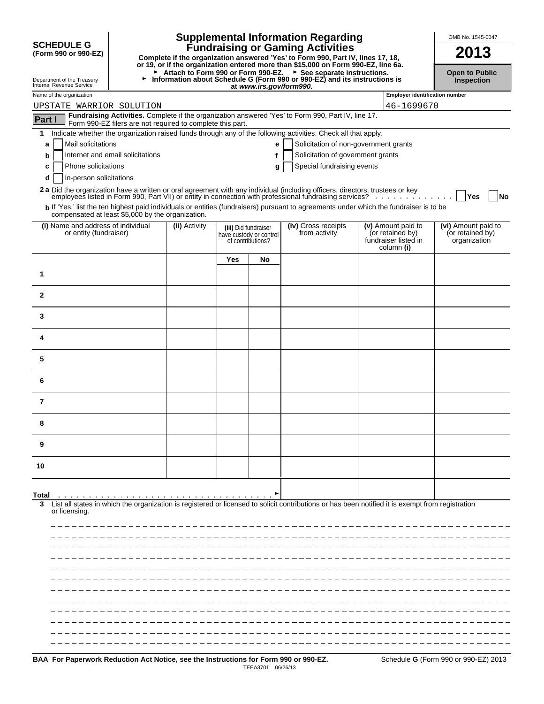|                                                              |                                                            |               |     |                                                                      | <b>Supplemental Information Regarding</b>                                                                                                                                                                                      |                                                                              | OMB No. 1545-0047                                       |
|--------------------------------------------------------------|------------------------------------------------------------|---------------|-----|----------------------------------------------------------------------|--------------------------------------------------------------------------------------------------------------------------------------------------------------------------------------------------------------------------------|------------------------------------------------------------------------------|---------------------------------------------------------|
| <b>SCHEDULE G</b><br>(Form 990 or 990-EZ)                    |                                                            |               |     |                                                                      | <b>Fundraising or Gaming Activities</b><br>Complete if the organization answered 'Yes' to Form 990, Part IV, lines 17, 18,<br>or 19, or if the organization entered more than \$15,000 on Form 990-EZ, line 6a.                |                                                                              | 2013                                                    |
| Department of the Treasury<br>Internal Revenue Service       | ►                                                          |               |     | at www.irs.gov/form990.                                              | ► Attach to Form 990 or Form 990-EZ. ► See separate instructions.<br>Information about Schedule G (Form 990 or 990-EZ) and its instructions is                                                                                 |                                                                              | <b>Open to Public</b><br>Inspection                     |
| Name of the organization                                     |                                                            |               |     |                                                                      |                                                                                                                                                                                                                                | <b>Employer identification number</b>                                        |                                                         |
| UPSTATE WARRIOR SOLUTION                                     |                                                            |               |     |                                                                      | Fundraising Activities. Complete if the organization answered 'Yes' to Form 990, Part IV, line 17.                                                                                                                             | 46-1699670                                                                   |                                                         |
| Part I                                                       | Form 990-EZ filers are not required to complete this part. |               |     |                                                                      |                                                                                                                                                                                                                                |                                                                              |                                                         |
| 1                                                            |                                                            |               |     |                                                                      | Indicate whether the organization raised funds through any of the following activities. Check all that apply.                                                                                                                  |                                                                              |                                                         |
| Mail solicitations<br>a                                      | Internet and email solicitations                           |               |     | е                                                                    | Solicitation of non-government grants<br>Solicitation of government grants                                                                                                                                                     |                                                                              |                                                         |
| b<br>Phone solicitations<br>c                                |                                                            |               |     | g                                                                    | Special fundraising events                                                                                                                                                                                                     |                                                                              |                                                         |
| In-person solicitations<br>d                                 |                                                            |               |     |                                                                      |                                                                                                                                                                                                                                |                                                                              |                                                         |
|                                                              |                                                            |               |     |                                                                      | 2a Did the organization have a written or oral agreement with any individual (including officers, directors, trustees or key employees listed in Form 990, Part VII) or entity in connection with professional fundraising ser |                                                                              |                                                         |
|                                                              |                                                            |               |     |                                                                      | b If 'Yes,' list the ten highest paid individuals or entities (fundraisers) pursuant to agreements under which the fundraiser is to be                                                                                         |                                                                              | Yes<br><b>No</b>                                        |
|                                                              | compensated at least \$5,000 by the organization.          |               |     |                                                                      |                                                                                                                                                                                                                                |                                                                              |                                                         |
| (i) Name and address of individual<br>or entity (fundraiser) |                                                            | (ii) Activity |     | (iii) Did fundraiser<br>have custody or control<br>of contributions? | (iv) Gross receipts<br>from activity                                                                                                                                                                                           | (v) Amount paid to<br>(or retained by)<br>fundraiser listed in<br>column (i) | (vi) Amount paid to<br>(or retained by)<br>organization |
|                                                              |                                                            |               | Yes | No                                                                   |                                                                                                                                                                                                                                |                                                                              |                                                         |
| 1                                                            |                                                            |               |     |                                                                      |                                                                                                                                                                                                                                |                                                                              |                                                         |
| $\mathbf{2}$                                                 |                                                            |               |     |                                                                      |                                                                                                                                                                                                                                |                                                                              |                                                         |
| 3                                                            |                                                            |               |     |                                                                      |                                                                                                                                                                                                                                |                                                                              |                                                         |
| 4                                                            |                                                            |               |     |                                                                      |                                                                                                                                                                                                                                |                                                                              |                                                         |
| 5                                                            |                                                            |               |     |                                                                      |                                                                                                                                                                                                                                |                                                                              |                                                         |
| 6                                                            |                                                            |               |     |                                                                      |                                                                                                                                                                                                                                |                                                                              |                                                         |
| 7                                                            |                                                            |               |     |                                                                      |                                                                                                                                                                                                                                |                                                                              |                                                         |
| 8                                                            |                                                            |               |     |                                                                      |                                                                                                                                                                                                                                |                                                                              |                                                         |
| 9                                                            |                                                            |               |     |                                                                      |                                                                                                                                                                                                                                |                                                                              |                                                         |
| 10                                                           |                                                            |               |     |                                                                      |                                                                                                                                                                                                                                |                                                                              |                                                         |
|                                                              |                                                            |               |     |                                                                      |                                                                                                                                                                                                                                |                                                                              |                                                         |
| Total<br>3<br>or licensing.                                  | .                                                          |               |     |                                                                      | List all states in which the organization is registered or licensed to solicit contributions or has been notified it is exempt from registration                                                                               |                                                                              |                                                         |
|                                                              |                                                            |               |     |                                                                      |                                                                                                                                                                                                                                |                                                                              |                                                         |
|                                                              |                                                            |               |     |                                                                      |                                                                                                                                                                                                                                |                                                                              |                                                         |
|                                                              |                                                            |               |     |                                                                      |                                                                                                                                                                                                                                |                                                                              |                                                         |
|                                                              |                                                            |               |     |                                                                      |                                                                                                                                                                                                                                |                                                                              |                                                         |
|                                                              |                                                            |               |     |                                                                      |                                                                                                                                                                                                                                |                                                                              |                                                         |
|                                                              |                                                            |               |     |                                                                      |                                                                                                                                                                                                                                |                                                                              |                                                         |
|                                                              |                                                            |               |     |                                                                      |                                                                                                                                                                                                                                |                                                                              |                                                         |
|                                                              |                                                            |               |     |                                                                      |                                                                                                                                                                                                                                |                                                                              |                                                         |
|                                                              |                                                            |               |     |                                                                      |                                                                                                                                                                                                                                |                                                                              |                                                         |
|                                                              |                                                            |               |     |                                                                      |                                                                                                                                                                                                                                |                                                                              |                                                         |
|                                                              |                                                            |               |     |                                                                      |                                                                                                                                                                                                                                |                                                                              |                                                         |
|                                                              |                                                            |               |     |                                                                      |                                                                                                                                                                                                                                |                                                                              |                                                         |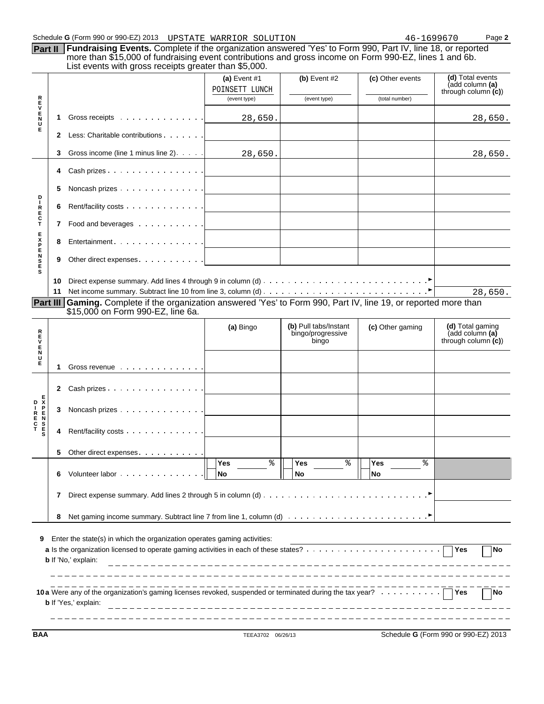|                                                               |     | Schedule G (Form 990 or 990-EZ) 2013 UPSTATE WARRIOR SOLUTION<br>Part II Fundraising Events. Complete if the organization answered 'Yes' to Form 990, Part IV, line 18, or reported<br>more than \$15,000 of fundraising event contributions and gross income on Form 990-EZ, lines 1 and 6b.<br>List events with gross receipts greater than \$5,000. |                                  |                                                     |                        |                                                             |
|---------------------------------------------------------------|-----|--------------------------------------------------------------------------------------------------------------------------------------------------------------------------------------------------------------------------------------------------------------------------------------------------------------------------------------------------------|----------------------------------|-----------------------------------------------------|------------------------|-------------------------------------------------------------|
|                                                               |     |                                                                                                                                                                                                                                                                                                                                                        | (a) Event $#1$<br>POINSETT LUNCH | $(b)$ Event #2                                      | (c) Other events       | (d) Total events<br>(add column (a)<br>through column $(c)$ |
|                                                               |     |                                                                                                                                                                                                                                                                                                                                                        | (event type)                     | (event type)                                        | (total number)         |                                                             |
| <b>REVENTR</b>                                                | 1.  | Gross receipts                                                                                                                                                                                                                                                                                                                                         | 28,650.                          |                                                     |                        | 28,650.                                                     |
|                                                               | 2   | Less: Charitable contributions                                                                                                                                                                                                                                                                                                                         |                                  |                                                     |                        |                                                             |
|                                                               | 3   | Gross income (line 1 minus line 2).                                                                                                                                                                                                                                                                                                                    | 28,650.                          |                                                     |                        | 28,650.                                                     |
|                                                               | 4   | Cash prizes                                                                                                                                                                                                                                                                                                                                            |                                  |                                                     |                        |                                                             |
| D                                                             | 5   | Noncash prizes                                                                                                                                                                                                                                                                                                                                         |                                  |                                                     |                        |                                                             |
| т<br>R<br>E<br>C<br>T                                         | 6   | Rent/facility costs                                                                                                                                                                                                                                                                                                                                    |                                  |                                                     |                        |                                                             |
|                                                               | 7   | Food and beverages                                                                                                                                                                                                                                                                                                                                     |                                  |                                                     |                        |                                                             |
|                                                               | 8   | Entertainment                                                                                                                                                                                                                                                                                                                                          |                                  |                                                     |                        |                                                             |
| <b>SESNEXE</b>                                                | 9   | Other direct expenses                                                                                                                                                                                                                                                                                                                                  |                                  |                                                     |                        |                                                             |
|                                                               |     |                                                                                                                                                                                                                                                                                                                                                        |                                  |                                                     |                        |                                                             |
|                                                               | 10. |                                                                                                                                                                                                                                                                                                                                                        |                                  |                                                     |                        |                                                             |
|                                                               |     |                                                                                                                                                                                                                                                                                                                                                        |                                  |                                                     |                        | 28,650.                                                     |
|                                                               |     | Part III Gaming. Complete if the organization answered 'Yes' to Form 990, Part IV, line 19, or reported more than<br>\$15,000 on Form 990-EZ, line 6a.                                                                                                                                                                                                 |                                  |                                                     |                        |                                                             |
|                                                               |     |                                                                                                                                                                                                                                                                                                                                                        | (a) Bingo                        | (b) Pull tabs/Instant<br>bingo/progressive<br>bingo | (c) Other gaming       | (d) Total gaming<br>(add column (a)<br>through column $(c)$ |
|                                                               |     |                                                                                                                                                                                                                                                                                                                                                        |                                  |                                                     |                        |                                                             |
|                                                               | 1   | Gross revenue                                                                                                                                                                                                                                                                                                                                          |                                  |                                                     |                        |                                                             |
|                                                               | 2   | Cash prizes                                                                                                                                                                                                                                                                                                                                            |                                  |                                                     |                        |                                                             |
| R<br>$\frac{E}{V}$<br>Е<br>N<br>U<br>Е<br>D K<br>$\mathbf{I}$ | 3   | Noncash prizes                                                                                                                                                                                                                                                                                                                                         |                                  |                                                     |                        |                                                             |
| <b>DED2000</b><br>R<br>E<br>T<br>T                            | 4   | Rent/facility costs                                                                                                                                                                                                                                                                                                                                    |                                  |                                                     |                        |                                                             |
|                                                               | 5   |                                                                                                                                                                                                                                                                                                                                                        |                                  |                                                     |                        |                                                             |
|                                                               | 6   | Other direct expenses.<br>Volunteer labor                                                                                                                                                                                                                                                                                                              | ٩,<br>Yes<br>No                  | ిన<br><b>Yes</b><br>No                              | ిన<br><b>Yes</b><br>No |                                                             |
|                                                               | 7   |                                                                                                                                                                                                                                                                                                                                                        |                                  |                                                     |                        |                                                             |
|                                                               |     |                                                                                                                                                                                                                                                                                                                                                        |                                  |                                                     |                        |                                                             |
| 9                                                             | 8   | Enter the state(s) in which the organization operates gaming activities:                                                                                                                                                                                                                                                                               |                                  |                                                     |                        | Yes<br>No                                                   |

\_\_\_\_\_\_\_\_\_\_\_\_\_\_\_\_\_\_\_\_\_\_\_

**BAA** TEEA3702 06/26/13 Schedule **G** (Form 990 or 990-EZ) 2013

\_\_\_\_\_\_\_\_\_\_\_\_\_\_\_\_

 $\frac{1}{2}$ 

 $-1$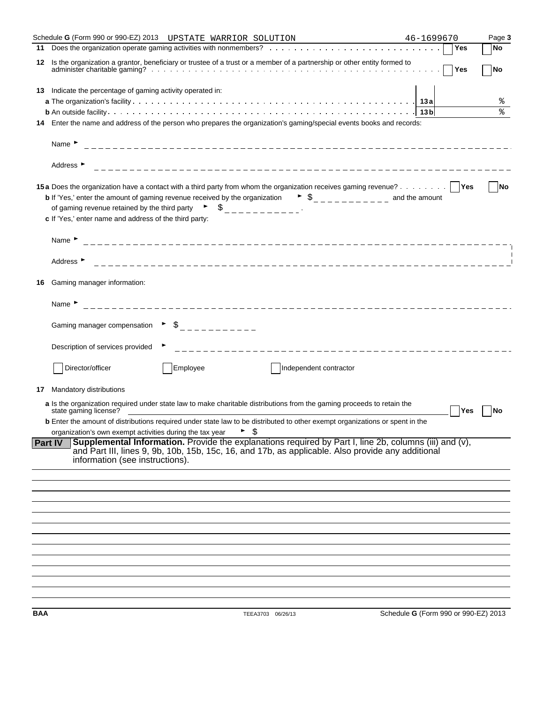|     | Schedule G (Form 990 or 990-EZ) 2013 UPSTATE WARRIOR SOLUTION                                                                                                                                                                                                                                                                                                                                                | 46-1699670                           |            | Page 3    |
|-----|--------------------------------------------------------------------------------------------------------------------------------------------------------------------------------------------------------------------------------------------------------------------------------------------------------------------------------------------------------------------------------------------------------------|--------------------------------------|------------|-----------|
| 11  |                                                                                                                                                                                                                                                                                                                                                                                                              |                                      | Yes        | <b>No</b> |
| 12  | Is the organization a grantor, beneficiary or trustee of a trust or a member of a partnership or other entity formed to                                                                                                                                                                                                                                                                                      |                                      | Yes        | <b>No</b> |
| 13  | Indicate the percentage of gaming activity operated in:                                                                                                                                                                                                                                                                                                                                                      |                                      |            |           |
|     |                                                                                                                                                                                                                                                                                                                                                                                                              |                                      |            | <u>န</u>  |
|     |                                                                                                                                                                                                                                                                                                                                                                                                              |                                      |            | ٩,        |
| 14  | Enter the name and address of the person who prepares the organization's gaming/special events books and records:                                                                                                                                                                                                                                                                                            |                                      |            |           |
|     | Name $\blacktriangleright$                                                                                                                                                                                                                                                                                                                                                                                   |                                      |            |           |
|     | Address $\blacktriangleright$                                                                                                                                                                                                                                                                                                                                                                                |                                      |            |           |
|     | 15a Does the organization have a contact with a third party from whom the organization receives gaming revenue?   Yes<br><b>b</b> If 'Yes,' enter the amount of gaming revenue received by the organization $\bullet$ $\circ$<br>of gaming revenue retained by the third party $\begin{bmatrix} 1 & 1 \\ 2 & -1 & -1 \\ 3 & -1 & -1 \end{bmatrix}$<br>c If 'Yes,' enter name and address of the third party: |                                      |            | <b>No</b> |
|     | Name $\blacktriangleright$                                                                                                                                                                                                                                                                                                                                                                                   |                                      |            |           |
|     | Address <b>F</b>                                                                                                                                                                                                                                                                                                                                                                                             |                                      |            |           |
| 16  | Gaming manager information:                                                                                                                                                                                                                                                                                                                                                                                  |                                      |            |           |
|     | Name $\blacktriangleright$                                                                                                                                                                                                                                                                                                                                                                                   |                                      |            |           |
|     |                                                                                                                                                                                                                                                                                                                                                                                                              |                                      |            |           |
|     | Description of services provided                                                                                                                                                                                                                                                                                                                                                                             |                                      |            |           |
|     | Director/officer<br>Employee<br>Independent contractor                                                                                                                                                                                                                                                                                                                                                       |                                      |            |           |
| 17  | Mandatory distributions                                                                                                                                                                                                                                                                                                                                                                                      |                                      |            |           |
|     | a Is the organization required under state law to make charitable distributions from the gaming proceeds to retain the<br>state gaming license?                                                                                                                                                                                                                                                              |                                      | <b>Yes</b> | No        |
|     | <b>b</b> Enter the amount of distributions required under state law to be distributed to other exempt organizations or spent in the<br>organization's own exempt activities during the tax year $\qquad \qquad$                                                                                                                                                                                              |                                      |            |           |
|     | <b>Supplemental Information.</b> Provide the explanations required by Part I, line 2b, columns (iii) and $(v)$ ,<br><b>Part IV</b><br>and Part III, lines 9, 9b, 10b, 15b, 15c, 16, and 17b, as applicable. Also provide any additional<br>information (see instructions).                                                                                                                                   |                                      |            |           |
|     |                                                                                                                                                                                                                                                                                                                                                                                                              |                                      |            |           |
|     |                                                                                                                                                                                                                                                                                                                                                                                                              |                                      |            |           |
|     |                                                                                                                                                                                                                                                                                                                                                                                                              |                                      |            |           |
|     |                                                                                                                                                                                                                                                                                                                                                                                                              |                                      |            |           |
|     |                                                                                                                                                                                                                                                                                                                                                                                                              |                                      |            |           |
|     |                                                                                                                                                                                                                                                                                                                                                                                                              |                                      |            |           |
|     |                                                                                                                                                                                                                                                                                                                                                                                                              |                                      |            |           |
|     |                                                                                                                                                                                                                                                                                                                                                                                                              |                                      |            |           |
|     |                                                                                                                                                                                                                                                                                                                                                                                                              |                                      |            |           |
|     |                                                                                                                                                                                                                                                                                                                                                                                                              |                                      |            |           |
| BAA | TEEA3703 06/26/13                                                                                                                                                                                                                                                                                                                                                                                            | Schedule G (Form 990 or 990-EZ) 2013 |            |           |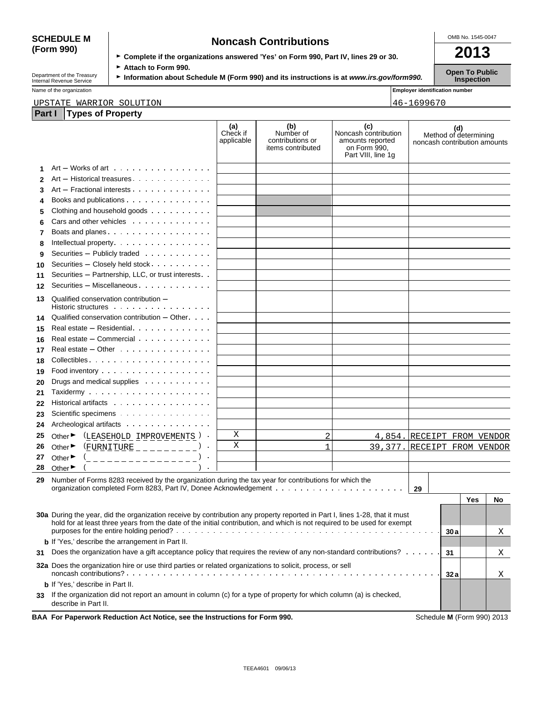# **(Form 990)**

| <b>SCHEDULE M</b> | <b>Noncash Contributions</b>                                                         | OMB No. 1545-0047 |
|-------------------|--------------------------------------------------------------------------------------|-------------------|
| (Form 990)        | ► Complete if the organizations answered 'Yes' on Form 990, Part IV, lines 29 or 30. | 2013              |
|                   |                                                                                      |                   |

Department of the Treasury **Constitution about Schedule M (Form 990) and its instructions is at** *www.irs.gov/form990.* **Open To Public Inspection** 

Name of the organization **Name of the organization Employer identification number** 

#### UPSTATE WARRIOR SOLUTION 46-1699670

| Part I |                             | <b>Types of Property</b>                                                                                                                                                                                                                                |                               |                                                           |                                                                                       |                              |     |                              |    |
|--------|-----------------------------|---------------------------------------------------------------------------------------------------------------------------------------------------------------------------------------------------------------------------------------------------------|-------------------------------|-----------------------------------------------------------|---------------------------------------------------------------------------------------|------------------------------|-----|------------------------------|----|
|        |                             |                                                                                                                                                                                                                                                         | (a)<br>Check if<br>applicable | (b)<br>Number of<br>contributions or<br>items contributed | (c)<br>Noncash contribution<br>amounts reported<br>on Form 990.<br>Part VIII, line 1g | noncash contribution amounts |     | (d)<br>Method of determining |    |
| 1      |                             | $Art - Works$ of art $\ldots \ldots \ldots \ldots$                                                                                                                                                                                                      |                               |                                                           |                                                                                       |                              |     |                              |    |
| 2      |                             | Art - Historical treasures                                                                                                                                                                                                                              |                               |                                                           |                                                                                       |                              |     |                              |    |
| 3      |                             | Art - Fractional interests                                                                                                                                                                                                                              |                               |                                                           |                                                                                       |                              |     |                              |    |
| 4      |                             | Books and publications                                                                                                                                                                                                                                  |                               |                                                           |                                                                                       |                              |     |                              |    |
| 5      |                             | Clothing and household goods                                                                                                                                                                                                                            |                               |                                                           |                                                                                       |                              |     |                              |    |
| 6      |                             | Cars and other vehicles                                                                                                                                                                                                                                 |                               |                                                           |                                                                                       |                              |     |                              |    |
| 7      |                             | Boats and planes                                                                                                                                                                                                                                        |                               |                                                           |                                                                                       |                              |     |                              |    |
| 8      |                             | Intellectual property.                                                                                                                                                                                                                                  |                               |                                                           |                                                                                       |                              |     |                              |    |
| 9      |                             | Securities - Publicly traded                                                                                                                                                                                                                            |                               |                                                           |                                                                                       |                              |     |                              |    |
| 10     |                             | Securities - Closely held stock                                                                                                                                                                                                                         |                               |                                                           |                                                                                       |                              |     |                              |    |
| 11     |                             | Securities - Partnership, LLC, or trust interests                                                                                                                                                                                                       |                               |                                                           |                                                                                       |                              |     |                              |    |
| 12     |                             | Securities - Miscellaneous                                                                                                                                                                                                                              |                               |                                                           |                                                                                       |                              |     |                              |    |
| 13     |                             | Qualified conservation contribution -<br>Historic structures                                                                                                                                                                                            |                               |                                                           |                                                                                       |                              |     |                              |    |
| 14     |                             | Qualified conservation contribution $-$ Other $\cdots$                                                                                                                                                                                                  |                               |                                                           |                                                                                       |                              |     |                              |    |
| 15     |                             | Real estate - Residential                                                                                                                                                                                                                               |                               |                                                           |                                                                                       |                              |     |                              |    |
| 16     |                             | Real estate - Commercial                                                                                                                                                                                                                                |                               |                                                           |                                                                                       |                              |     |                              |    |
| 17     |                             | Real estate $-$ Other $\cdots$ $\cdots$ $\cdots$ $\cdots$                                                                                                                                                                                               |                               |                                                           |                                                                                       |                              |     |                              |    |
| 18     |                             |                                                                                                                                                                                                                                                         |                               |                                                           |                                                                                       |                              |     |                              |    |
| 19     |                             | Food inventory                                                                                                                                                                                                                                          |                               |                                                           |                                                                                       |                              |     |                              |    |
| 20     |                             | Drugs and medical supplies                                                                                                                                                                                                                              |                               |                                                           |                                                                                       |                              |     |                              |    |
| 21     |                             |                                                                                                                                                                                                                                                         |                               |                                                           |                                                                                       |                              |     |                              |    |
| 22     |                             | Historical artifacts                                                                                                                                                                                                                                    |                               |                                                           |                                                                                       |                              |     |                              |    |
| 23     |                             | Scientific specimens                                                                                                                                                                                                                                    |                               |                                                           |                                                                                       |                              |     |                              |    |
| 24     |                             | Archeological artifacts                                                                                                                                                                                                                                 |                               |                                                           |                                                                                       |                              |     |                              |    |
| 25     | Other $\blacktriangleright$ | (LEASEHOLD IMPROVEMENTS)                                                                                                                                                                                                                                | Χ                             | 2                                                         | 4,854. RECEIPT FROM VENDOR                                                            |                              |     |                              |    |
| 26     | Other $\blacktriangleright$ | $EUVNITURE$ _ _ _ _ _ _ _ _ _                                                                                                                                                                                                                           | X                             | $\mathbf{1}$                                              | 39,377. RECEIPT FROM VENDOR                                                           |                              |     |                              |    |
| 27     | Other ▶                     | _____________                                                                                                                                                                                                                                           |                               |                                                           |                                                                                       |                              |     |                              |    |
| 28     | Other $\blacktriangleright$ |                                                                                                                                                                                                                                                         |                               |                                                           |                                                                                       |                              |     |                              |    |
| 29     |                             | Number of Forms 8283 received by the organization during the tax year for contributions for which the                                                                                                                                                   |                               |                                                           |                                                                                       |                              |     |                              |    |
|        |                             |                                                                                                                                                                                                                                                         |                               |                                                           |                                                                                       | 29                           |     |                              |    |
|        |                             |                                                                                                                                                                                                                                                         |                               |                                                           |                                                                                       |                              |     | Yes                          | No |
|        |                             |                                                                                                                                                                                                                                                         |                               |                                                           |                                                                                       |                              |     |                              |    |
|        |                             | 30a During the year, did the organization receive by contribution any property reported in Part I, lines 1-28, that it must<br>hold for at least three years from the date of the initial contribution, and which is not required to be used for exempt |                               |                                                           |                                                                                       |                              |     |                              |    |
|        |                             |                                                                                                                                                                                                                                                         |                               |                                                           |                                                                                       |                              | 30a |                              | Χ  |
|        |                             | <b>b</b> If 'Yes,' describe the arrangement in Part II.                                                                                                                                                                                                 |                               |                                                           |                                                                                       |                              |     |                              |    |
| 31     |                             | Does the organization have a gift acceptance policy that requires the review of any non-standard contributions?                                                                                                                                         |                               |                                                           |                                                                                       |                              | 31  |                              | Χ  |
|        |                             | <b>32a</b> Does the organization hire or use third parties or related organizations to solicit, process, or sell                                                                                                                                        |                               |                                                           |                                                                                       |                              |     |                              |    |
|        |                             | <b>b</b> If 'Yes,' describe in Part II.                                                                                                                                                                                                                 |                               |                                                           |                                                                                       |                              | 32a |                              | Χ  |
|        |                             | If the organization did not report an amount in column (c) for a type of property for which column (a) is checked,                                                                                                                                      |                               |                                                           |                                                                                       |                              |     |                              |    |
| 33     |                             | describe in Part II.                                                                                                                                                                                                                                    |                               |                                                           |                                                                                       |                              |     |                              |    |
|        |                             | BAA For Paperwork Reduction Act Notice, see the Instructions for Form 990.                                                                                                                                                                              |                               |                                                           |                                                                                       |                              |     | Schedule M (Form 990) 2013   |    |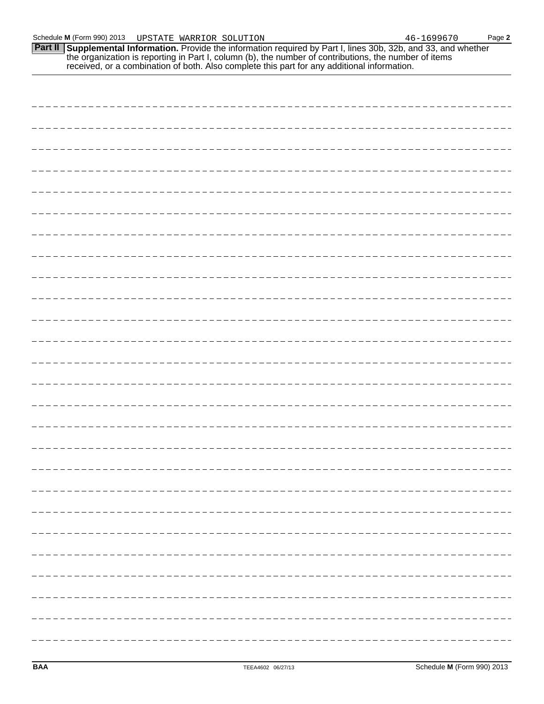**Part II Supplemental Information.** Provide the information required by Part I, lines 30b, 32b, and 33, and whether the organization is reporting in Part I, column (b), the number of contributions, the number of items received, or a combination of both. Also complete this part for any additional information.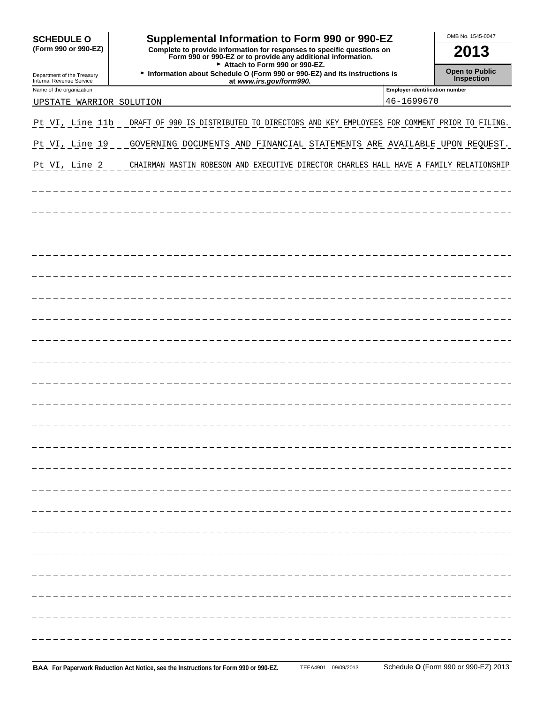| <b>SCHEDULE O</b>                                      | Supplemental Information to Form 990 or 990-EZ                                                                                                                          |                                       | OMB No. 1545-0047                   |
|--------------------------------------------------------|-------------------------------------------------------------------------------------------------------------------------------------------------------------------------|---------------------------------------|-------------------------------------|
| (Form 990 or 990-EZ)                                   | Complete to provide information for responses to specific questions on<br>Form 990 or 990-EZ or to provide any additional information.<br>Attach to Form 990 or 990-EZ. |                                       | 2013                                |
| Department of the Treasury<br>Internal Revenue Service | Information about Schedule O (Form 990 or 990-EZ) and its instructions is<br>at www.irs.gov/form990.                                                                    |                                       | <b>Open to Public</b><br>Inspection |
| Name of the organization                               |                                                                                                                                                                         | <b>Employer identification number</b> |                                     |
| UPSTATE WARRIOR SOLUTION                               |                                                                                                                                                                         | 46-1699670                            |                                     |
| Pt VI, Line 11b                                        | DRAFT OF 990 IS DISTRIBUTED TO DIRECTORS AND KEY EMPLOYEES FOR COMMENT PRIOR TO FILING.                                                                                 |                                       |                                     |
| Pt VI, Line 19                                         | GOVERNING DOCUMENTS AND FINANCIAL STATEMENTS ARE AVAILABLE UPON REQUEST.                                                                                                |                                       |                                     |
| Pt VI, Line 2                                          | CHAIRMAN MASTIN ROBESON AND EXECUTIVE DIRECTOR CHARLES HALL HAVE A FAMILY RELATIONSHIP                                                                                  |                                       |                                     |
|                                                        |                                                                                                                                                                         |                                       |                                     |
|                                                        |                                                                                                                                                                         |                                       |                                     |
|                                                        |                                                                                                                                                                         |                                       |                                     |
|                                                        |                                                                                                                                                                         |                                       |                                     |
|                                                        |                                                                                                                                                                         |                                       |                                     |
|                                                        |                                                                                                                                                                         |                                       |                                     |
|                                                        |                                                                                                                                                                         |                                       |                                     |
|                                                        |                                                                                                                                                                         |                                       |                                     |
|                                                        |                                                                                                                                                                         |                                       |                                     |
|                                                        |                                                                                                                                                                         |                                       |                                     |
|                                                        |                                                                                                                                                                         |                                       |                                     |
|                                                        |                                                                                                                                                                         |                                       |                                     |
|                                                        |                                                                                                                                                                         |                                       |                                     |
|                                                        |                                                                                                                                                                         |                                       |                                     |
|                                                        |                                                                                                                                                                         |                                       |                                     |
|                                                        |                                                                                                                                                                         |                                       |                                     |
|                                                        |                                                                                                                                                                         |                                       |                                     |
|                                                        |                                                                                                                                                                         |                                       |                                     |
|                                                        |                                                                                                                                                                         |                                       |                                     |
|                                                        |                                                                                                                                                                         |                                       |                                     |
|                                                        |                                                                                                                                                                         |                                       |                                     |
|                                                        |                                                                                                                                                                         |                                       |                                     |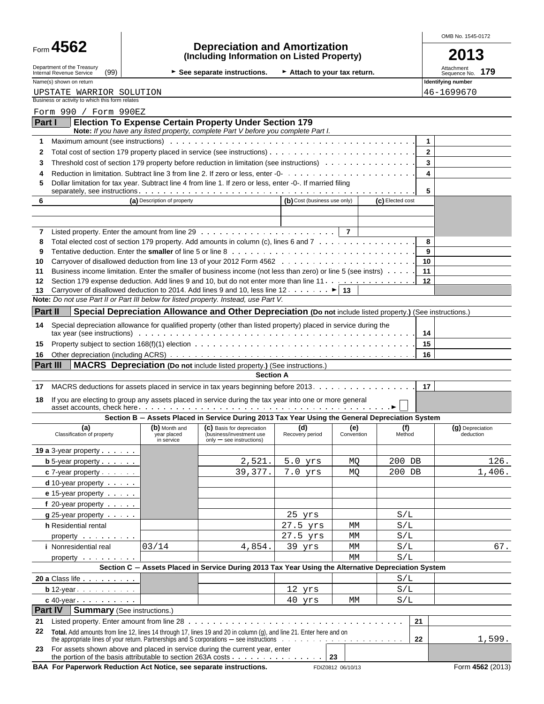| Form | G+ | $\mathbf{A}$<br><b>56.</b> |
|------|----|----------------------------|
|------|----|----------------------------|

### Form **4562 Depreciation and Amortization (Including Information on Listed Property) 2013**

OMB No. 1545-0172

| ×<br>۰. | ۰.<br>× |  |
|---------|---------|--|
|         |         |  |

|                                                                                                                                                                                                                                     |                                            | See separate instructions.                                                                                  | Attach to your tax return.     |                   |                  | Attachment<br>179<br>Sequence No. |
|-------------------------------------------------------------------------------------------------------------------------------------------------------------------------------------------------------------------------------------|--------------------------------------------|-------------------------------------------------------------------------------------------------------------|--------------------------------|-------------------|------------------|-----------------------------------|
| Name(s) shown on return                                                                                                                                                                                                             |                                            |                                                                                                             |                                |                   |                  | Identifying number                |
| UPSTATE WARRIOR SOLUTION<br>Business or activity to which this form relates                                                                                                                                                         |                                            |                                                                                                             |                                |                   |                  | 46-1699670                        |
| Form 990 / Form 990EZ                                                                                                                                                                                                               |                                            |                                                                                                             |                                |                   |                  |                                   |
| Part I                                                                                                                                                                                                                              |                                            | <b>Election To Expense Certain Property Under Section 179</b>                                               |                                |                   |                  |                                   |
|                                                                                                                                                                                                                                     |                                            | Note: If you have any listed property, complete Part V before you complete Part I.                          |                                |                   |                  |                                   |
| Maximum amount (see instructions) with the content of the content of the content of the content of the content of the content of the content of the content of the content of the content of the content of the content of the<br>1 |                                            |                                                                                                             |                                |                   |                  | 1                                 |
| Total cost of section 179 property placed in service (see instructions).<br>2                                                                                                                                                       |                                            |                                                                                                             |                                |                   |                  | $\mathbf{2}$                      |
| Threshold cost of section 179 property before reduction in limitation (see instructions) $\dots \dots \dots \dots \dots$<br>3                                                                                                       |                                            |                                                                                                             |                                |                   |                  | 3                                 |
| 4                                                                                                                                                                                                                                   |                                            |                                                                                                             |                                |                   |                  | 4                                 |
| Dollar limitation for tax year. Subtract line 4 from line 1. If zero or less, enter -0-. If married filing<br>5                                                                                                                     |                                            |                                                                                                             |                                |                   |                  |                                   |
| 6                                                                                                                                                                                                                                   | (a) Description of property                |                                                                                                             | (b) Cost (business use only)   |                   | (c) Elected cost | 5                                 |
|                                                                                                                                                                                                                                     |                                            |                                                                                                             |                                |                   |                  |                                   |
|                                                                                                                                                                                                                                     |                                            |                                                                                                             |                                |                   |                  |                                   |
| 7                                                                                                                                                                                                                                   |                                            |                                                                                                             |                                |                   |                  |                                   |
| Total elected cost of section 179 property. Add amounts in column (c), lines 6 and 7<br>8                                                                                                                                           |                                            |                                                                                                             |                                |                   |                  | 8                                 |
| 9                                                                                                                                                                                                                                   |                                            |                                                                                                             |                                |                   |                  | 9                                 |
| 10                                                                                                                                                                                                                                  |                                            |                                                                                                             |                                |                   |                  | 10                                |
| Business income limitation. Enter the smaller of business income (not less than zero) or line 5 (see instrs)<br>11                                                                                                                  |                                            |                                                                                                             |                                |                   |                  | 11                                |
| Section 179 expense deduction. Add lines 9 and 10, but do not enter more than line 11.<br>12<br>Carryover of disallowed deduction to 2014. Add lines 9 and 10, less line 12. ► 13                                                   |                                            |                                                                                                             |                                |                   |                  | 12                                |
| 13<br>Note: Do not use Part II or Part III below for listed property. Instead, use Part V.                                                                                                                                          |                                            |                                                                                                             |                                |                   |                  |                                   |
| Part II                                                                                                                                                                                                                             |                                            | Special Depreciation Allowance and Other Depreciation (Do not include listed property.) (See instructions.) |                                |                   |                  |                                   |
|                                                                                                                                                                                                                                     |                                            |                                                                                                             |                                |                   |                  |                                   |
| Special depreciation allowance for qualified property (other than listed property) placed in service during the<br>14<br>tax year (see instructions) www.assex.com/www.assex.com/www.assex.com/www.assex.com/www.assex.com/ww       |                                            |                                                                                                             |                                |                   |                  | 14                                |
|                                                                                                                                                                                                                                     |                                            |                                                                                                             |                                |                   |                  |                                   |
|                                                                                                                                                                                                                                     |                                            |                                                                                                             |                                |                   |                  |                                   |
|                                                                                                                                                                                                                                     |                                            |                                                                                                             |                                |                   |                  | 15                                |
|                                                                                                                                                                                                                                     |                                            |                                                                                                             |                                |                   |                  | 16                                |
|                                                                                                                                                                                                                                     |                                            | MACRS Depreciation (Do not include listed property.) (See instructions.)<br><b>Section A</b>                |                                |                   |                  |                                   |
|                                                                                                                                                                                                                                     |                                            |                                                                                                             |                                |                   |                  | 17                                |
| 15<br>16<br><b>Part III</b><br>MACRS deductions for assets placed in service in tax years beginning before 2013.<br>17                                                                                                              |                                            |                                                                                                             |                                |                   |                  |                                   |
| If you are electing to group any assets placed in service during the tax year into one or more general<br>18                                                                                                                        |                                            |                                                                                                             |                                |                   |                  |                                   |
|                                                                                                                                                                                                                                     |                                            | Section B - Assets Placed in Service During 2013 Tax Year Using the General Depreciation System             |                                |                   |                  |                                   |
| (a)<br>Classification of property                                                                                                                                                                                                   | (b) Month and<br>year placed<br>in service | (c) Basis for depreciation<br>(business/investment use<br>$only - see$ instructions)                        | (d)<br>Recovery period         | (e)<br>Convention | (f)<br>Method    | (g) Depreciation<br>deduction     |
|                                                                                                                                                                                                                                     |                                            |                                                                                                             |                                |                   |                  |                                   |
| $b 5-year property.$                                                                                                                                                                                                                |                                            | 2,521.                                                                                                      | $5.0$ $yrs$                    | MQ                | 200 DB           |                                   |
| $c$ 7-year property $\cdots$                                                                                                                                                                                                        |                                            | 39,377.                                                                                                     | $7.0$ yrs                      | MO                | 200 DB           | 126.<br>1,406.                    |
| $d$ 10-year property $\cdots$                                                                                                                                                                                                       |                                            |                                                                                                             |                                |                   |                  |                                   |
| e 15-year property                                                                                                                                                                                                                  |                                            |                                                                                                             |                                |                   |                  |                                   |
| <b>19 a</b> 3-year property<br>f 20-year property                                                                                                                                                                                   |                                            |                                                                                                             |                                |                   |                  |                                   |
| $g$ 25-year property $\cdots$                                                                                                                                                                                                       |                                            |                                                                                                             | 25 yrs                         |                   | S/L              |                                   |
| h Residential rental                                                                                                                                                                                                                |                                            |                                                                                                             | 27.5 yrs                       | МM                | S/L              |                                   |
| property exercise the set of the set of the set of the set of the set of the set of the set of the set of the s                                                                                                                     |                                            |                                                                                                             | 27.5 yrs                       | МM                | S/L              |                                   |
| <i>i</i> Nonresidential real                                                                                                                                                                                                        | 03/14                                      | 4,854.                                                                                                      | 39 yrs                         | МM                | S/L              | 67.                               |
| property exercise the contract of the property                                                                                                                                                                                      |                                            |                                                                                                             |                                | MM                | S/L              |                                   |
|                                                                                                                                                                                                                                     |                                            | Section C - Assets Placed in Service During 2013 Tax Year Using the Alternative Depreciation System         |                                |                   |                  |                                   |
|                                                                                                                                                                                                                                     |                                            |                                                                                                             |                                |                   | S/L              |                                   |
| 20 a Class life<br>$b$ 12-year $\cdots$<br>$c$ 40-year $\cdots$                                                                                                                                                                     |                                            |                                                                                                             | $12$ $yrs$<br>$40 \text{ yrs}$ | МM                | S/L<br>$\rm S/L$ |                                   |

the appropriate lines of your return. Partnerships and S corporations - see instructions **because to construct on 23** For assets shown above and placed in service during the current year, enter the portion of the basis attributable to section 263A costs **23 BAA For Paperwork Reduction Act Notice, see separate instructions.** FDIZ0812 06/10/13 FORM 4562 (2013)

1,599.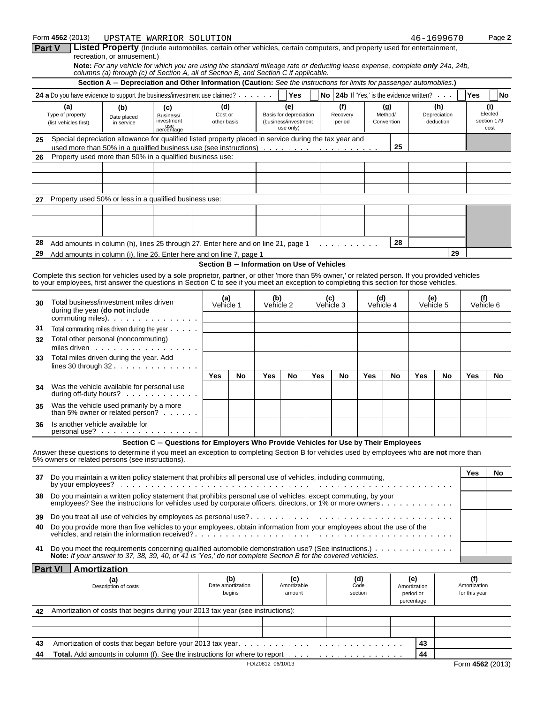| Form 4562 (2013) | <b>TIPSTATE</b> | WARRIOR . | SOLUTION |                                                                                                                              |  | Page 2 |
|------------------|-----------------|-----------|----------|------------------------------------------------------------------------------------------------------------------------------|--|--------|
| <b>Part V</b>    |                 |           |          | <b>Listed Property</b> (Include automobiles, certain other vehicles, certain computers, and property used for entertainment. |  |        |

**nd property used for entertainment,** recreation, or amusement.)

**Note:** *For any vehicle for which you are using the standard mileage rate or deducting lease expense, complete only 24a, 24b, columns (a) through (c) of Section A, all of Section B, and Section C if applicable.*

|          |                                                                                                                                                                                                                                                                                                | Section A - Depreciation and Other Information (Caution: See the instructions for limits for passenger automobiles.) |                                                                                     |                                            |                  |                              |                                                                    |                                      |                           |     |                                                |                              |                                           |    |                                       |           |
|----------|------------------------------------------------------------------------------------------------------------------------------------------------------------------------------------------------------------------------------------------------------------------------------------------------|----------------------------------------------------------------------------------------------------------------------|-------------------------------------------------------------------------------------|--------------------------------------------|------------------|------------------------------|--------------------------------------------------------------------|--------------------------------------|---------------------------|-----|------------------------------------------------|------------------------------|-------------------------------------------|----|---------------------------------------|-----------|
|          | <b>24 a</b> Do you have evidence to support the business/investment use claimed?                                                                                                                                                                                                               |                                                                                                                      |                                                                                     |                                            |                  |                              | Yes                                                                |                                      |                           |     |                                                |                              | No 24b If 'Yes.' is the evidence written? |    | Yes                                   | <b>No</b> |
|          | (a)<br>Type of property<br>(list vehicles first)                                                                                                                                                                                                                                               | (b)<br>(c)<br>Business/<br>Date placed<br>investment<br>in service<br>use<br>percentage                              |                                                                                     | (d)<br>Cost or<br>other basis              |                  |                              | (e)<br>Basis for depreciation<br>(business/investment<br>use only) |                                      | (f)<br>Recovery<br>period |     |                                                | (g)<br>Method/<br>Convention | (h)<br>Depreciation<br>deduction          |    | (i)<br>Elected<br>section 179<br>cost |           |
| 25       | Special depreciation allowance for qualified listed property placed in service during the tax year and                                                                                                                                                                                         |                                                                                                                      |                                                                                     |                                            |                  |                              |                                                                    |                                      |                           |     |                                                | 25                           |                                           |    |                                       |           |
| 26       | Property used more than 50% in a qualified business use:                                                                                                                                                                                                                                       |                                                                                                                      |                                                                                     |                                            |                  |                              |                                                                    |                                      |                           |     |                                                |                              |                                           |    |                                       |           |
|          |                                                                                                                                                                                                                                                                                                |                                                                                                                      |                                                                                     |                                            |                  |                              |                                                                    |                                      |                           |     |                                                |                              |                                           |    |                                       |           |
|          |                                                                                                                                                                                                                                                                                                |                                                                                                                      |                                                                                     |                                            |                  |                              |                                                                    |                                      |                           |     |                                                |                              |                                           |    |                                       |           |
|          |                                                                                                                                                                                                                                                                                                |                                                                                                                      |                                                                                     |                                            |                  |                              |                                                                    |                                      |                           |     |                                                |                              |                                           |    |                                       |           |
| 27       | Property used 50% or less in a qualified business use:                                                                                                                                                                                                                                         |                                                                                                                      |                                                                                     |                                            |                  |                              |                                                                    |                                      |                           |     |                                                |                              |                                           |    |                                       |           |
|          |                                                                                                                                                                                                                                                                                                |                                                                                                                      |                                                                                     |                                            |                  |                              |                                                                    |                                      |                           |     |                                                |                              |                                           |    |                                       |           |
|          |                                                                                                                                                                                                                                                                                                |                                                                                                                      |                                                                                     |                                            |                  |                              |                                                                    |                                      |                           |     |                                                |                              |                                           |    |                                       |           |
| 28       | Add amounts in column (h), lines 25 through 27. Enter here and on line 21, page 1 $\dots$                                                                                                                                                                                                      |                                                                                                                      |                                                                                     |                                            |                  |                              |                                                                    |                                      |                           |     |                                                | 28                           |                                           |    |                                       |           |
| 29       |                                                                                                                                                                                                                                                                                                |                                                                                                                      |                                                                                     |                                            |                  |                              |                                                                    |                                      |                           |     |                                                |                              |                                           | 29 |                                       |           |
|          |                                                                                                                                                                                                                                                                                                |                                                                                                                      |                                                                                     | Section B - Information on Use of Vehicles |                  |                              |                                                                    |                                      |                           |     |                                                |                              |                                           |    |                                       |           |
|          | Complete this section for vehicles used by a sole proprietor, partner, or other 'more than 5% owner,' or related person. If you provided vehicles<br>to your employees, first answer the questions in Section C to see if you meet an exception to completing this section for those vehicles. |                                                                                                                      |                                                                                     |                                            |                  |                              |                                                                    |                                      |                           |     |                                                |                              |                                           |    |                                       |           |
| 30       | Total business/investment miles driven<br>during the year (do not include<br>commuting miles). $\cdots$ . $\cdots$ . $\cdots$                                                                                                                                                                  |                                                                                                                      | (a)<br>Vehicle 1                                                                    |                                            | (b)<br>Vehicle 2 |                              |                                                                    | (c)<br>(d)<br>Vehicle 3<br>Vehicle 4 |                           |     | (e)<br>Vehicle 5                               |                              | (f)<br>Vehicle 6                          |    |                                       |           |
| 31       | Total commuting miles driven during the year                                                                                                                                                                                                                                                   |                                                                                                                      |                                                                                     |                                            |                  |                              |                                                                    |                                      |                           |     |                                                |                              |                                           |    |                                       |           |
| 32       | Total other personal (noncommuting)<br>miles driven                                                                                                                                                                                                                                            |                                                                                                                      |                                                                                     |                                            |                  |                              |                                                                    |                                      |                           |     |                                                |                              |                                           |    |                                       |           |
| 33       | Total miles driven during the year. Add                                                                                                                                                                                                                                                        |                                                                                                                      |                                                                                     |                                            |                  |                              |                                                                    |                                      |                           |     |                                                |                              |                                           |    |                                       |           |
|          | lines 30 through $32 \cdot \cdot \cdot \cdot \cdot \cdot \cdot \cdot \cdot \cdot \cdot$                                                                                                                                                                                                        |                                                                                                                      |                                                                                     | Yes                                        | No               | Yes                          | No                                                                 | Yes                                  |                           | No  | Yes                                            | No                           | Yes                                       | No | Yes                                   | No        |
| 34       | Was the vehicle available for personal use<br>during off-duty hours? $\cdots$                                                                                                                                                                                                                  |                                                                                                                      |                                                                                     |                                            |                  |                              |                                                                    |                                      |                           |     |                                                |                              |                                           |    |                                       |           |
| 35       | Was the vehicle used primarily by a more<br>than 5% owner or related person?                                                                                                                                                                                                                   |                                                                                                                      |                                                                                     |                                            |                  |                              |                                                                    |                                      |                           |     |                                                |                              |                                           |    |                                       |           |
| 36       | Is another vehicle available for<br>$personal use? \n \n \n \n \n$                                                                                                                                                                                                                             |                                                                                                                      |                                                                                     |                                            |                  |                              |                                                                    |                                      |                           |     |                                                |                              |                                           |    |                                       |           |
|          | Answer these questions to determine if you meet an exception to completing Section B for vehicles used by employees who are not more than                                                                                                                                                      |                                                                                                                      | Section C - Questions for Employers Who Provide Vehicles for Use by Their Employees |                                            |                  |                              |                                                                    |                                      |                           |     |                                                |                              |                                           |    |                                       |           |
|          | 5% owners or related persons (see instructions).<br>37 Do you maintain a written policy statement that prohibits all personal use of vehicles, including commuting,                                                                                                                            |                                                                                                                      |                                                                                     |                                            |                  |                              |                                                                    |                                      |                           | Yes | No                                             |                              |                                           |    |                                       |           |
| 38       | Do you maintain a written policy statement that prohibits personal use of vehicles, except commuting, by your<br>employees? See the instructions for vehicles used by corporate officers, directors, or 1% or more owners                                                                      |                                                                                                                      |                                                                                     |                                            |                  |                              |                                                                    |                                      |                           |     |                                                |                              |                                           |    |                                       |           |
|          |                                                                                                                                                                                                                                                                                                |                                                                                                                      |                                                                                     |                                            |                  |                              |                                                                    |                                      |                           |     |                                                |                              |                                           |    |                                       |           |
| 39       |                                                                                                                                                                                                                                                                                                |                                                                                                                      |                                                                                     |                                            |                  |                              |                                                                    |                                      |                           |     |                                                |                              |                                           |    |                                       |           |
| 40       | Do you provide more than five vehicles to your employees, obtain information from your employees about the use of the                                                                                                                                                                          |                                                                                                                      |                                                                                     |                                            |                  |                              |                                                                    |                                      |                           |     |                                                |                              |                                           |    |                                       |           |
| 41       | Do you meet the requirements concerning qualified automobile demonstration use? (See instructions.)<br>Note: If your answer to 37, 38, 39, 40, or 41 is 'Yes,' do not complete Section B for the covered vehicles.                                                                             |                                                                                                                      |                                                                                     |                                            |                  |                              |                                                                    |                                      |                           |     |                                                |                              |                                           |    |                                       |           |
|          | <b>Part VI</b><br><b>Amortization</b>                                                                                                                                                                                                                                                          |                                                                                                                      |                                                                                     |                                            |                  |                              |                                                                    |                                      |                           |     |                                                |                              |                                           |    |                                       |           |
|          | (a)<br>Description of costs                                                                                                                                                                                                                                                                    |                                                                                                                      |                                                                                     | (b)<br>Date amortization<br>begins         |                  | (c)<br>Amortizable<br>amount |                                                                    | (d)<br>Code<br>section               |                           |     | (e)<br>Amortization<br>period or<br>percentage |                              | (f)<br>Amortization<br>for this year      |    |                                       |           |
| 42       | Amortization of costs that begins during your 2013 tax year (see instructions):                                                                                                                                                                                                                |                                                                                                                      |                                                                                     |                                            |                  |                              |                                                                    |                                      |                           |     |                                                |                              |                                           |    |                                       |           |
|          |                                                                                                                                                                                                                                                                                                |                                                                                                                      |                                                                                     |                                            |                  |                              |                                                                    |                                      |                           |     |                                                |                              |                                           |    |                                       |           |
|          |                                                                                                                                                                                                                                                                                                |                                                                                                                      |                                                                                     |                                            |                  |                              |                                                                    |                                      |                           |     |                                                |                              |                                           |    |                                       |           |
| 43<br>44 |                                                                                                                                                                                                                                                                                                |                                                                                                                      |                                                                                     |                                            |                  |                              |                                                                    |                                      |                           |     |                                                |                              | 43<br>44                                  |    |                                       |           |
|          |                                                                                                                                                                                                                                                                                                |                                                                                                                      |                                                                                     |                                            |                  |                              |                                                                    |                                      |                           |     |                                                |                              |                                           |    |                                       |           |